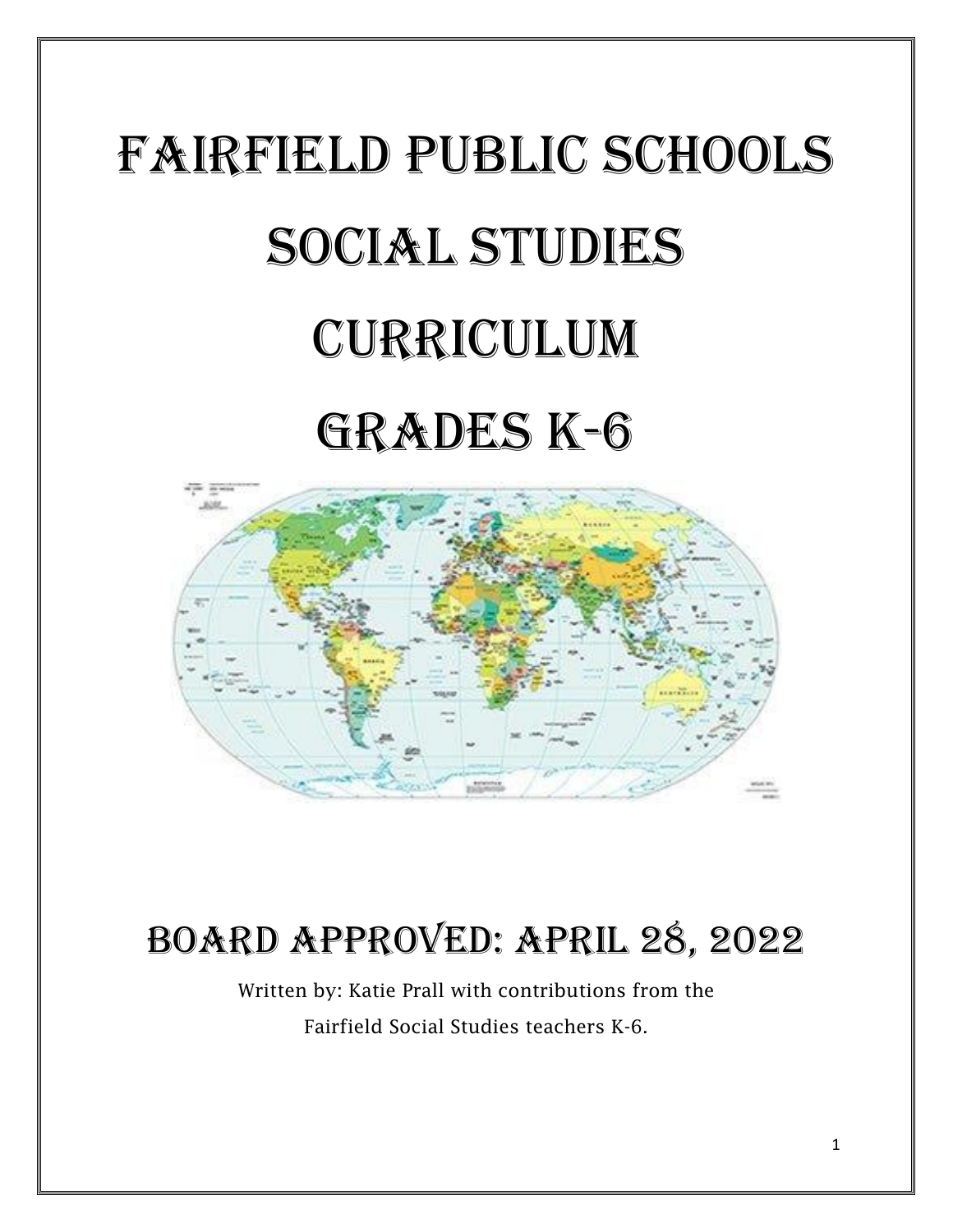# Fairfield public schools SOCIAL STUDIES Curriculum Grades k-6



# Board approved: April 28, 2022

Written by: Katie Prall with contributions from the Fairfield Social Studies teachers K-6.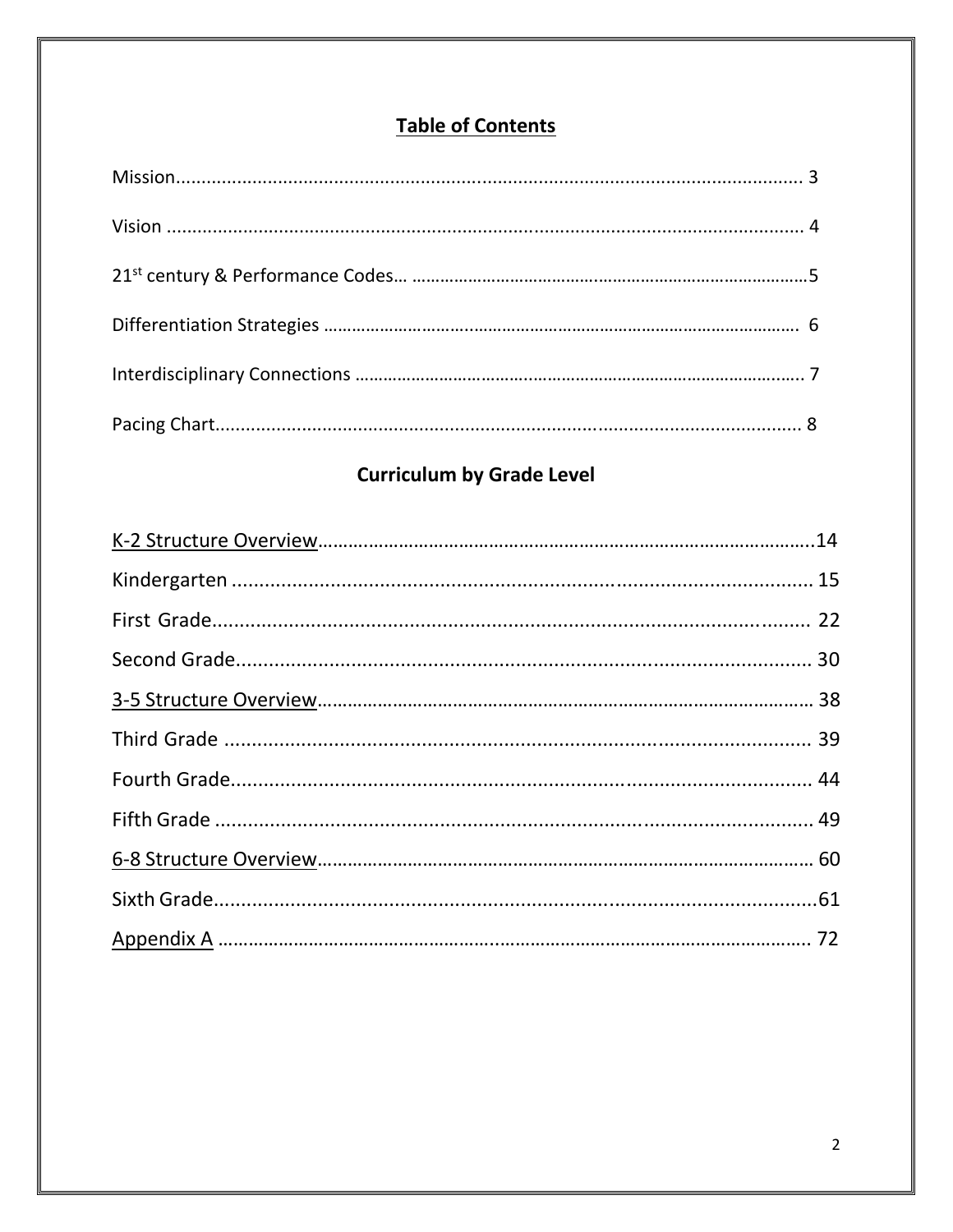## **Table of Contents**

## **Curriculum by Grade Level**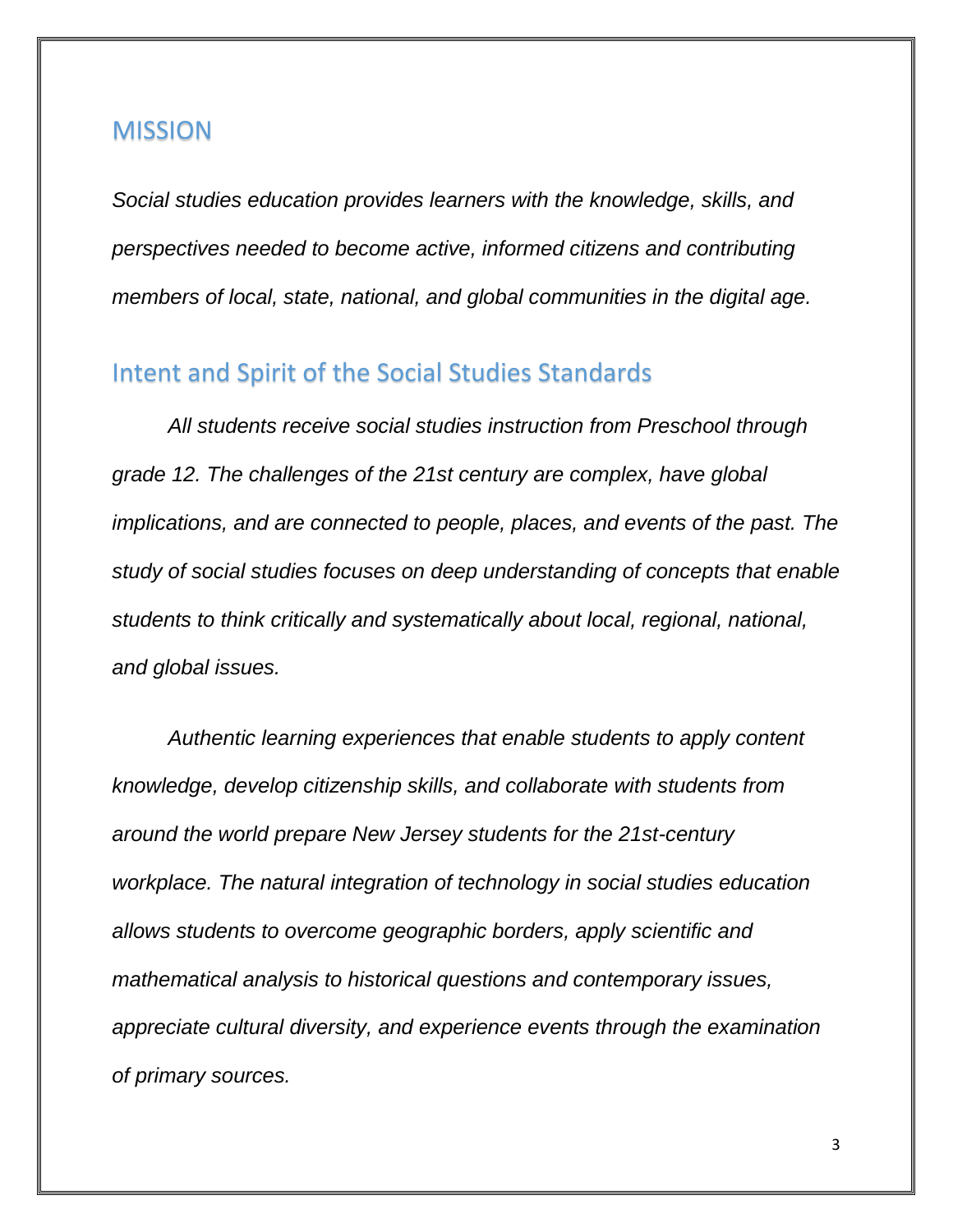#### MISSION

*Social studies education provides learners with the knowledge, skills, and perspectives needed to become active, informed citizens and contributing members of local, state, national, and global communities in the digital age.*

### Intent and Spirit of the Social Studies Standards

*All students receive social studies instruction from Preschool through grade 12. The challenges of the 21st century are complex, have global implications, and are connected to people, places, and events of the past. The study of social studies focuses on deep understanding of concepts that enable students to think critically and systematically about local, regional, national, and global issues.*

*Authentic learning experiences that enable students to apply content knowledge, develop citizenship skills, and collaborate with students from around the world prepare New Jersey students for the 21st-century workplace. The natural integration of technology in social studies education allows students to overcome geographic borders, apply scientific and mathematical analysis to historical questions and contemporary issues, appreciate cultural diversity, and experience events through the examination of primary sources.*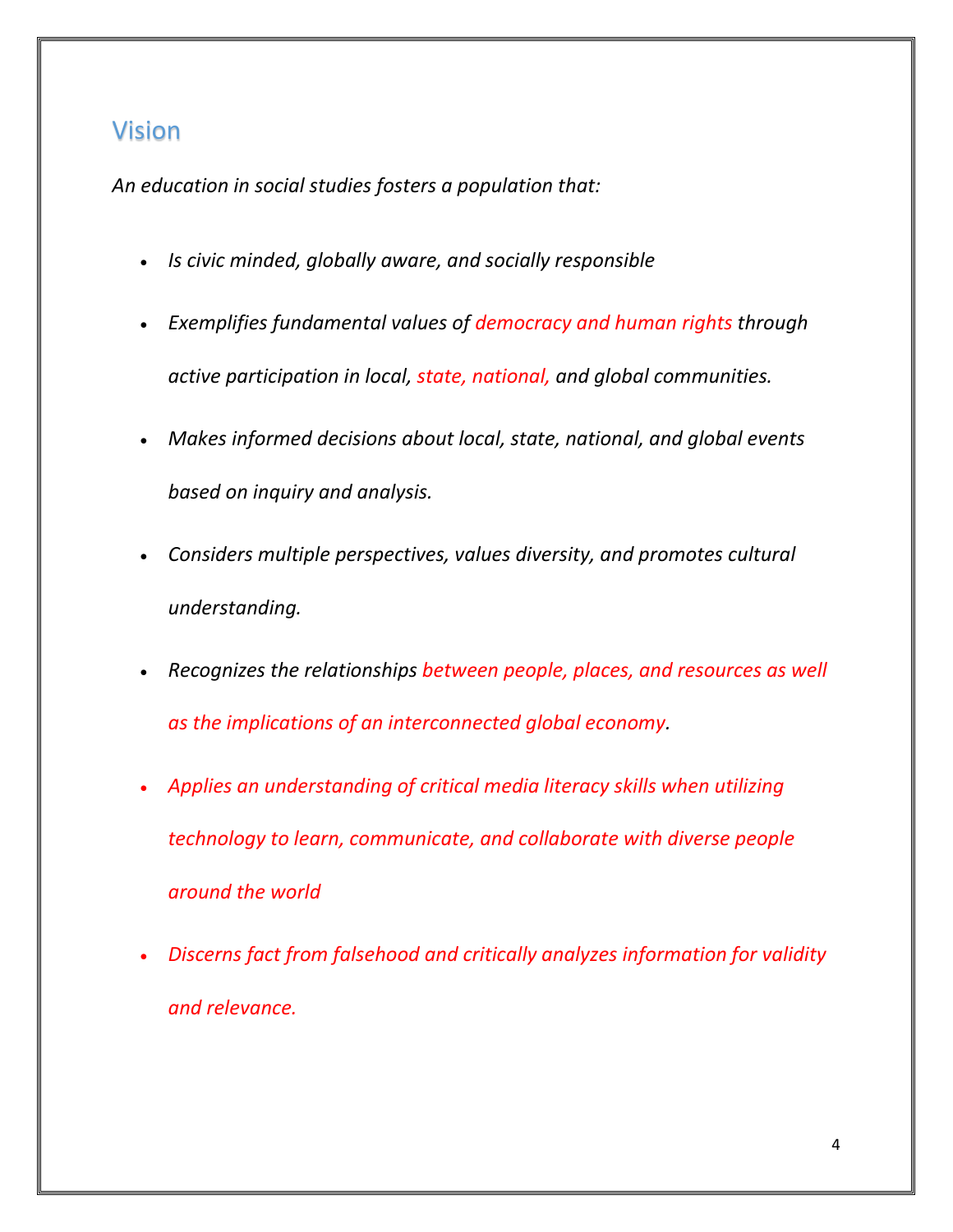## Vision

*An education in social studies fosters a population that:*

- *Is civic minded, globally aware, and socially responsible*
- *Exemplifies fundamental values of democracy and human rights through active participation in local, state, national, and global communities.*
- *Makes informed decisions about local, state, national, and global events based on inquiry and analysis.*
- *Considers multiple perspectives, values diversity, and promotes cultural understanding.*
- Recognizes the relationships between people, places, and resources as well *as the implications of an interconnected global economy.*
- *Applies an understanding of critical media literacy skills when utilizing technology to learn, communicate, and collaborate with diverse people around the world*
- *Discerns fact from falsehood and critically analyzes information for validity and relevance.*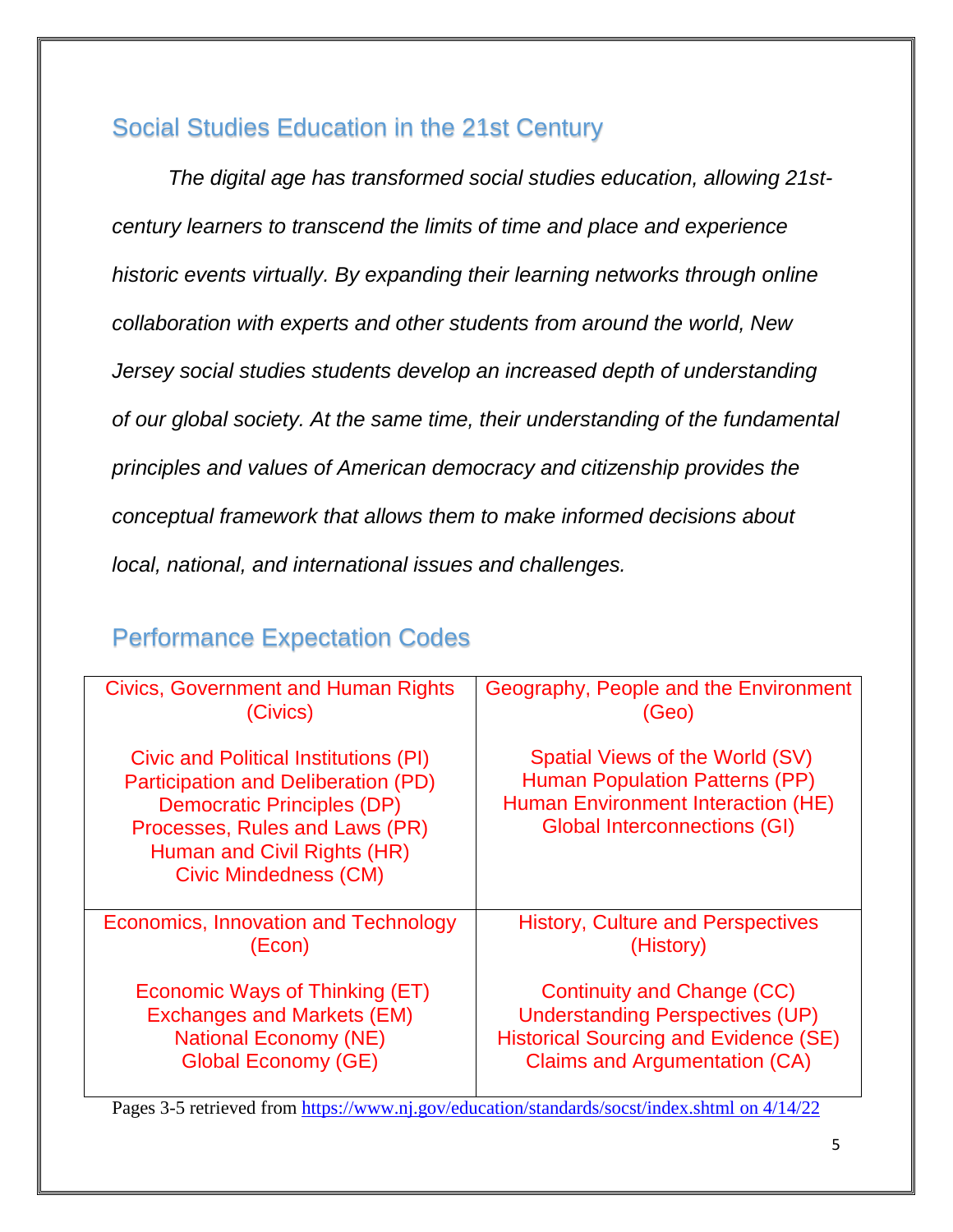## Social Studies Education in the 21st Century

*The digital age has transformed social studies education, allowing 21stcentury learners to transcend the limits of time and place and experience historic events virtually. By expanding their learning networks through online collaboration with experts and other students from around the world, New Jersey social studies students develop an increased depth of understanding of our global society. At the same time, their understanding of the fundamental principles and values of American democracy and citizenship provides the conceptual framework that allows them to make informed decisions about local, national, and international issues and challenges.*

## Performance Expectation Codes

| <b>Civics, Government and Human Rights</b>                                                                                                                                                                                | Geography, People and the Environment                                                                                                                 |
|---------------------------------------------------------------------------------------------------------------------------------------------------------------------------------------------------------------------------|-------------------------------------------------------------------------------------------------------------------------------------------------------|
| (Civics)                                                                                                                                                                                                                  | (Geo)                                                                                                                                                 |
| Civic and Political Institutions (PI)<br><b>Participation and Deliberation (PD)</b><br><b>Democratic Principles (DP)</b><br>Processes, Rules and Laws (PR)<br>Human and Civil Rights (HR)<br><b>Civic Mindedness (CM)</b> | Spatial Views of the World (SV)<br><b>Human Population Patterns (PP)</b><br>Human Environment Interaction (HE)<br><b>Global Interconnections (GI)</b> |
| Economics, Innovation and Technology                                                                                                                                                                                      | <b>History, Culture and Perspectives</b>                                                                                                              |
| (Econ)                                                                                                                                                                                                                    | (History)                                                                                                                                             |
| Economic Ways of Thinking (ET)                                                                                                                                                                                            | Continuity and Change (CC)                                                                                                                            |
| <b>Exchanges and Markets (EM)</b>                                                                                                                                                                                         | <b>Understanding Perspectives (UP)</b>                                                                                                                |
| <b>National Economy (NE)</b>                                                                                                                                                                                              | <b>Historical Sourcing and Evidence (SE)</b>                                                                                                          |
| <b>Global Economy (GE)</b>                                                                                                                                                                                                | <b>Claims and Argumentation (CA)</b>                                                                                                                  |

Pages 3-5 retrieved from [https://www.nj.gov/education/standards/socst/index.shtml](https://www.nj.gov/education/standards/socst/index.shtml%20on%204/14/22) on 4/14/22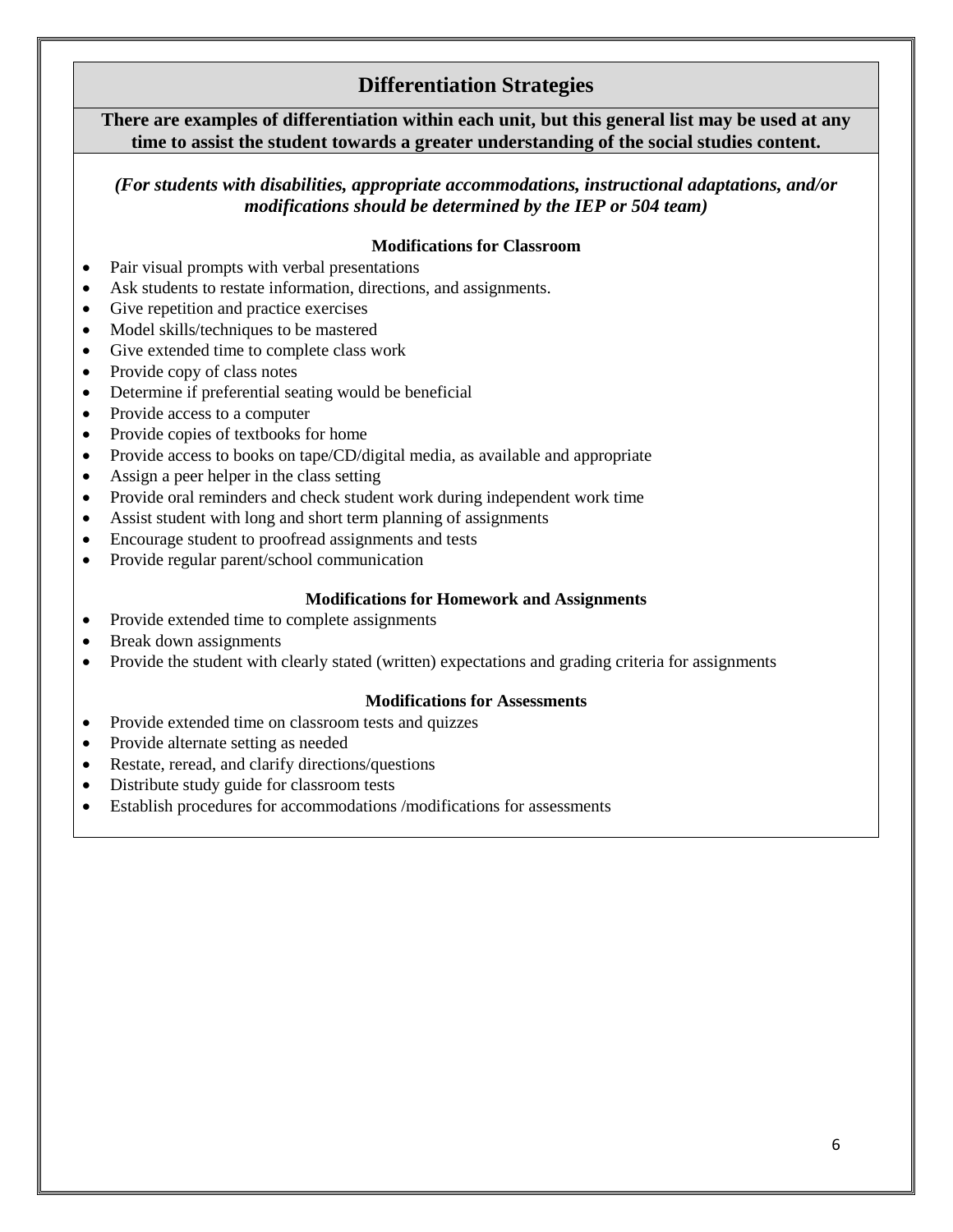#### **Differentiation Strategies**

**There are examples of differentiation within each unit, but this general list may be used at any time to assist the student towards a greater understanding of the social studies content.**

*(For students with disabilities, appropriate accommodations, instructional adaptations, and/or modifications should be determined by the IEP or 504 team)*

#### **Modifications for Classroom**

- Pair visual prompts with verbal presentations
- Ask students to restate information, directions, and assignments.
- Give repetition and practice exercises
- Model skills/techniques to be mastered
- Give extended time to complete class work
- Provide copy of class notes
- Determine if preferential seating would be beneficial
- Provide access to a computer
- Provide copies of textbooks for home
- Provide access to books on tape/CD/digital media, as available and appropriate
- Assign a peer helper in the class setting
- Provide oral reminders and check student work during independent work time
- Assist student with long and short term planning of assignments
- Encourage student to proofread assignments and tests
- Provide regular parent/school communication

#### **Modifications for Homework and Assignments**

- Provide extended time to complete assignments
- Break down assignments
- Provide the student with clearly stated (written) expectations and grading criteria for assignments

#### **Modifications for Assessments**

- Provide extended time on classroom tests and quizzes
- Provide alternate setting as needed
- Restate, reread, and clarify directions/questions
- Distribute study guide for classroom tests
- Establish procedures for accommodations /modifications for assessments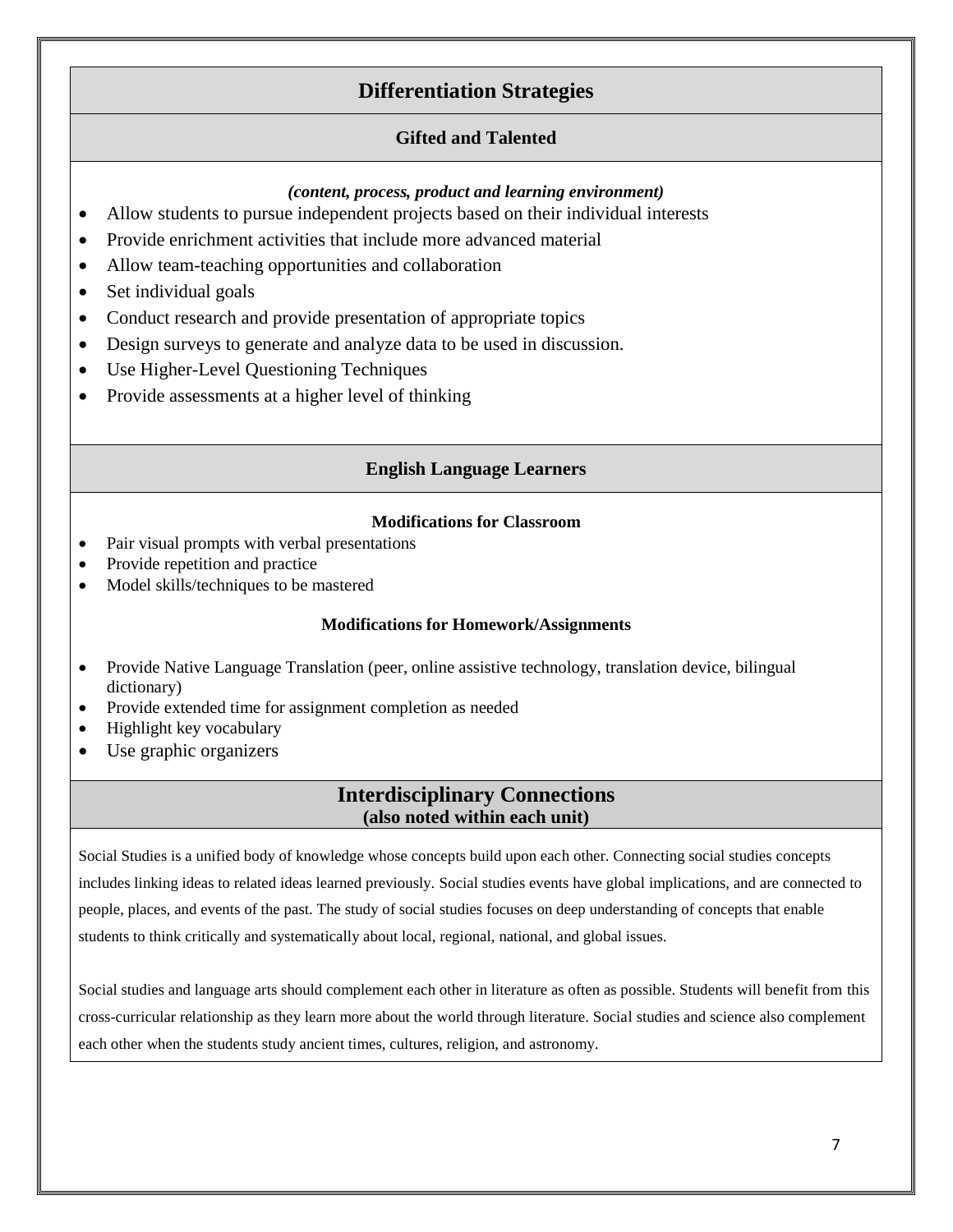#### **Differentiation Strategies**

#### **Gifted and Talented**

#### *(content, process, product and learning environment)*

- Allow students to pursue independent projects based on their individual interests
- Provide enrichment activities that include more advanced material
- Allow team-teaching opportunities and collaboration
- Set individual goals
- Conduct research and provide presentation of appropriate topics
- Design surveys to generate and analyze data to be used in discussion.
- Use Higher-Level Questioning Techniques
- Provide assessments at a higher level of thinking

#### **English Language Learners**

#### **Modifications for Classroom**

- Pair visual prompts with verbal presentations
- Provide repetition and practice
- Model skills/techniques to be mastered

#### **Modifications for Homework/Assignments**

- Provide Native Language Translation (peer, online assistive technology, translation device, bilingual dictionary)
- Provide extended time for assignment completion as needed
- Highlight key vocabulary
- Use graphic organizers

#### **Interdisciplinary Connections (also noted within each unit)**

Social Studies is a unified body of knowledge whose concepts build upon each other. Connecting social studies concepts includes linking ideas to related ideas learned previously. Social studies events have global implications, and are connected to people, places, and events of the past. The study of social studies focuses on deep understanding of concepts that enable students to think critically and systematically about local, regional, national, and global issues.

Social studies and language arts should complement each other in literature as often as possible. Students will benefit from this cross-curricular relationship as they learn more about the world through literature. Social studies and science also complement each other when the students study ancient times, cultures, religion, and astronomy.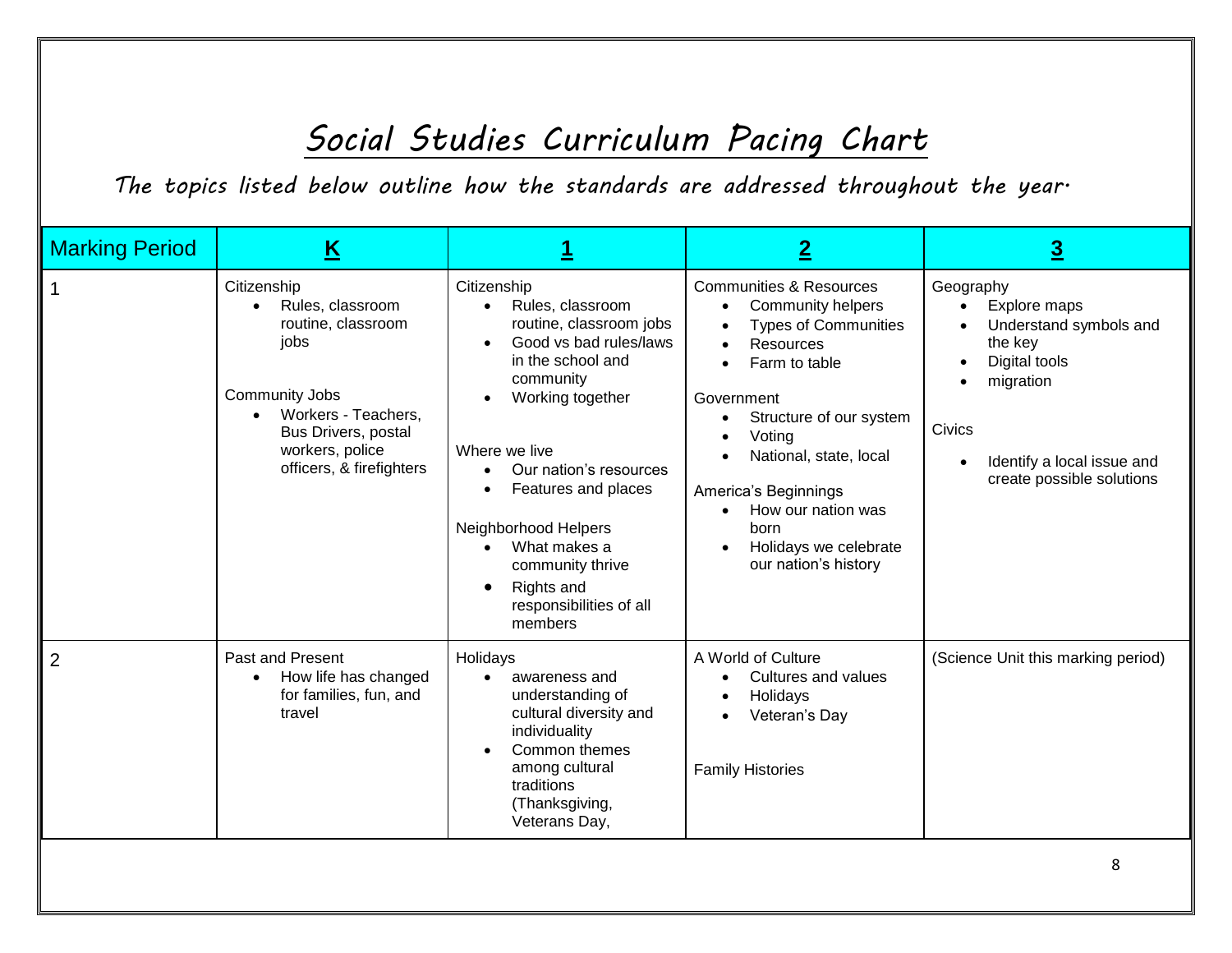## *Social Studies Curriculum Pacing Chart*

*The topics listed below outline how the standards are addressed throughout the year.*

| <b>Marking Period</b> | K                                                                                                                                                                                   |                                                                                                                                                                                                                                                                                                                                           | $\mathbf{2}$                                                                                                                                                                                                                                                                                                                                                                          | 3                                                                                                                                                                 |
|-----------------------|-------------------------------------------------------------------------------------------------------------------------------------------------------------------------------------|-------------------------------------------------------------------------------------------------------------------------------------------------------------------------------------------------------------------------------------------------------------------------------------------------------------------------------------------|---------------------------------------------------------------------------------------------------------------------------------------------------------------------------------------------------------------------------------------------------------------------------------------------------------------------------------------------------------------------------------------|-------------------------------------------------------------------------------------------------------------------------------------------------------------------|
|                       | Citizenship<br>Rules, classroom<br>routine, classroom<br>jobs<br><b>Community Jobs</b><br>Workers - Teachers,<br>Bus Drivers, postal<br>workers, police<br>officers, & firefighters | Citizenship<br>Rules, classroom<br>$\bullet$<br>routine, classroom jobs<br>Good vs bad rules/laws<br>in the school and<br>community<br>Working together<br>Where we live<br>Our nation's resources<br>Features and places<br>Neighborhood Helpers<br>What makes a<br>community thrive<br>Rights and<br>responsibilities of all<br>members | <b>Communities &amp; Resources</b><br>Community helpers<br>$\bullet$<br><b>Types of Communities</b><br><b>Resources</b><br>$\bullet$<br>Farm to table<br>$\bullet$<br>Government<br>Structure of our system<br>٠<br>Voting<br>National, state, local<br>America's Beginnings<br>How our nation was<br>$\bullet$<br>born<br>Holidays we celebrate<br>$\bullet$<br>our nation's history | Geography<br>Explore maps<br>Understand symbols and<br>the key<br>Digital tools<br>migration<br>Civics<br>Identify a local issue and<br>create possible solutions |
| 2                     | Past and Present<br>How life has changed<br>for families, fun, and<br>travel                                                                                                        | Holidays<br>awareness and<br>$\bullet$<br>understanding of<br>cultural diversity and<br>individuality<br>Common themes<br>among cultural<br>traditions<br>(Thanksgiving,<br>Veterans Day,                                                                                                                                                 | A World of Culture<br>Cultures and values<br>Holidays<br>٠<br>Veteran's Day<br>$\bullet$<br><b>Family Histories</b>                                                                                                                                                                                                                                                                   | (Science Unit this marking period)                                                                                                                                |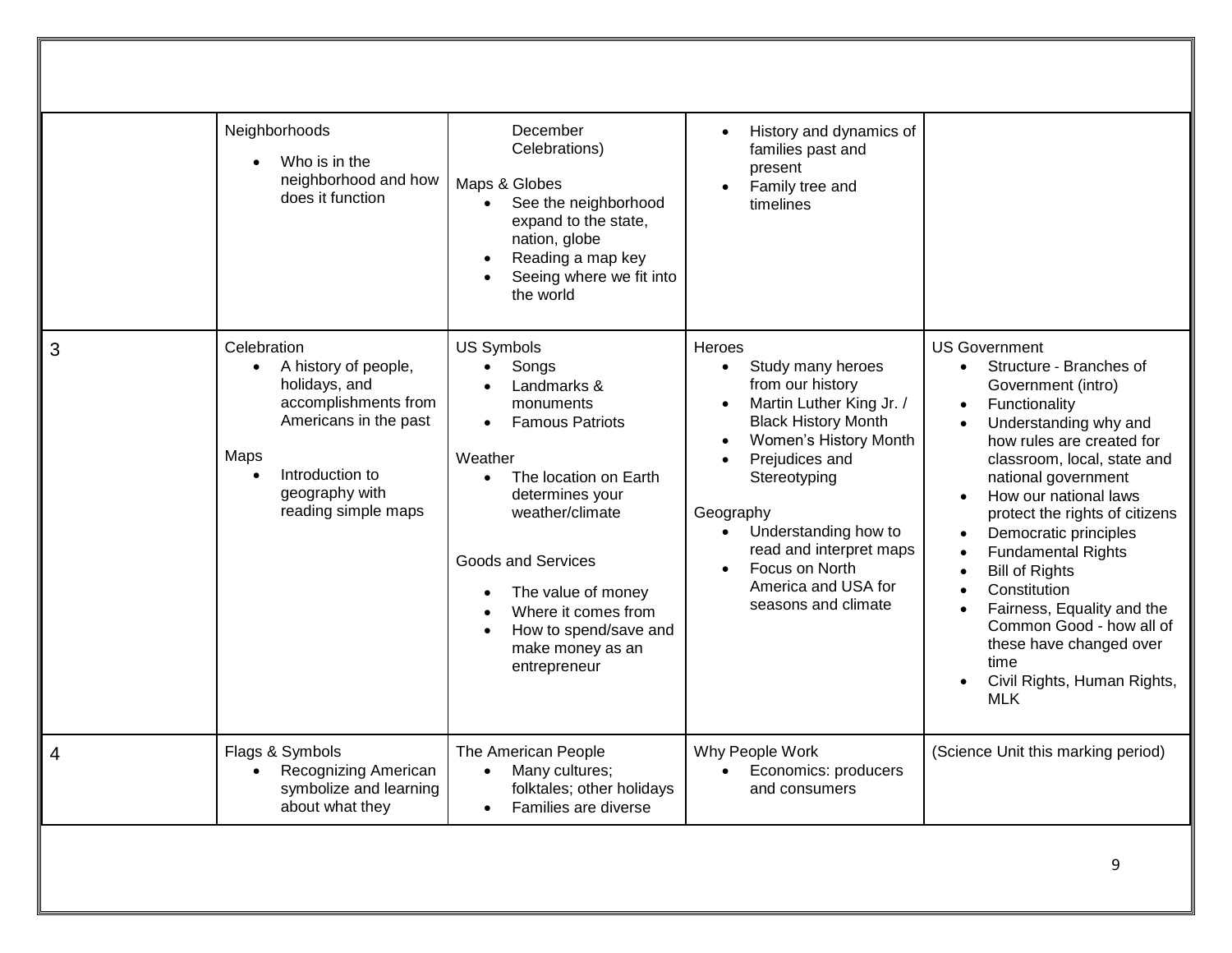|   | Neighborhoods<br>Who is in the<br>neighborhood and how<br>does it function                                                                                                             | December<br>Celebrations)<br>Maps & Globes<br>See the neighborhood<br>$\bullet$<br>expand to the state,<br>nation, globe<br>Reading a map key<br>Seeing where we fit into<br>the world                                                                                                                         | History and dynamics of<br>$\bullet$<br>families past and<br>present<br>Family tree and<br>timelines                                                                                                                                                                                                                                                     |                                                                                                                                                                                                                                                                                                                                                                                                                                                                                                        |
|---|----------------------------------------------------------------------------------------------------------------------------------------------------------------------------------------|----------------------------------------------------------------------------------------------------------------------------------------------------------------------------------------------------------------------------------------------------------------------------------------------------------------|----------------------------------------------------------------------------------------------------------------------------------------------------------------------------------------------------------------------------------------------------------------------------------------------------------------------------------------------------------|--------------------------------------------------------------------------------------------------------------------------------------------------------------------------------------------------------------------------------------------------------------------------------------------------------------------------------------------------------------------------------------------------------------------------------------------------------------------------------------------------------|
| 3 | Celebration<br>A history of people,<br>$\bullet$<br>holidays, and<br>accomplishments from<br>Americans in the past<br>Maps<br>Introduction to<br>geography with<br>reading simple maps | <b>US Symbols</b><br>Songs<br>Landmarks &<br>monuments<br><b>Famous Patriots</b><br>Weather<br>The location on Earth<br>$\bullet$<br>determines your<br>weather/climate<br><b>Goods and Services</b><br>The value of money<br>Where it comes from<br>How to spend/save and<br>make money as an<br>entrepreneur | Heroes<br>Study many heroes<br>$\bullet$<br>from our history<br>Martin Luther King Jr. /<br><b>Black History Month</b><br>Women's History Month<br>$\bullet$<br>Prejudices and<br>Stereotyping<br>Geography<br>Understanding how to<br>$\bullet$<br>read and interpret maps<br>Focus on North<br>$\bullet$<br>America and USA for<br>seasons and climate | <b>US Government</b><br>Structure - Branches of<br>Government (intro)<br>Functionality<br>Understanding why and<br>how rules are created for<br>classroom, local, state and<br>national government<br>How our national laws<br>protect the rights of citizens<br>Democratic principles<br><b>Fundamental Rights</b><br><b>Bill of Rights</b><br>Constitution<br>Fairness, Equality and the<br>Common Good - how all of<br>these have changed over<br>time<br>Civil Rights, Human Rights,<br><b>MLK</b> |
| 4 | Flags & Symbols<br>Recognizing American<br>symbolize and learning<br>about what they                                                                                                   | The American People<br>Many cultures;<br>$\bullet$<br>folktales; other holidays<br>Families are diverse<br>$\bullet$                                                                                                                                                                                           | Why People Work<br>Economics: producers<br>$\bullet$<br>and consumers                                                                                                                                                                                                                                                                                    | (Science Unit this marking period)                                                                                                                                                                                                                                                                                                                                                                                                                                                                     |
|   |                                                                                                                                                                                        |                                                                                                                                                                                                                                                                                                                |                                                                                                                                                                                                                                                                                                                                                          | 9                                                                                                                                                                                                                                                                                                                                                                                                                                                                                                      |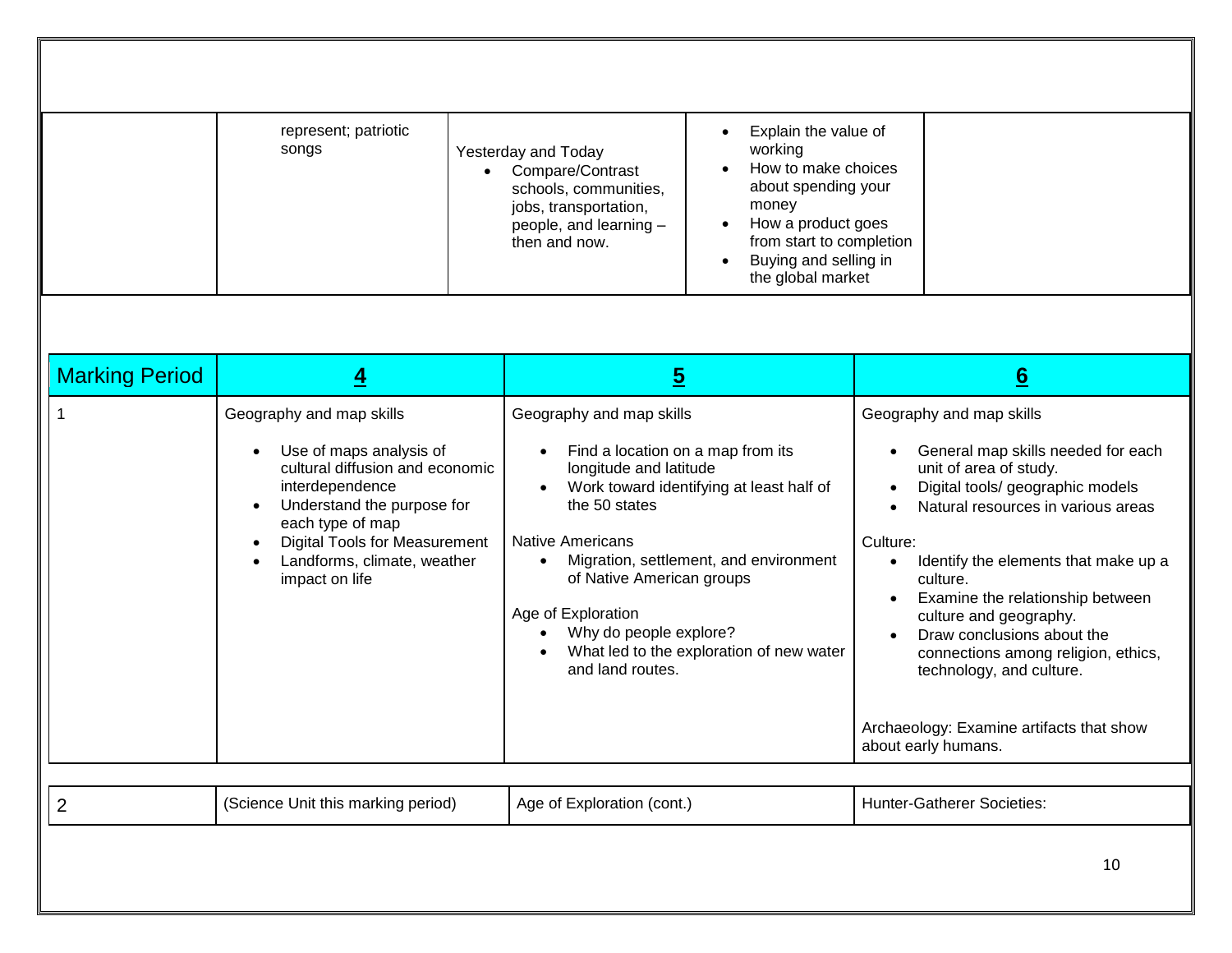|                       | represent; patriotic<br>songs<br>$\bullet$                                                                                                                                                                                                           | Explain the value of<br>$\bullet$<br>working<br>Yesterday and Today<br>How to make choices<br>Compare/Contrast<br>about spending your<br>schools, communities,<br>money<br>jobs, transportation,<br>How a product goes<br>people, and learning -<br>from start to completion<br>then and now.<br>Buying and selling in<br>the global market                            |                                                                                                                                                                                                                                                                                                                                                                                                                                                                      |
|-----------------------|------------------------------------------------------------------------------------------------------------------------------------------------------------------------------------------------------------------------------------------------------|------------------------------------------------------------------------------------------------------------------------------------------------------------------------------------------------------------------------------------------------------------------------------------------------------------------------------------------------------------------------|----------------------------------------------------------------------------------------------------------------------------------------------------------------------------------------------------------------------------------------------------------------------------------------------------------------------------------------------------------------------------------------------------------------------------------------------------------------------|
| <b>Marking Period</b> | $\overline{4}$                                                                                                                                                                                                                                       | $\overline{5}$                                                                                                                                                                                                                                                                                                                                                         | 6                                                                                                                                                                                                                                                                                                                                                                                                                                                                    |
|                       | Geography and map skills<br>Use of maps analysis of<br>cultural diffusion and economic<br>interdependence<br>Understand the purpose for<br>each type of map<br><b>Digital Tools for Measurement</b><br>Landforms, climate, weather<br>impact on life | Geography and map skills<br>Find a location on a map from its<br>longitude and latitude<br>Work toward identifying at least half of<br>the 50 states<br><b>Native Americans</b><br>Migration, settlement, and environment<br>of Native American groups<br>Age of Exploration<br>Why do people explore?<br>What led to the exploration of new water<br>and land routes. | Geography and map skills<br>General map skills needed for each<br>unit of area of study.<br>Digital tools/ geographic models<br>Natural resources in various areas<br>Culture:<br>Identify the elements that make up a<br>culture.<br>Examine the relationship between<br>culture and geography.<br>Draw conclusions about the<br>connections among religion, ethics,<br>technology, and culture.<br>Archaeology: Examine artifacts that show<br>about early humans. |
| 2                     | (Science Unit this marking period)                                                                                                                                                                                                                   | Age of Exploration (cont.)                                                                                                                                                                                                                                                                                                                                             | <b>Hunter-Gatherer Societies:</b>                                                                                                                                                                                                                                                                                                                                                                                                                                    |
|                       |                                                                                                                                                                                                                                                      |                                                                                                                                                                                                                                                                                                                                                                        | 10                                                                                                                                                                                                                                                                                                                                                                                                                                                                   |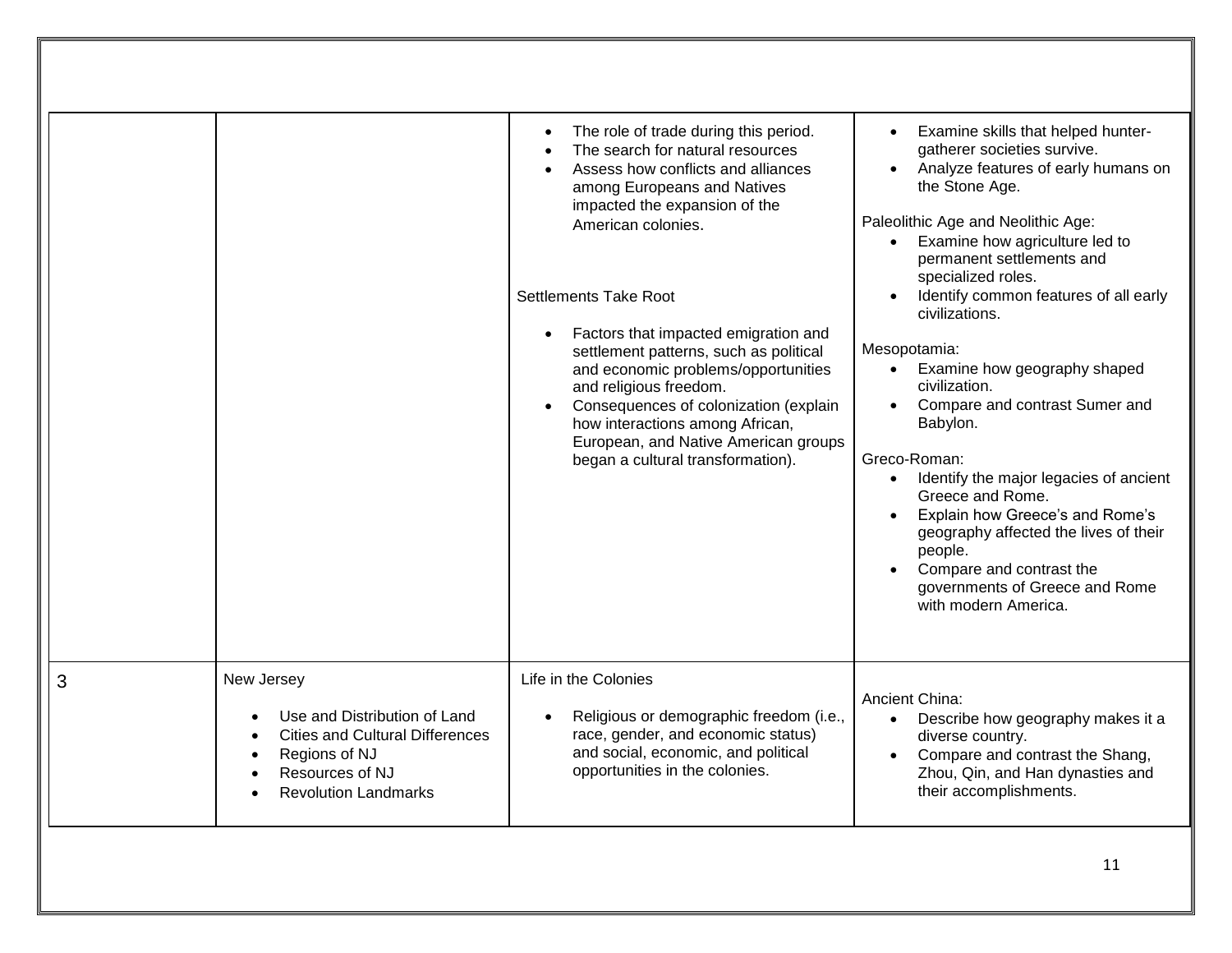|   |                                                                                                                                                         | The role of trade during this period.<br>$\bullet$<br>The search for natural resources<br>$\bullet$<br>Assess how conflicts and alliances<br>among Europeans and Natives<br>impacted the expansion of the<br>American colonies.<br><b>Settlements Take Root</b><br>Factors that impacted emigration and<br>$\bullet$<br>settlement patterns, such as political<br>and economic problems/opportunities<br>and religious freedom.<br>Consequences of colonization (explain<br>$\bullet$<br>how interactions among African,<br>European, and Native American groups<br>began a cultural transformation). | Examine skills that helped hunter-<br>gatherer societies survive.<br>Analyze features of early humans on<br>the Stone Age.<br>Paleolithic Age and Neolithic Age:<br>Examine how agriculture led to<br>$\bullet$<br>permanent settlements and<br>specialized roles.<br>Identify common features of all early<br>civilizations.<br>Mesopotamia:<br>Examine how geography shaped<br>$\bullet$<br>civilization.<br>Compare and contrast Sumer and<br>Babylon.<br>Greco-Roman:<br>Identify the major legacies of ancient<br>$\bullet$<br>Greece and Rome.<br>Explain how Greece's and Rome's<br>geography affected the lives of their<br>people.<br>Compare and contrast the<br>governments of Greece and Rome<br>with modern America. |
|---|---------------------------------------------------------------------------------------------------------------------------------------------------------|-------------------------------------------------------------------------------------------------------------------------------------------------------------------------------------------------------------------------------------------------------------------------------------------------------------------------------------------------------------------------------------------------------------------------------------------------------------------------------------------------------------------------------------------------------------------------------------------------------|-----------------------------------------------------------------------------------------------------------------------------------------------------------------------------------------------------------------------------------------------------------------------------------------------------------------------------------------------------------------------------------------------------------------------------------------------------------------------------------------------------------------------------------------------------------------------------------------------------------------------------------------------------------------------------------------------------------------------------------|
| 3 | New Jersey<br>Use and Distribution of Land<br><b>Cities and Cultural Differences</b><br>Regions of NJ<br>Resources of NJ<br><b>Revolution Landmarks</b> | Life in the Colonies<br>Religious or demographic freedom (i.e.,<br>race, gender, and economic status)<br>and social, economic, and political<br>opportunities in the colonies.                                                                                                                                                                                                                                                                                                                                                                                                                        | Ancient China:<br>Describe how geography makes it a<br>$\bullet$<br>diverse country.<br>Compare and contrast the Shang,<br>$\bullet$<br>Zhou, Qin, and Han dynasties and<br>their accomplishments.                                                                                                                                                                                                                                                                                                                                                                                                                                                                                                                                |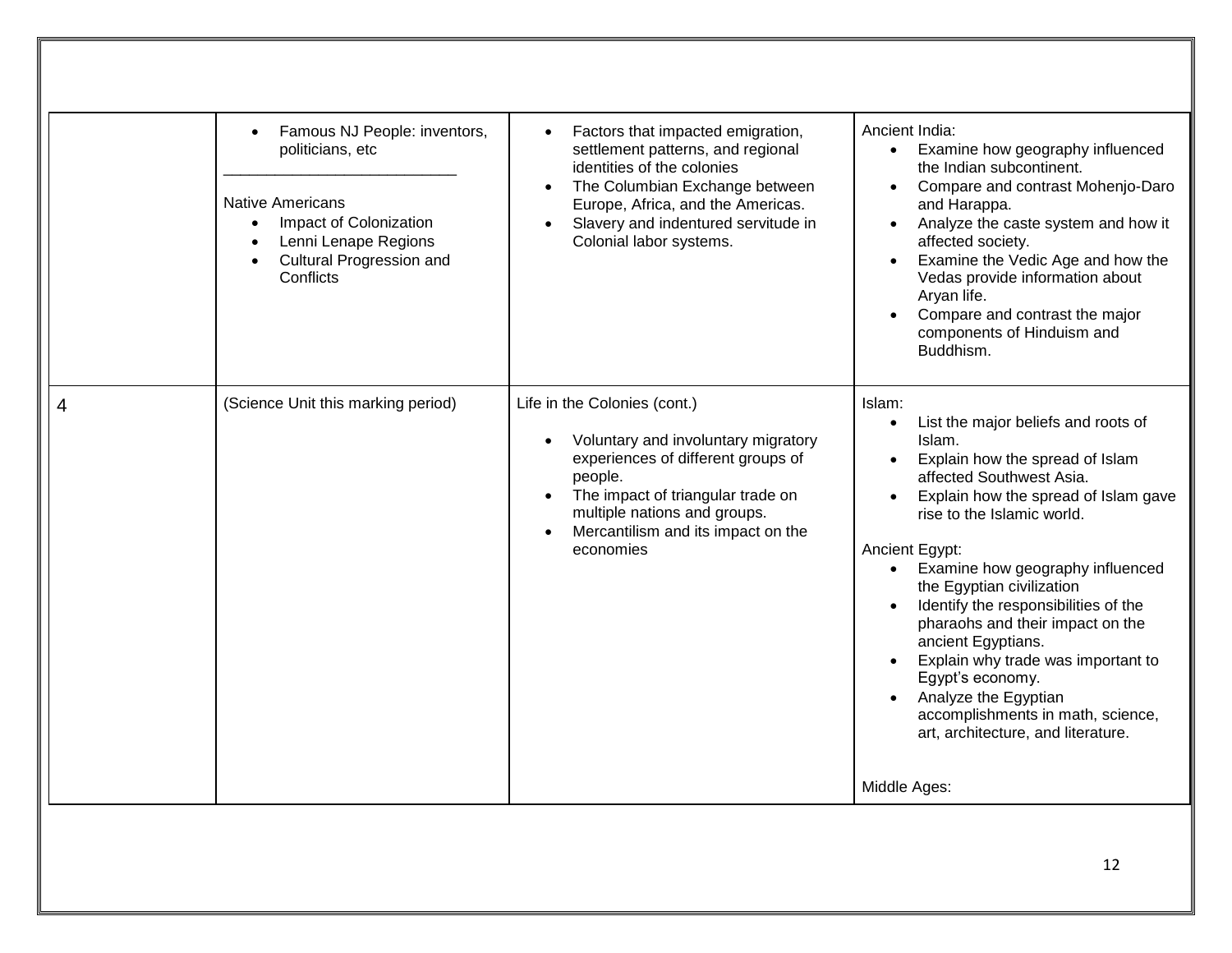|   | Famous NJ People: inventors,<br>$\bullet$<br>politicians, etc<br><b>Native Americans</b><br>Impact of Colonization<br>Lenni Lenape Regions<br><b>Cultural Progression and</b><br>Conflicts | Factors that impacted emigration,<br>$\bullet$<br>settlement patterns, and regional<br>identities of the colonies<br>The Columbian Exchange between<br>Europe, Africa, and the Americas.<br>Slavery and indentured servitude in<br>Colonial labor systems. | Ancient India:<br>Examine how geography influenced<br>$\bullet$<br>the Indian subcontinent.<br>Compare and contrast Mohenjo-Daro<br>$\bullet$<br>and Harappa.<br>Analyze the caste system and how it<br>affected society.<br>Examine the Vedic Age and how the<br>Vedas provide information about<br>Aryan life.<br>Compare and contrast the major<br>components of Hinduism and<br>Buddhism.                                                                                                                                                                            |
|---|--------------------------------------------------------------------------------------------------------------------------------------------------------------------------------------------|------------------------------------------------------------------------------------------------------------------------------------------------------------------------------------------------------------------------------------------------------------|--------------------------------------------------------------------------------------------------------------------------------------------------------------------------------------------------------------------------------------------------------------------------------------------------------------------------------------------------------------------------------------------------------------------------------------------------------------------------------------------------------------------------------------------------------------------------|
| 4 | (Science Unit this marking period)                                                                                                                                                         | Life in the Colonies (cont.)<br>Voluntary and involuntary migratory<br>experiences of different groups of<br>people.<br>The impact of triangular trade on<br>multiple nations and groups.<br>Mercantilism and its impact on the<br>economies               | Islam:<br>List the major beliefs and roots of<br>$\bullet$<br>Islam.<br>Explain how the spread of Islam<br>affected Southwest Asia.<br>Explain how the spread of Islam gave<br>rise to the Islamic world.<br>Ancient Egypt:<br>Examine how geography influenced<br>$\bullet$<br>the Egyptian civilization<br>Identify the responsibilities of the<br>pharaohs and their impact on the<br>ancient Egyptians.<br>Explain why trade was important to<br>Egypt's economy.<br>Analyze the Egyptian<br>accomplishments in math, science,<br>art, architecture, and literature. |
|   |                                                                                                                                                                                            |                                                                                                                                                                                                                                                            | Middle Ages:                                                                                                                                                                                                                                                                                                                                                                                                                                                                                                                                                             |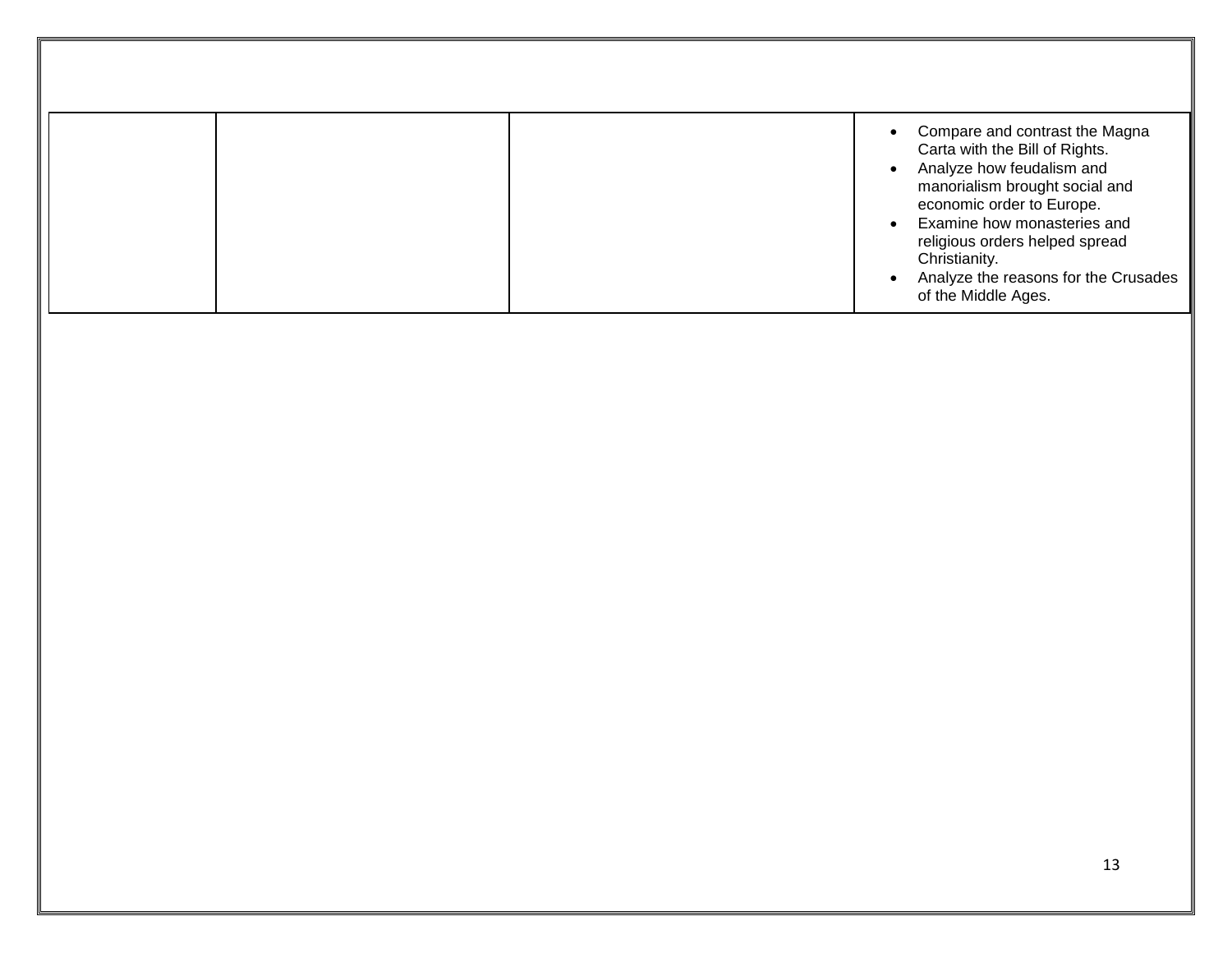|  | Compare and contrast the Magna                                                                                                                |
|--|-----------------------------------------------------------------------------------------------------------------------------------------------|
|  | Carta with the Bill of Rights.<br>Analyze how feudalism and<br>manorialism brought social and<br>economic order to Europe.                    |
|  | Examine how monasteries and<br>religious orders helped spread<br>Christianity.<br>Analyze the reasons for the Crusades<br>of the Middle Ages. |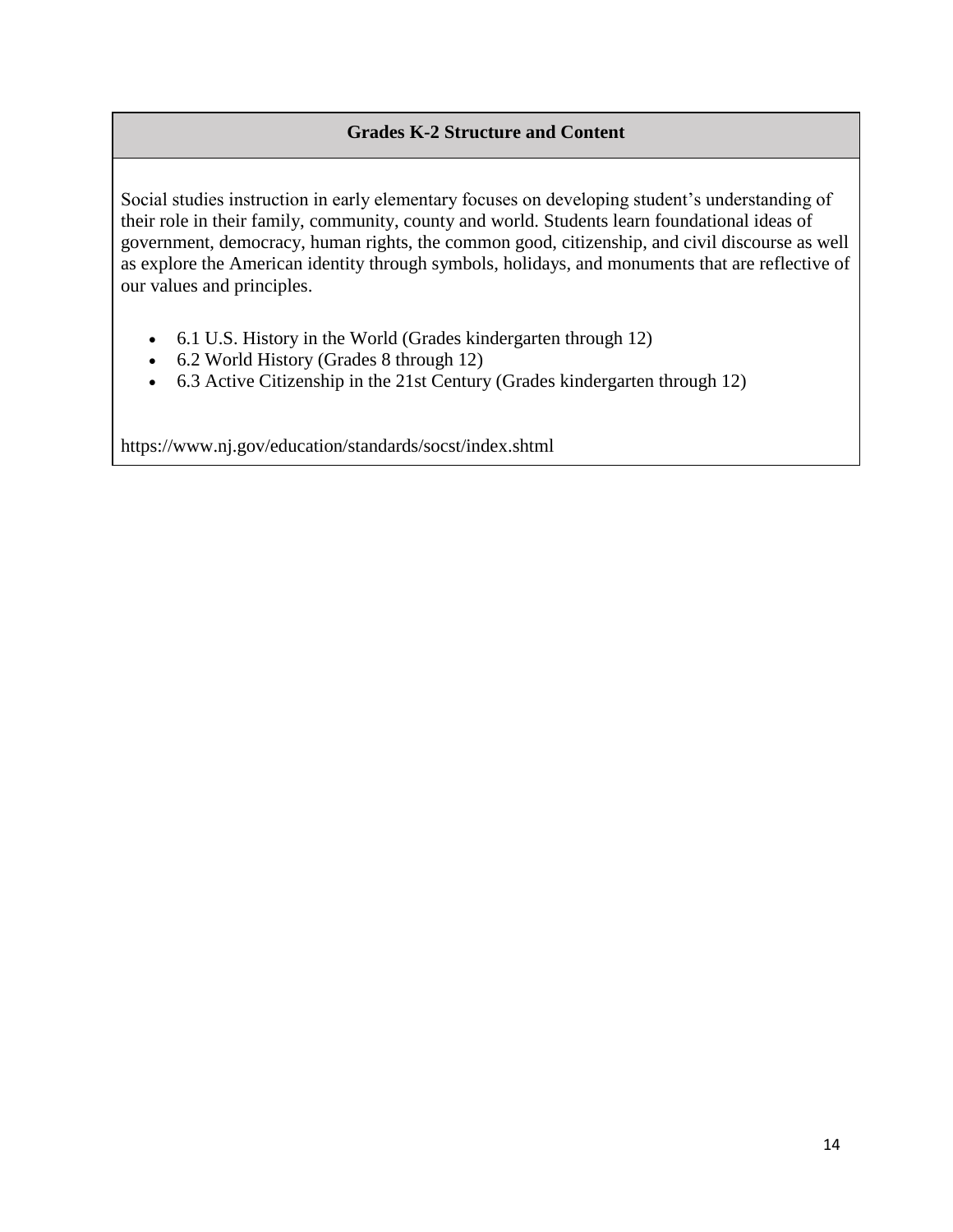#### **Grades K-2 Structure and Content**

Social studies instruction in early elementary focuses on developing student's understanding of their role in their family, community, county and world. Students learn foundational ideas of government, democracy, human rights, the common good, citizenship, and civil discourse as well as explore the American identity through symbols, holidays, and monuments that are reflective of our values and principles.

- 6.1 U.S. History in the World (Grades kindergarten through 12)
- 6.2 World History (Grades 8 through 12)
- 6.3 Active Citizenship in the 21st Century (Grades kindergarten through 12)

https://www.nj.gov/education/standards/socst/index.shtml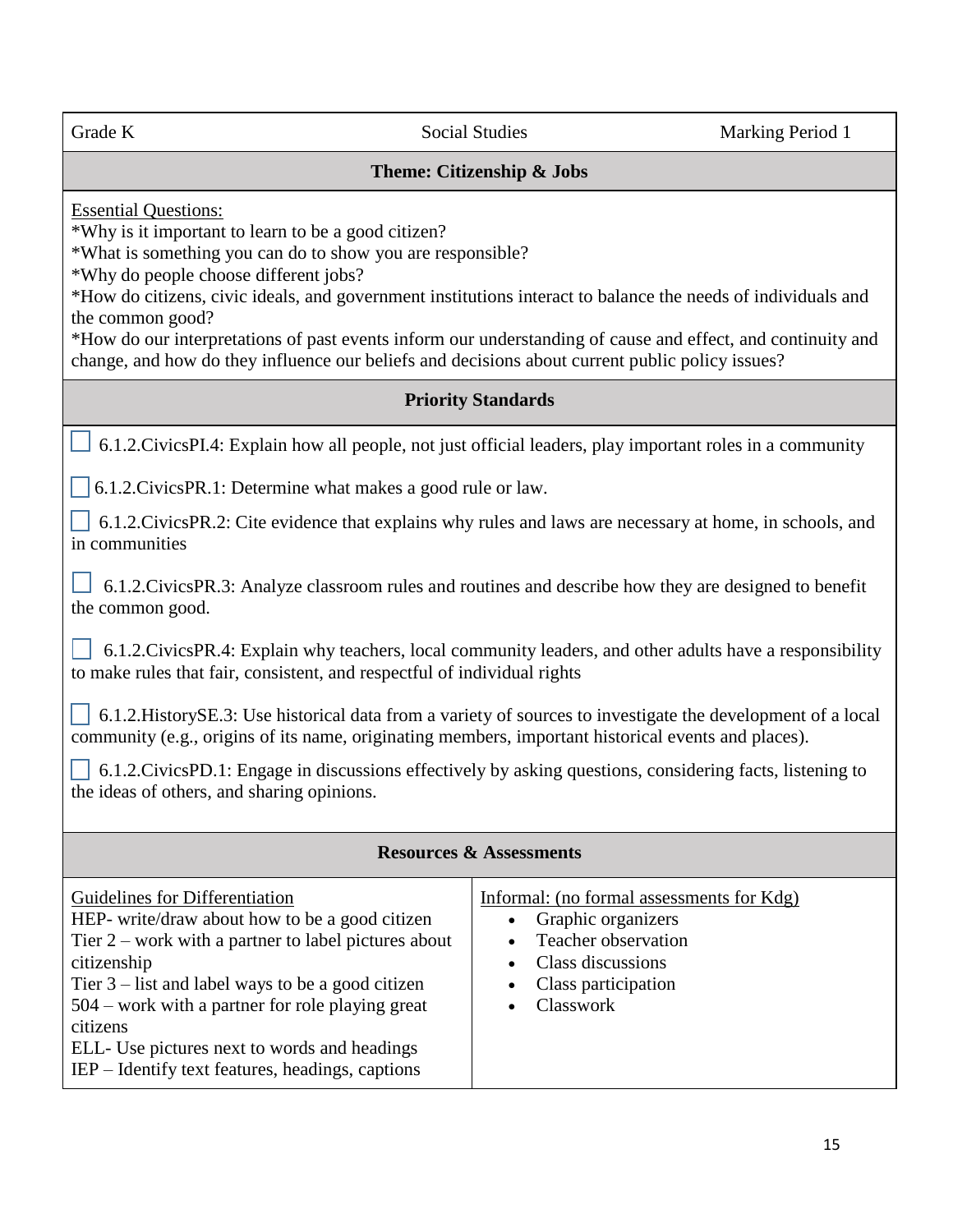Grade K Social Studies Marking Period 1 **Theme: Citizenship & Jobs** Essential Questions: \*Why is it important to learn to be a good citizen? \*What is something you can do to show you are responsible? \*Why do people choose different jobs? \*How do citizens, civic ideals, and government institutions interact to balance the needs of individuals and the common good? \*How do our interpretations of past events inform our understanding of cause and effect, and continuity and change, and how do they influence our beliefs and decisions about current public policy issues? **Priority Standards** 6.1.2.CivicsPI.4: Explain how all people, not just official leaders, play important roles in a community 6.1.2.CivicsPR.1: Determine what makes a good rule or law. 6.1.2.CivicsPR.2: Cite evidence that explains why rules and laws are necessary at home, in schools, and in communities  $\perp$  6.1.2. Civics PR.3: Analyze classroom rules and routines and describe how they are designed to benefit the common good. 6.1.2.CivicsPR.4: Explain why teachers, local community leaders, and other adults have a responsibility to make rules that fair, consistent, and respectful of individual rights  $\bigcup$  6.1.2. HistorySE.3: Use historical data from a variety of sources to investigate the development of a local community (e.g., origins of its name, originating members, important historical events and places). 6.1.2.CivicsPD.1: Engage in discussions effectively by asking questions, considering facts, listening to the ideas of others, and sharing opinions. **Resources & Assessments** Guidelines for Differentiation HEP- write/draw about how to be a good citizen Tier 2 – work with a partner to label pictures about citizenship Tier 3 – list and label ways to be a good citizen 504 – work with a partner for role playing great citizens Informal: (no formal assessments for Kdg) • Graphic organizers • Teacher observation • Class discussions • Class participation • Classwork

ELL- Use pictures next to words and headings IEP – Identify text features, headings, captions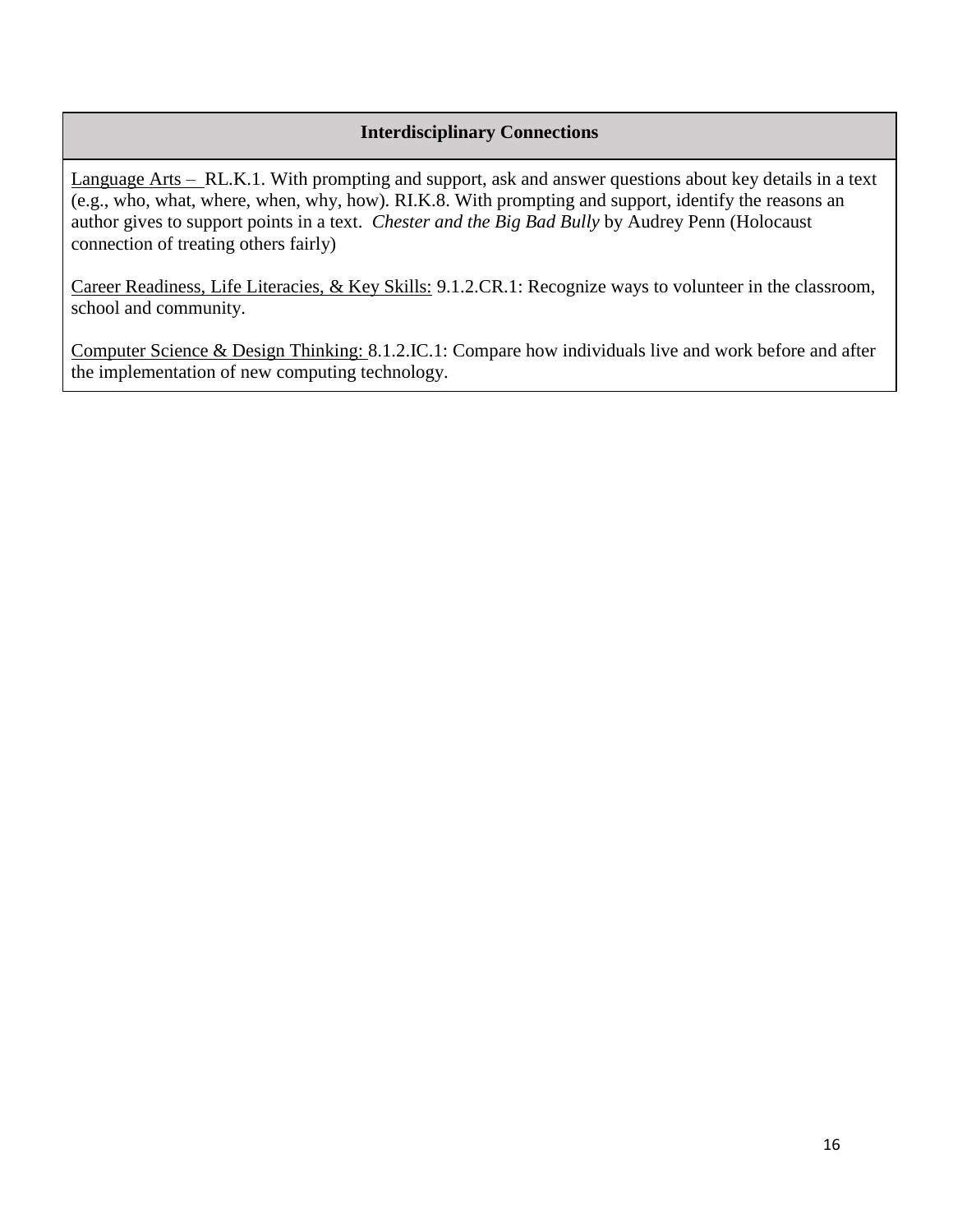#### **Interdisciplinary Connections**

Language Arts – RL.K.1. With prompting and support, ask and answer questions about key details in a text (e.g., who, what, where, when, why, how). RI.K.8. With prompting and support, identify the reasons an author gives to support points in a text. *Chester and the Big Bad Bully* by Audrey Penn (Holocaust connection of treating others fairly)

Career Readiness, Life Literacies, & Key Skills: 9.1.2.CR.1: Recognize ways to volunteer in the classroom, school and community.

Computer Science & Design Thinking: 8.1.2.IC.1: Compare how individuals live and work before and after the implementation of new computing technology.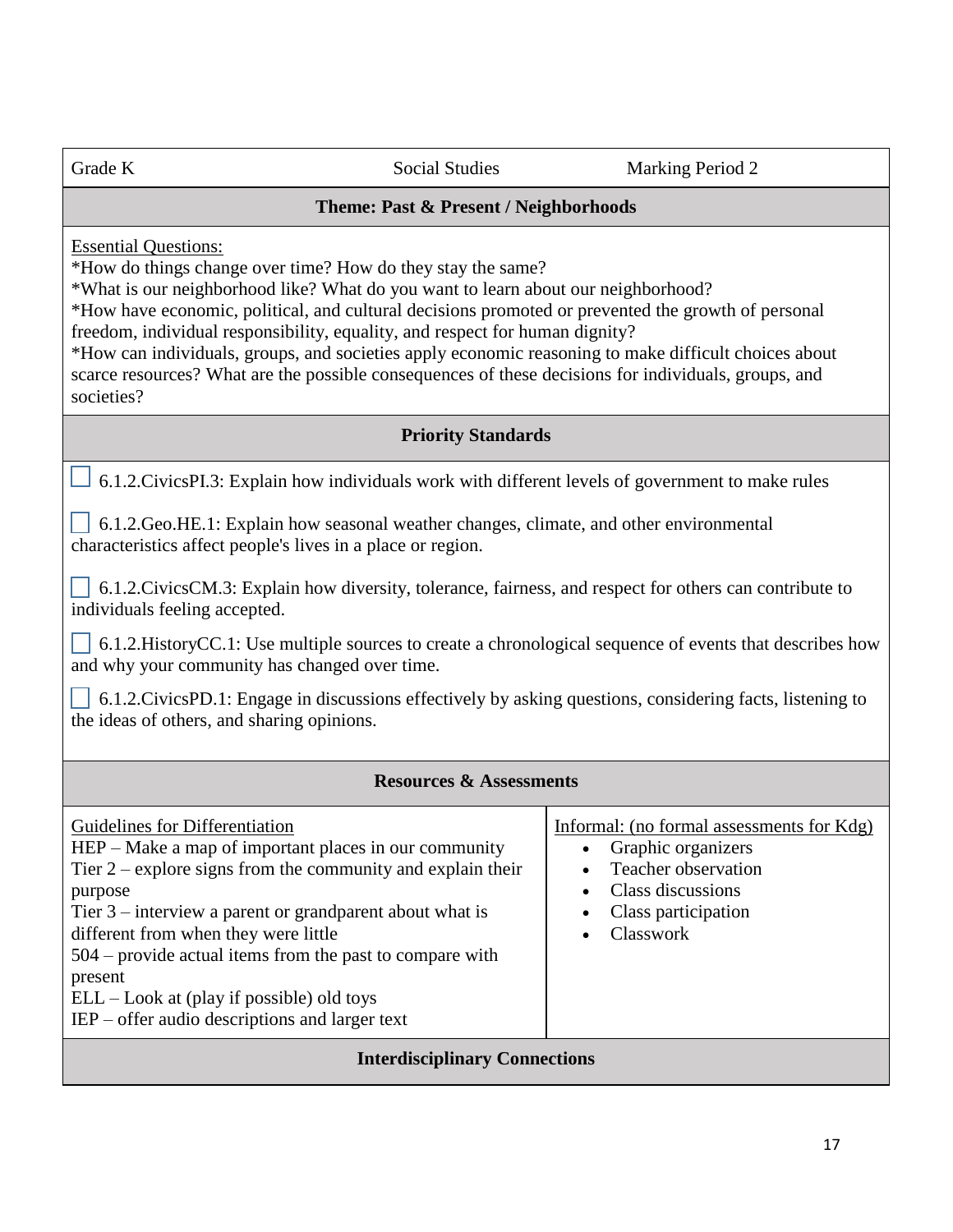Grade K Social Studies Marking Period 2

#### **Theme: Past & Present / Neighborhoods**

Essential Questions:

\*How do things change over time? How do they stay the same?

\*What is our neighborhood like? What do you want to learn about our neighborhood?

\*How have economic, political, and cultural decisions promoted or prevented the growth of personal freedom, individual responsibility, equality, and respect for human dignity?

\*How can individuals, groups, and societies apply economic reasoning to make difficult choices about scarce resources? What are the possible consequences of these decisions for individuals, groups, and societies?

#### **Priority Standards**

6.1.2.CivicsPI.3: Explain how individuals work with different levels of government to make rules

 6.1.2.Geo.HE.1: Explain how seasonal weather changes, climate, and other environmental characteristics affect people's lives in a place or region.

 6.1.2.CivicsCM.3: Explain how diversity, tolerance, fairness, and respect for others can contribute to individuals feeling accepted.

 6.1.2.HistoryCC.1: Use multiple sources to create a chronological sequence of events that describes how and why your community has changed over time.

 6.1.2.CivicsPD.1: Engage in discussions effectively by asking questions, considering facts, listening to the ideas of others, and sharing opinions.

#### **Resources & Assessments**

| Guidelines for Differentiation<br>HEP – Make a map of important places in our community<br>Tier $2$ – explore signs from the community and explain their<br>purpose<br>Tier $3$ – interview a parent or grandparent about what is<br>different from when they were little<br>$504$ – provide actual items from the past to compare with | Informal: (no formal assessments for Kdg)<br>Graphic organizers<br>Teacher observation<br>Class discussions<br>Class participation<br>Classwork |  |  |
|-----------------------------------------------------------------------------------------------------------------------------------------------------------------------------------------------------------------------------------------------------------------------------------------------------------------------------------------|-------------------------------------------------------------------------------------------------------------------------------------------------|--|--|
| present<br>$ELL - Look$ at (play if possible) old toys<br>$IEP$ – offer audio descriptions and larger text                                                                                                                                                                                                                              |                                                                                                                                                 |  |  |
| <b>Interdisciplinary Connections</b>                                                                                                                                                                                                                                                                                                    |                                                                                                                                                 |  |  |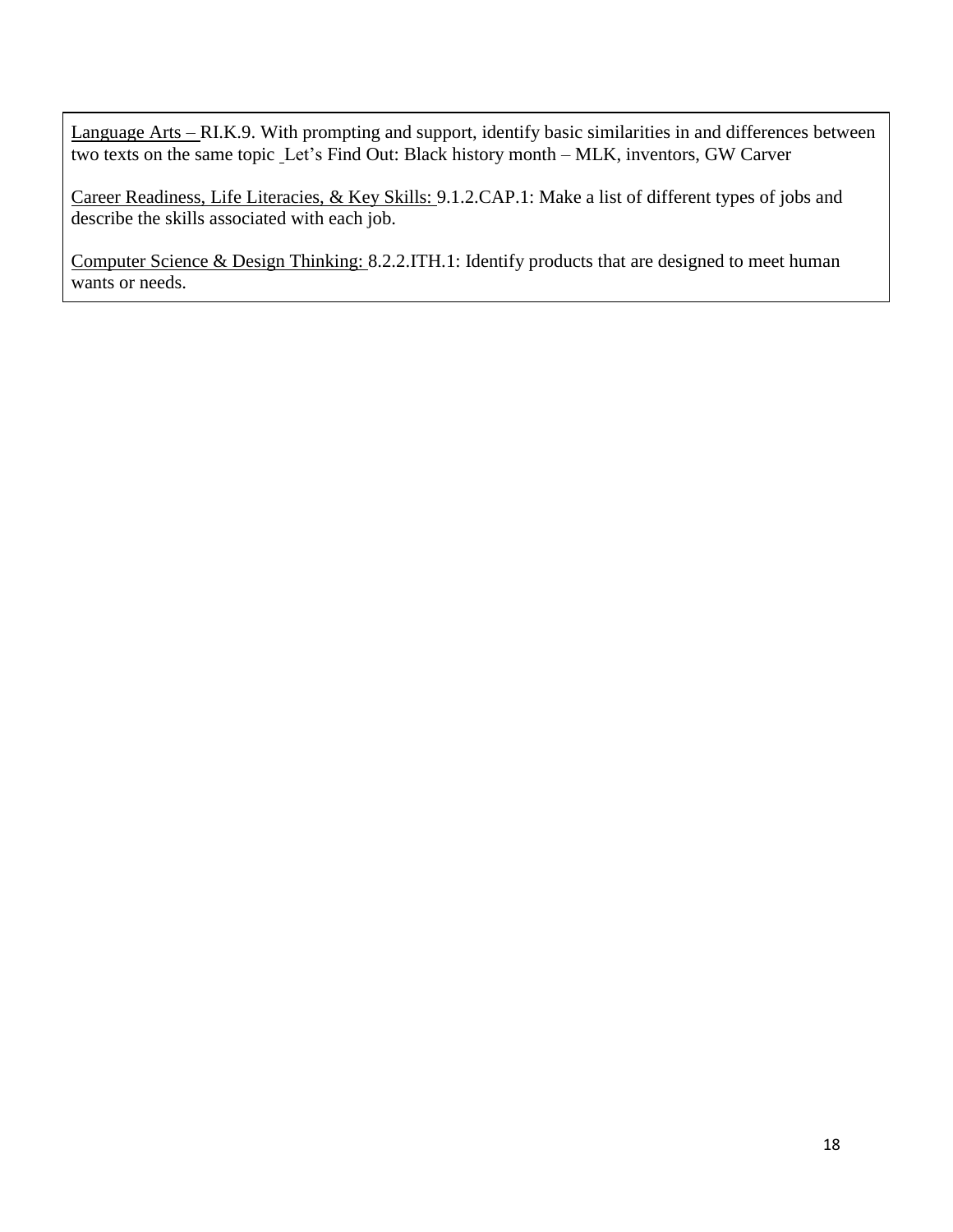Language Arts – RI.K.9. With prompting and support, identify basic similarities in and differences between two texts on the same topic Let's Find Out: Black history month – MLK, inventors, GW Carver

Career Readiness, Life Literacies, & Key Skills: 9.1.2.CAP.1: Make a list of different types of jobs and describe the skills associated with each job.

Computer Science & Design Thinking: 8.2.2.ITH.1: Identify products that are designed to meet human wants or needs.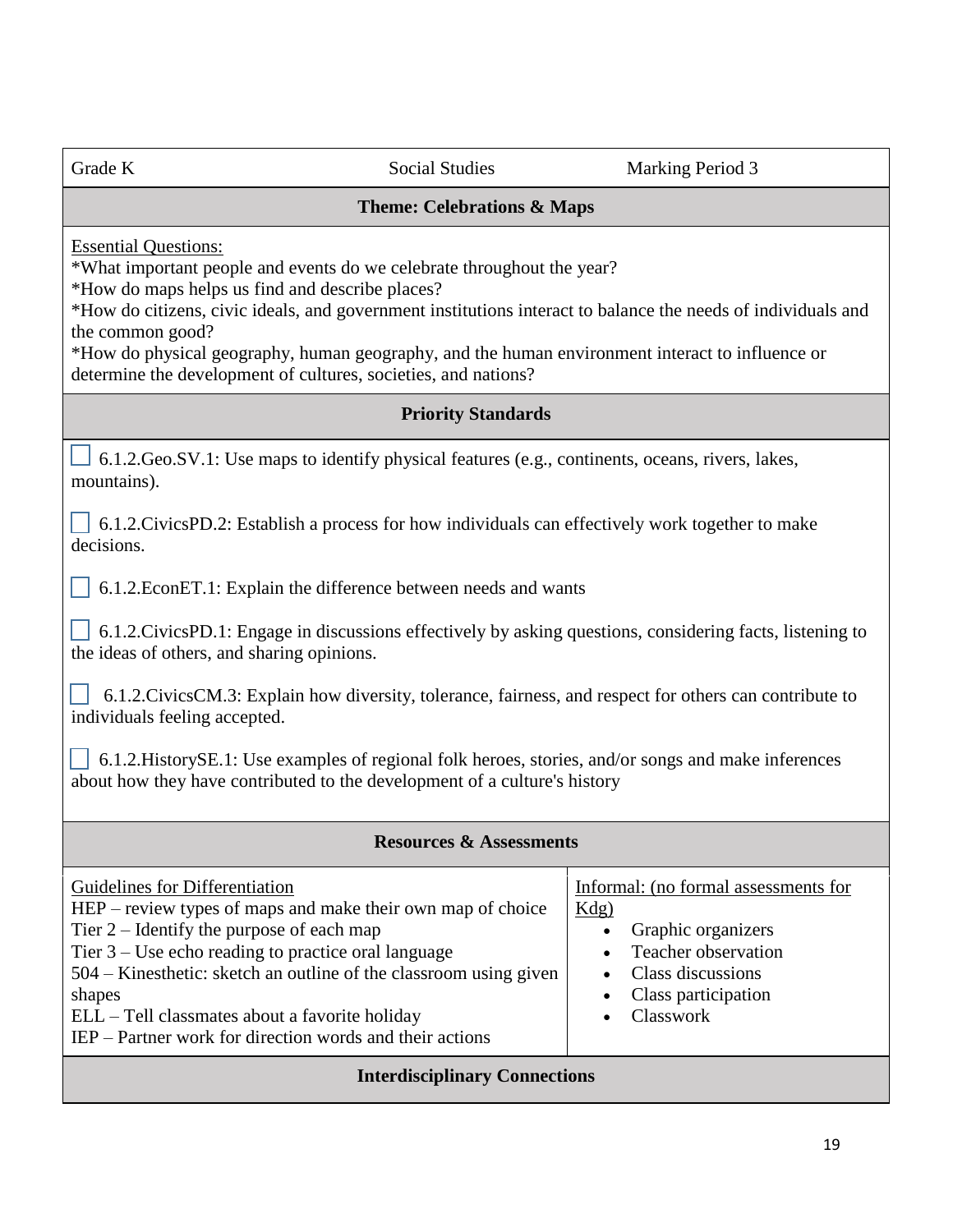Grade K Social Studies Marking Period 3

#### **Theme: Celebrations & Maps**

Essential Questions:

\*What important people and events do we celebrate throughout the year?

\*How do maps helps us find and describe places?

\*How do citizens, civic ideals, and government institutions interact to balance the needs of individuals and the common good?

\*How do physical geography, human geography, and the human environment interact to influence or determine the development of cultures, societies, and nations?

#### **Priority Standards**

 6.1.2.Geo.SV.1: Use maps to identify physical features (e.g., continents, oceans, rivers, lakes, mountains).

 $\vert$  6.1.2.CivicsPD.2: Establish a process for how individuals can effectively work together to make decisions.

6.1.2.EconET.1: Explain the difference between needs and wants

 $\Box$  6.1.2. Civics PD.1: Engage in discussions effectively by asking questions, considering facts, listening to the ideas of others, and sharing opinions.

 6.1.2.CivicsCM.3: Explain how diversity, tolerance, fairness, and respect for others can contribute to individuals feeling accepted.

 6.1.2.HistorySE.1: Use examples of regional folk heroes, stories, and/or songs and make inferences about how they have contributed to the development of a culture's history

#### **Resources & Assessments**

| Informal: (no formal assessments for<br>Graphic organizers<br>Teacher observation<br>Class discussions<br>Class participation<br>Classwork |
|--------------------------------------------------------------------------------------------------------------------------------------------|
|                                                                                                                                            |
|                                                                                                                                            |

#### **Interdisciplinary Connections**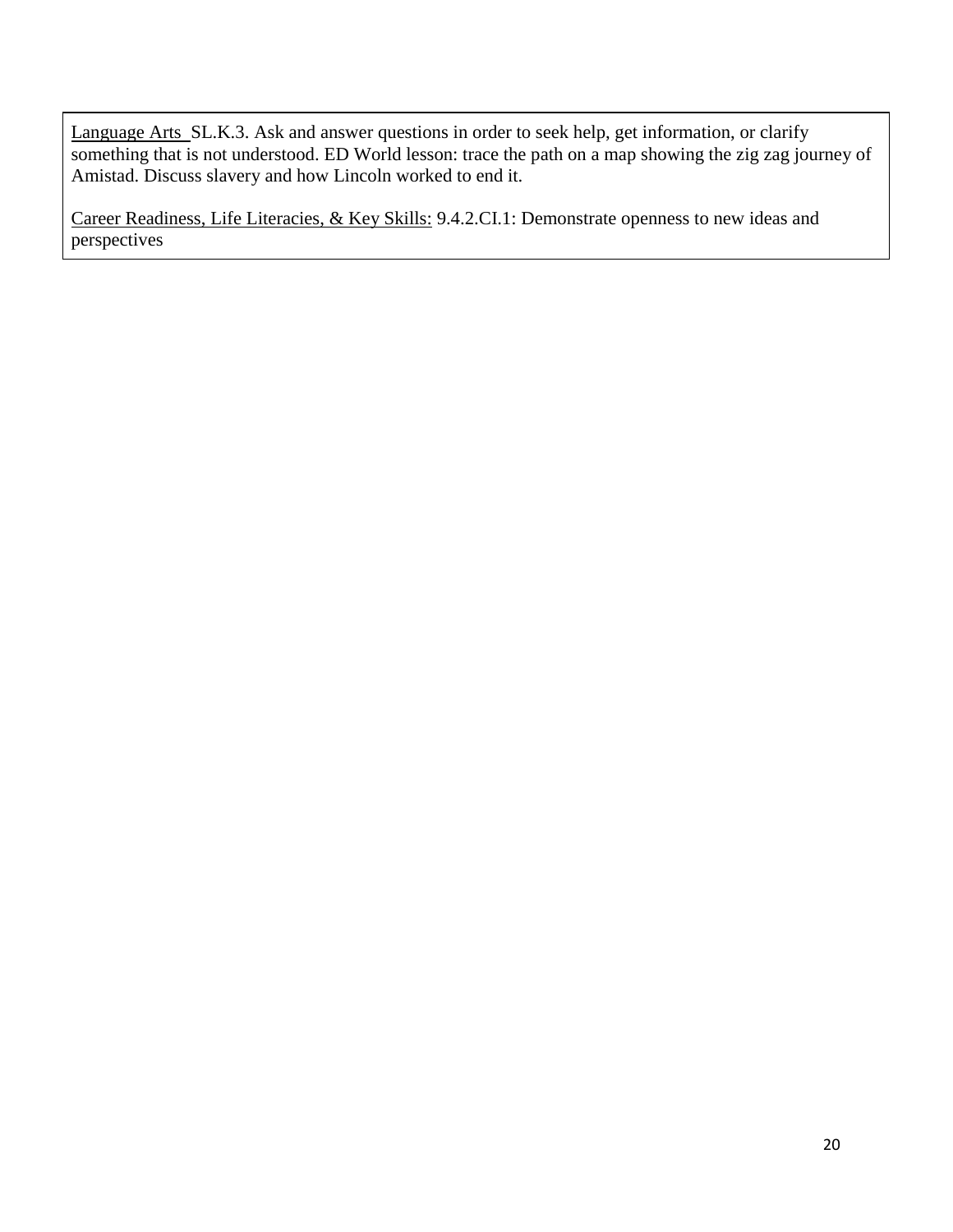Language Arts SL.K.3. Ask and answer questions in order to seek help, get information, or clarify something that is not understood. ED World lesson: trace the path on a map showing the zig zag journey of Amistad. Discuss slavery and how Lincoln worked to end it.

Career Readiness, Life Literacies, & Key Skills: 9.4.2.CI.1: Demonstrate openness to new ideas and perspectives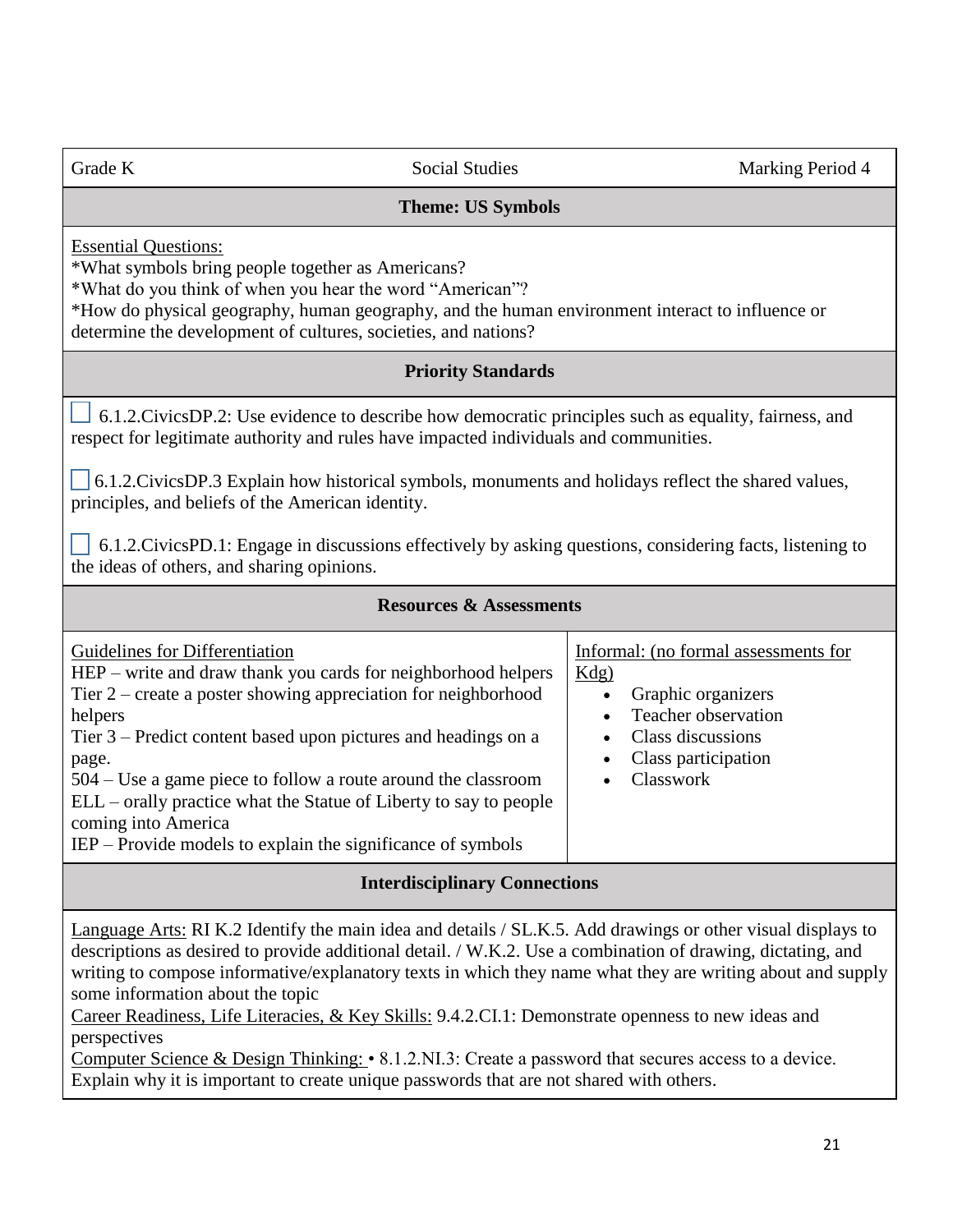#### **Theme: US Symbols**

Essential Questions:

\*What symbols bring people together as Americans?

\*What do you think of when you hear the word "American"?

\*How do physical geography, human geography, and the human environment interact to influence or determine the development of cultures, societies, and nations?

#### **Priority Standards**

 6.1.2.CivicsDP.2: Use evidence to describe how democratic principles such as equality, fairness, and respect for legitimate authority and rules have impacted individuals and communities.

 6.1.2.CivicsDP.3 Explain how historical symbols, monuments and holidays reflect the shared values, principles, and beliefs of the American identity.

 6.1.2.CivicsPD.1: Engage in discussions effectively by asking questions, considering facts, listening to the ideas of others, and sharing opinions.

| <b>Resources &amp; Assessments</b>                                                                                                                                                                                                                                                                                                                                                                                                                                                      |                                                                                                                                                       |
|-----------------------------------------------------------------------------------------------------------------------------------------------------------------------------------------------------------------------------------------------------------------------------------------------------------------------------------------------------------------------------------------------------------------------------------------------------------------------------------------|-------------------------------------------------------------------------------------------------------------------------------------------------------|
| Guidelines for Differentiation<br>HEP – write and draw thank you cards for neighborhood helpers<br>Tier $2$ – create a poster showing appreciation for neighborhood<br>helpers<br>Tier 3 – Predict content based upon pictures and headings on a<br>page.<br>$504 - Use$ a game piece to follow a route around the classroom<br>ELL – orally practice what the Statue of Liberty to say to people<br>coming into America<br>IEP – Provide models to explain the significance of symbols | Informal: (no formal assessments for<br>$Kdg$ )<br>Graphic organizers<br>Teacher observation<br>Class discussions<br>Class participation<br>Classwork |
|                                                                                                                                                                                                                                                                                                                                                                                                                                                                                         |                                                                                                                                                       |

#### **Interdisciplinary Connections**

Language Arts: RI K.2 Identify the main idea and details / SL.K.5. Add drawings or other visual displays to descriptions as desired to provide additional detail. / W.K.2. Use a combination of drawing, dictating, and writing to compose informative/explanatory texts in which they name what they are writing about and supply some information about the topic

Career Readiness, Life Literacies, & Key Skills: 9.4.2.CI.1: Demonstrate openness to new ideas and perspectives

Computer Science & Design Thinking: • 8.1.2.NI.3: Create a password that secures access to a device. Explain why it is important to create unique passwords that are not shared with others.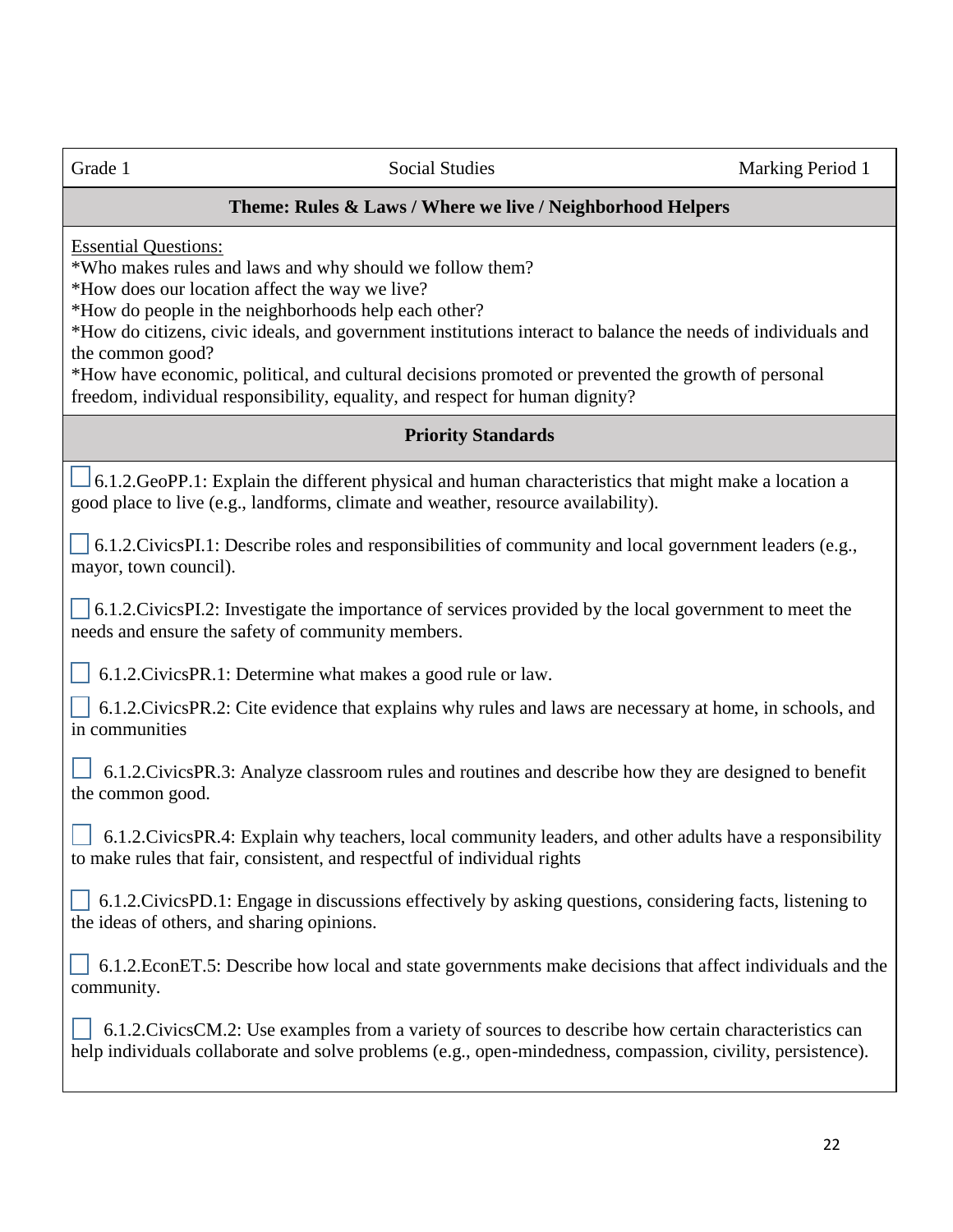#### **Theme: Rules & Laws / Where we live / Neighborhood Helpers**

Essential Questions:

\*Who makes rules and laws and why should we follow them?

\*How does our location affect the way we live?

\*How do people in the neighborhoods help each other?

\*How do citizens, civic ideals, and government institutions interact to balance the needs of individuals and the common good?

\*How have economic, political, and cultural decisions promoted or prevented the growth of personal freedom, individual responsibility, equality, and respect for human dignity?

#### **Priority Standards**

 6.1.2.GeoPP.1: Explain the different physical and human characteristics that might make a location a good place to live (e.g., landforms, climate and weather, resource availability).

 6.1.2.CivicsPI.1: Describe roles and responsibilities of community and local government leaders (e.g., mayor, town council).

 6.1.2.CivicsPI.2: Investigate the importance of services provided by the local government to meet the needs and ensure the safety of community members.

6.1.2.CivicsPR.1: Determine what makes a good rule or law.

 6.1.2.CivicsPR.2: Cite evidence that explains why rules and laws are necessary at home, in schools, and in communities

 6.1.2.CivicsPR.3: Analyze classroom rules and routines and describe how they are designed to benefit the common good.

 6.1.2.CivicsPR.4: Explain why teachers, local community leaders, and other adults have a responsibility to make rules that fair, consistent, and respectful of individual rights

 6.1.2.CivicsPD.1: Engage in discussions effectively by asking questions, considering facts, listening to the ideas of others, and sharing opinions.

| $\Box$ 6.1.2. EconET.5: Describe how local and state governments make decisions that affect individuals and the |  |  |
|-----------------------------------------------------------------------------------------------------------------|--|--|
| community.                                                                                                      |  |  |

 6.1.2.CivicsCM.2: Use examples from a variety of sources to describe how certain characteristics can help individuals collaborate and solve problems (e.g., open-mindedness, compassion, civility, persistence).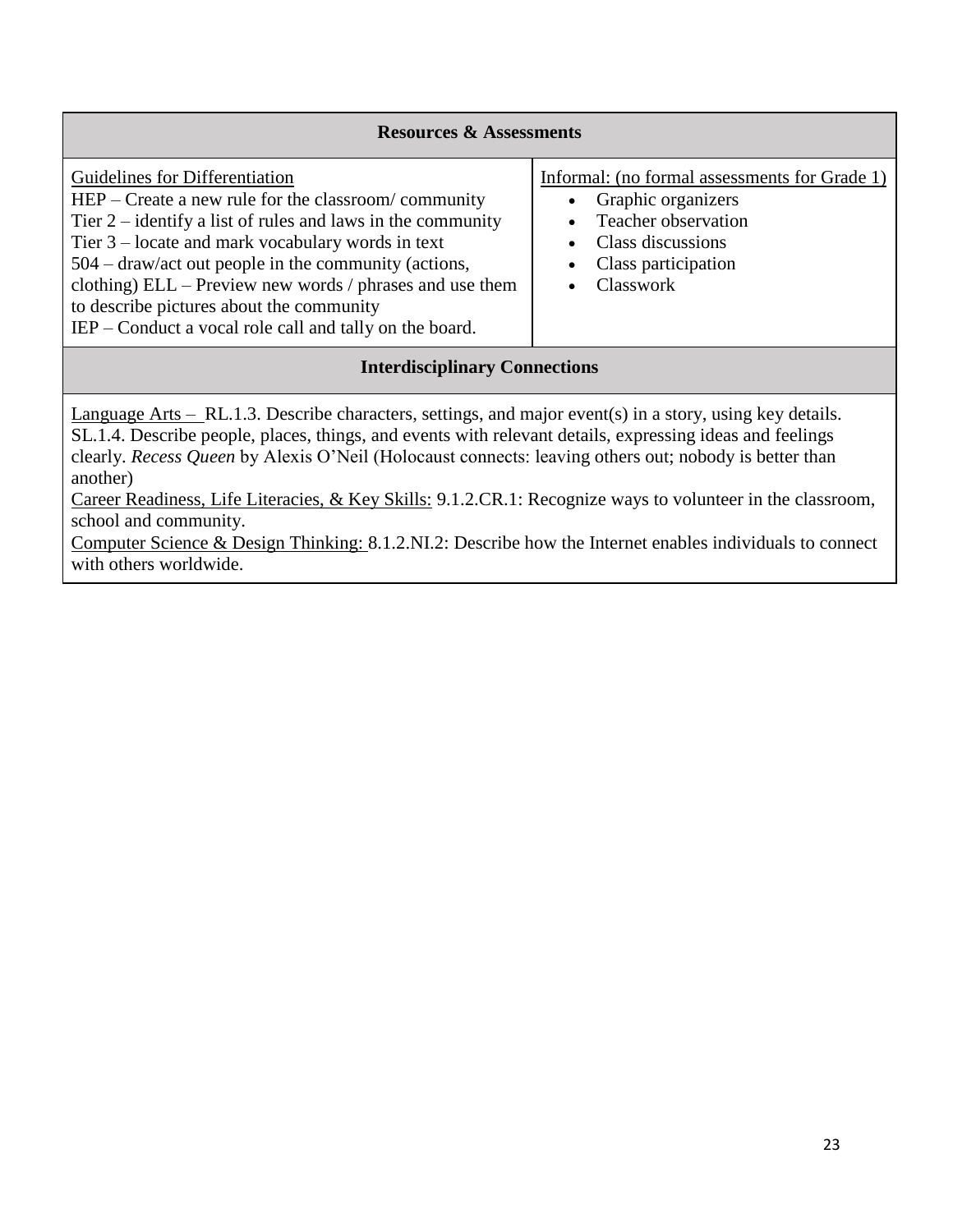| <b>Resources &amp; Assessments</b>                                                                                                                                                                                                                                                                                                                                                                                                           |                                                                                                                                                     |  |
|----------------------------------------------------------------------------------------------------------------------------------------------------------------------------------------------------------------------------------------------------------------------------------------------------------------------------------------------------------------------------------------------------------------------------------------------|-----------------------------------------------------------------------------------------------------------------------------------------------------|--|
| Guidelines for Differentiation<br>$HEP - Create$ a new rule for the classroom/community<br>Tier $2$ – identify a list of rules and laws in the community<br>Tier $3$ – locate and mark vocabulary words in text<br>$504 -$ draw/act out people in the community (actions,<br>clothing) ELL – Preview new words / phrases and use them<br>to describe pictures about the community<br>IEP – Conduct a vocal role call and tally on the board. | Informal: (no formal assessments for Grade 1)<br>Graphic organizers<br>Teacher observation<br>Class discussions<br>Class participation<br>Classwork |  |

#### **Interdisciplinary Connections**

Language Arts – RL.1.3. Describe characters, settings, and major event(s) in a story, using key details. SL.1.4. Describe people, places, things, and events with relevant details, expressing ideas and feelings clearly. *Recess Queen* by Alexis O'Neil (Holocaust connects: leaving others out; nobody is better than another)

Career Readiness, Life Literacies, & Key Skills: 9.1.2.CR.1: Recognize ways to volunteer in the classroom, school and community.

Computer Science & Design Thinking: 8.1.2.NI.2: Describe how the Internet enables individuals to connect with others worldwide.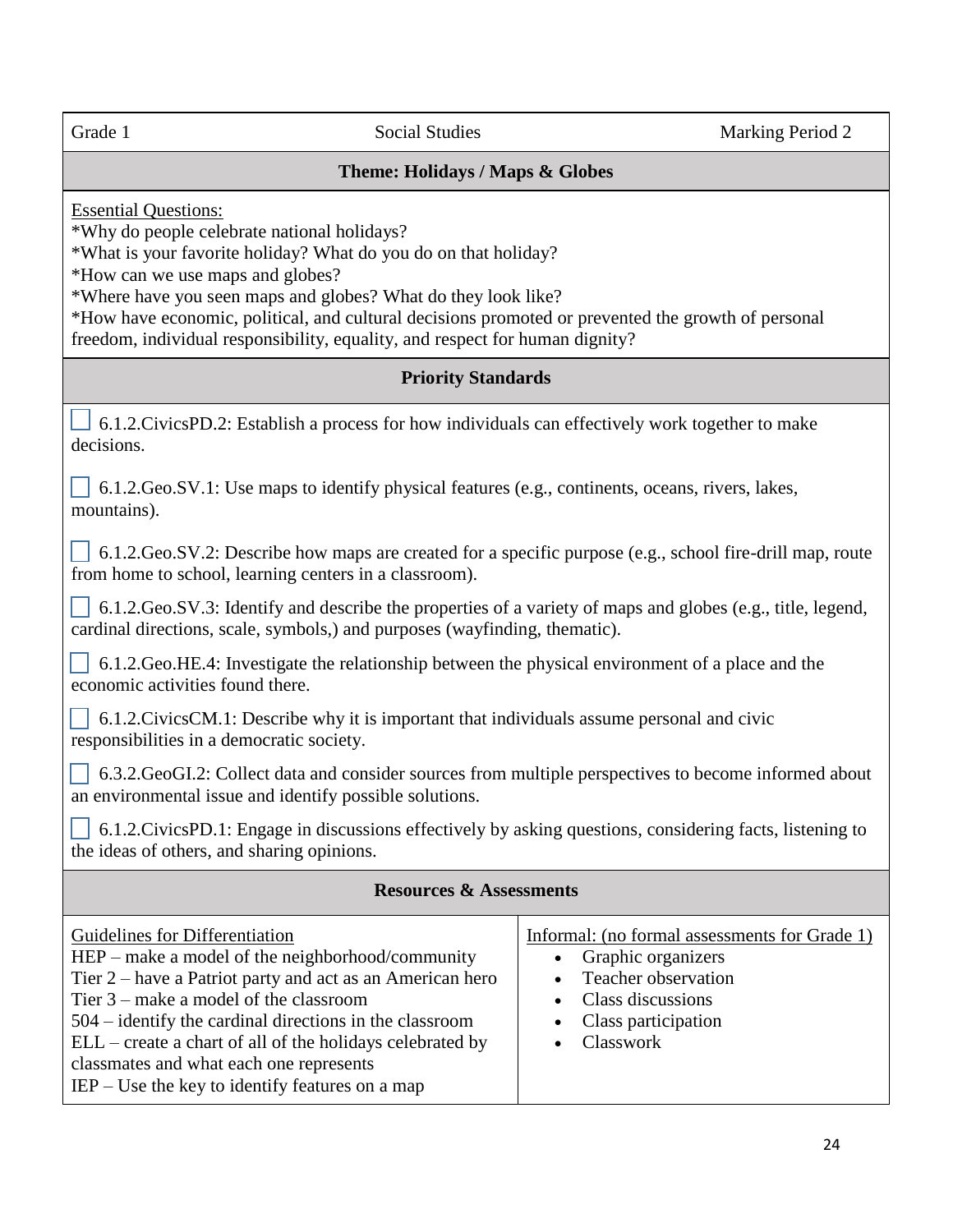#### **Theme: Holidays / Maps & Globes**

Essential Questions:

\*Why do people celebrate national holidays?

\*What is your favorite holiday? What do you do on that holiday?

\*How can we use maps and globes?

\*Where have you seen maps and globes? What do they look like?

\*How have economic, political, and cultural decisions promoted or prevented the growth of personal freedom, individual responsibility, equality, and respect for human dignity?

#### **Priority Standards**

 6.1.2.CivicsPD.2: Establish a process for how individuals can effectively work together to make decisions.

 $\Box$  6.1.2.Geo.SV.1: Use maps to identify physical features (e.g., continents, oceans, rivers, lakes, mountains).

 $\Box$  6.1.2.Geo.SV.2: Describe how maps are created for a specific purpose (e.g., school fire-drill map, route from home to school, learning centers in a classroom).

 $\vert \cdot \vert$  6.1.2.Geo.SV.3: Identify and describe the properties of a variety of maps and globes (e.g., title, legend, cardinal directions, scale, symbols,) and purposes (wayfinding, thematic).

 6.1.2.Geo.HE.4: Investigate the relationship between the physical environment of a place and the economic activities found there.

| 6.1.2. Civics CM.1: Describe why it is important that individuals assume personal and civic |  |
|---------------------------------------------------------------------------------------------|--|
| responsibilities in a democratic society.                                                   |  |

 6.3.2.GeoGI.2: Collect data and consider sources from multiple perspectives to become informed about an environmental issue and identify possible solutions.

 6.1.2.CivicsPD.1: Engage in discussions effectively by asking questions, considering facts, listening to the ideas of others, and sharing opinions.

| <b>Resources &amp; Assessments</b>                        |                                               |  |
|-----------------------------------------------------------|-----------------------------------------------|--|
| Guidelines for Differentiation                            | Informal: (no formal assessments for Grade 1) |  |
| HEP – make a model of the neighborhood/community          | Graphic organizers                            |  |
| Tier 2 – have a Patriot party and act as an American hero | $\bullet$                                     |  |
| Tier $3$ – make a model of the classroom                  | Teacher observation                           |  |
| $504$ – identify the cardinal directions in the classroom | Class discussions                             |  |
| ELL – create a chart of all of the holidays celebrated by | $\bullet$                                     |  |
| classmates and what each one represents                   | Class participation                           |  |
| $IEP - Use$ the key to identify features on a map         | Classwork                                     |  |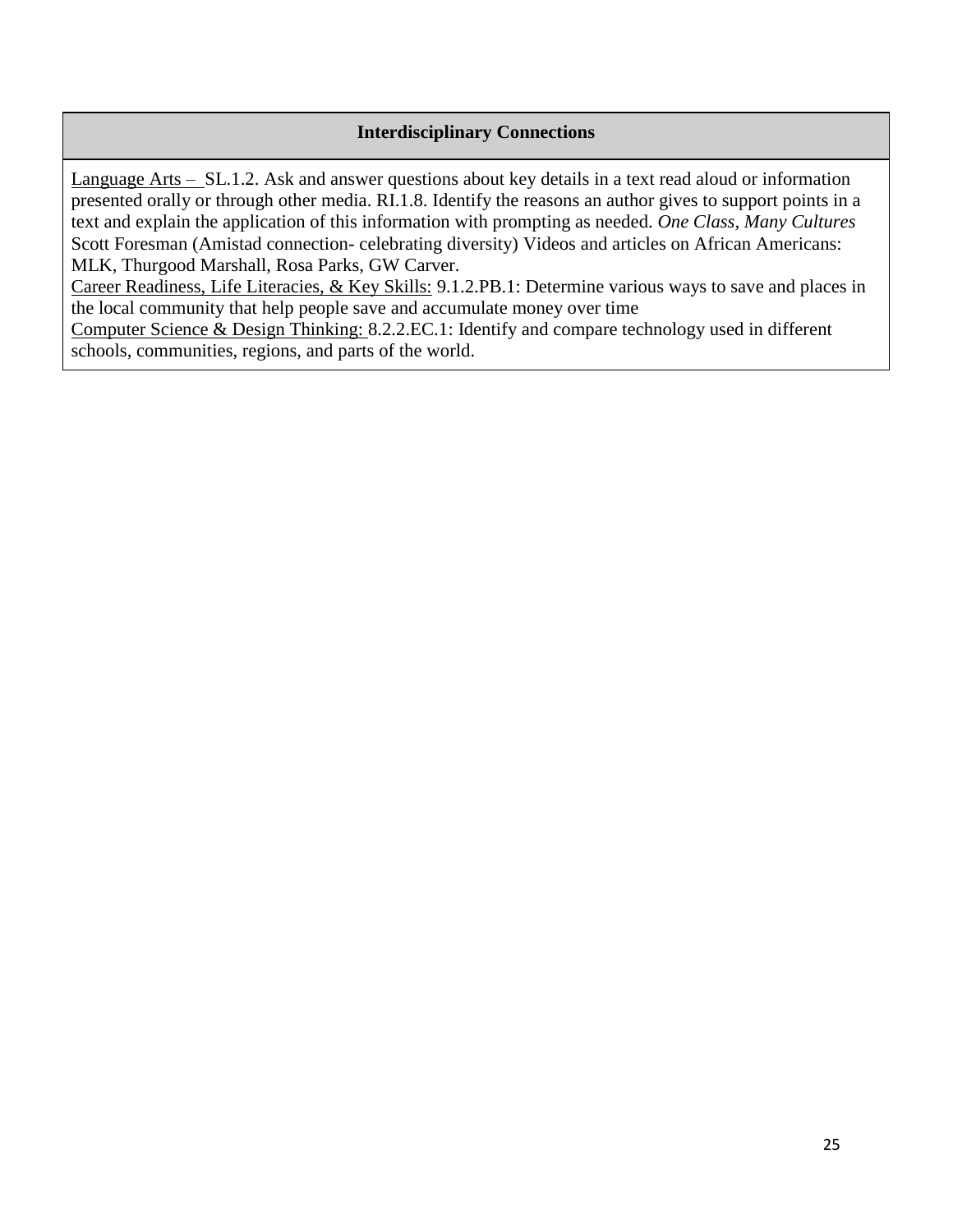#### **Interdisciplinary Connections**

Language Arts – SL.1.2. Ask and answer questions about key details in a text read aloud or information presented orally or through other media. RI.1.8. Identify the reasons an author gives to support points in a text and explain the application of this information with prompting as needed. *One Class, Many Cultures* Scott Foresman (Amistad connection- celebrating diversity) Videos and articles on African Americans: MLK, Thurgood Marshall, Rosa Parks, GW Carver.

Career Readiness, Life Literacies, & Key Skills: 9.1.2.PB.1: Determine various ways to save and places in the local community that help people save and accumulate money over time

Computer Science & Design Thinking: 8.2.2.EC.1: Identify and compare technology used in different schools, communities, regions, and parts of the world.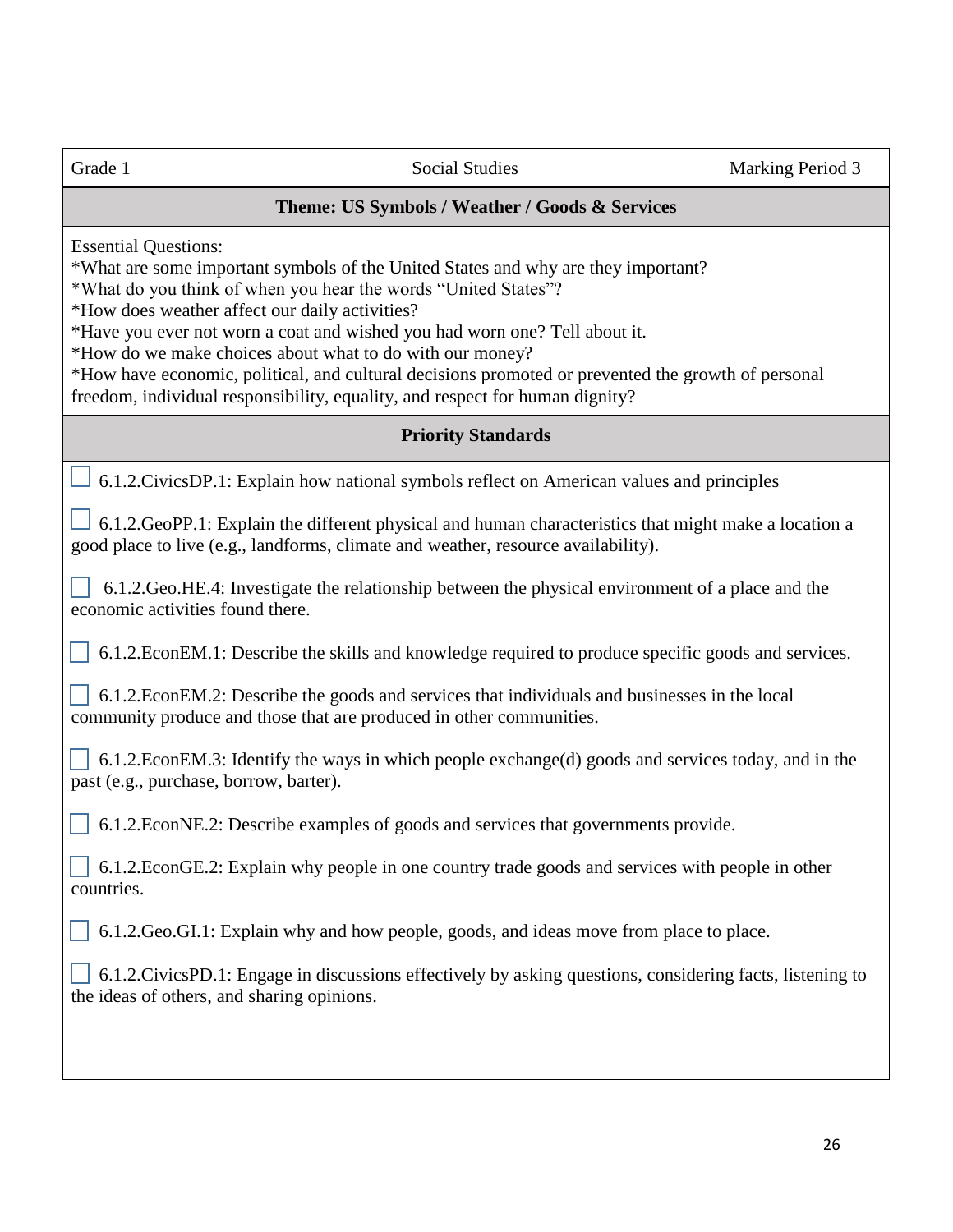#### **Theme: US Symbols / Weather / Goods & Services**

Essential Questions:

\*What are some important symbols of the United States and why are they important?

\*What do you think of when you hear the words "United States"?

\*How does weather affect our daily activities?

\*Have you ever not worn a coat and wished you had worn one? Tell about it.

\*How do we make choices about what to do with our money?

\*How have economic, political, and cultural decisions promoted or prevented the growth of personal freedom, individual responsibility, equality, and respect for human dignity?

#### **Priority Standards**

6.1.2.CivicsDP.1: Explain how national symbols reflect on American values and principles

 6.1.2.GeoPP.1: Explain the different physical and human characteristics that might make a location a good place to live (e.g., landforms, climate and weather, resource availability).

 6.1.2.Geo.HE.4: Investigate the relationship between the physical environment of a place and the economic activities found there.

6.1.2.EconEM.1: Describe the skills and knowledge required to produce specific goods and services.

 6.1.2.EconEM.2: Describe the goods and services that individuals and businesses in the local community produce and those that are produced in other communities.

 $\Box$  6.1.2. EconEM.3: Identify the ways in which people exchange(d) goods and services today, and in the past (e.g., purchase, borrow, barter).

6.1.2.EconNE.2: Describe examples of goods and services that governments provide.

| 6.1.2. EconGE.2: Explain why people in one country trade goods and services with people in other |
|--------------------------------------------------------------------------------------------------|
| countries.                                                                                       |

6.1.2.Geo.GI.1: Explain why and how people, goods, and ideas move from place to place.

 6.1.2.CivicsPD.1: Engage in discussions effectively by asking questions, considering facts, listening to the ideas of others, and sharing opinions.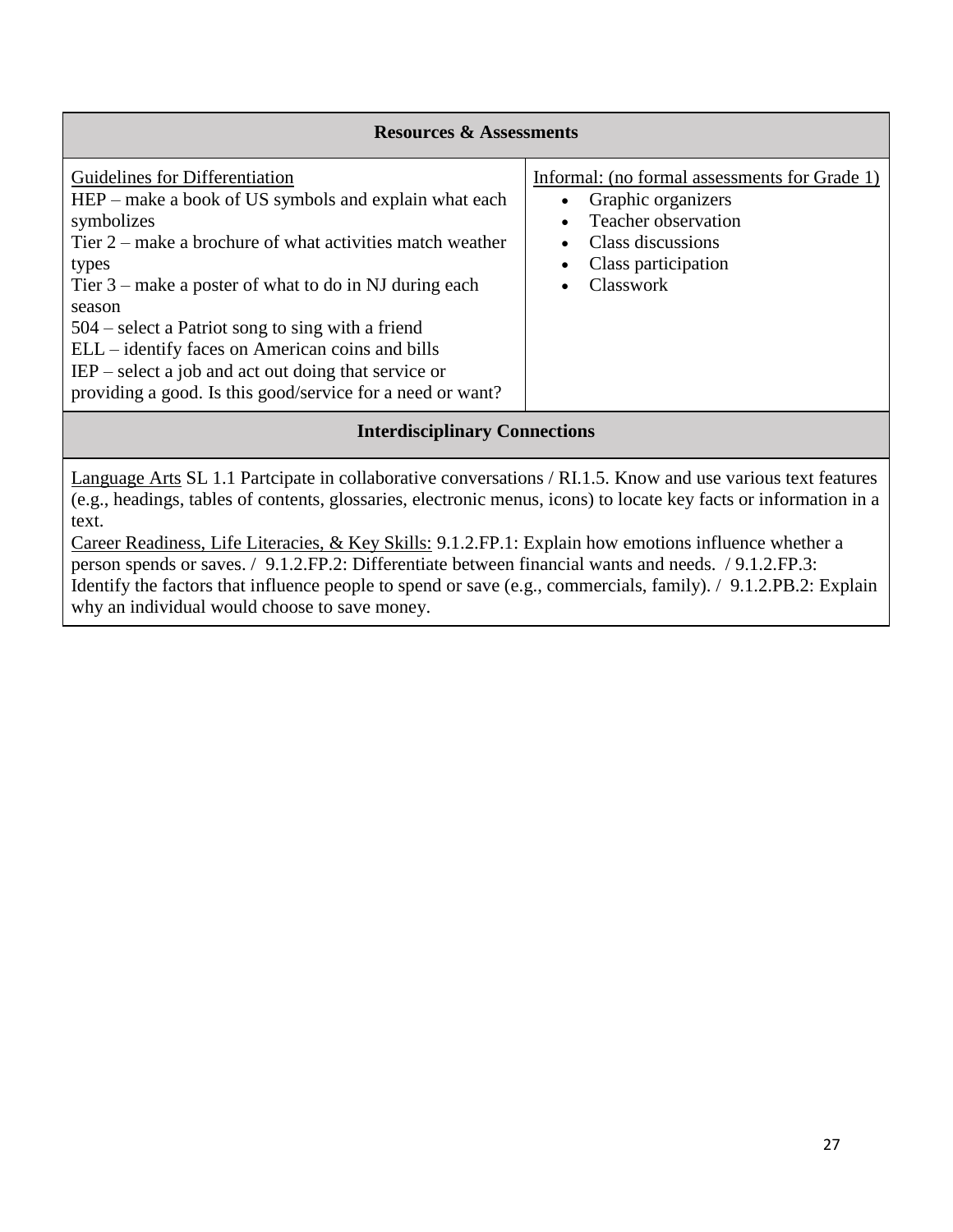| <b>Resources &amp; Assessments</b>                                                                                                                                                                                                                                                                                                                                                                                                                                                     |                                                                                                                                                                               |  |
|----------------------------------------------------------------------------------------------------------------------------------------------------------------------------------------------------------------------------------------------------------------------------------------------------------------------------------------------------------------------------------------------------------------------------------------------------------------------------------------|-------------------------------------------------------------------------------------------------------------------------------------------------------------------------------|--|
| Guidelines for Differentiation<br>HEP – make a book of US symbols and explain what each<br>symbolizes<br>Tier $2$ – make a brochure of what activities match weather<br>types<br>Tier $3$ – make a poster of what to do in NJ during each<br>season<br>$504$ – select a Patriot song to sing with a friend<br>ELL – identify faces on American coins and bills<br>$IEP$ – select a job and act out doing that service or<br>providing a good. Is this good/service for a need or want? | Informal: (no formal assessments for Grade 1)<br>Graphic organizers<br>$\bullet$<br>Teacher observation<br>$\bullet$<br>Class discussions<br>Class participation<br>Classwork |  |
| <b>Interdisciplinary Connections</b>                                                                                                                                                                                                                                                                                                                                                                                                                                                   |                                                                                                                                                                               |  |

Language Arts SL 1.1 Partcipate in collaborative conversations / RI.1.5. Know and use various text features (e.g., headings, tables of contents, glossaries, electronic menus, icons) to locate key facts or information in a text.

Career Readiness, Life Literacies, & Key Skills: 9.1.2.FP.1: Explain how emotions influence whether a person spends or saves. / 9.1.2.FP.2: Differentiate between financial wants and needs. / 9.1.2.FP.3: Identify the factors that influence people to spend or save (e.g., commercials, family). / 9.1.2.PB.2: Explain why an individual would choose to save money.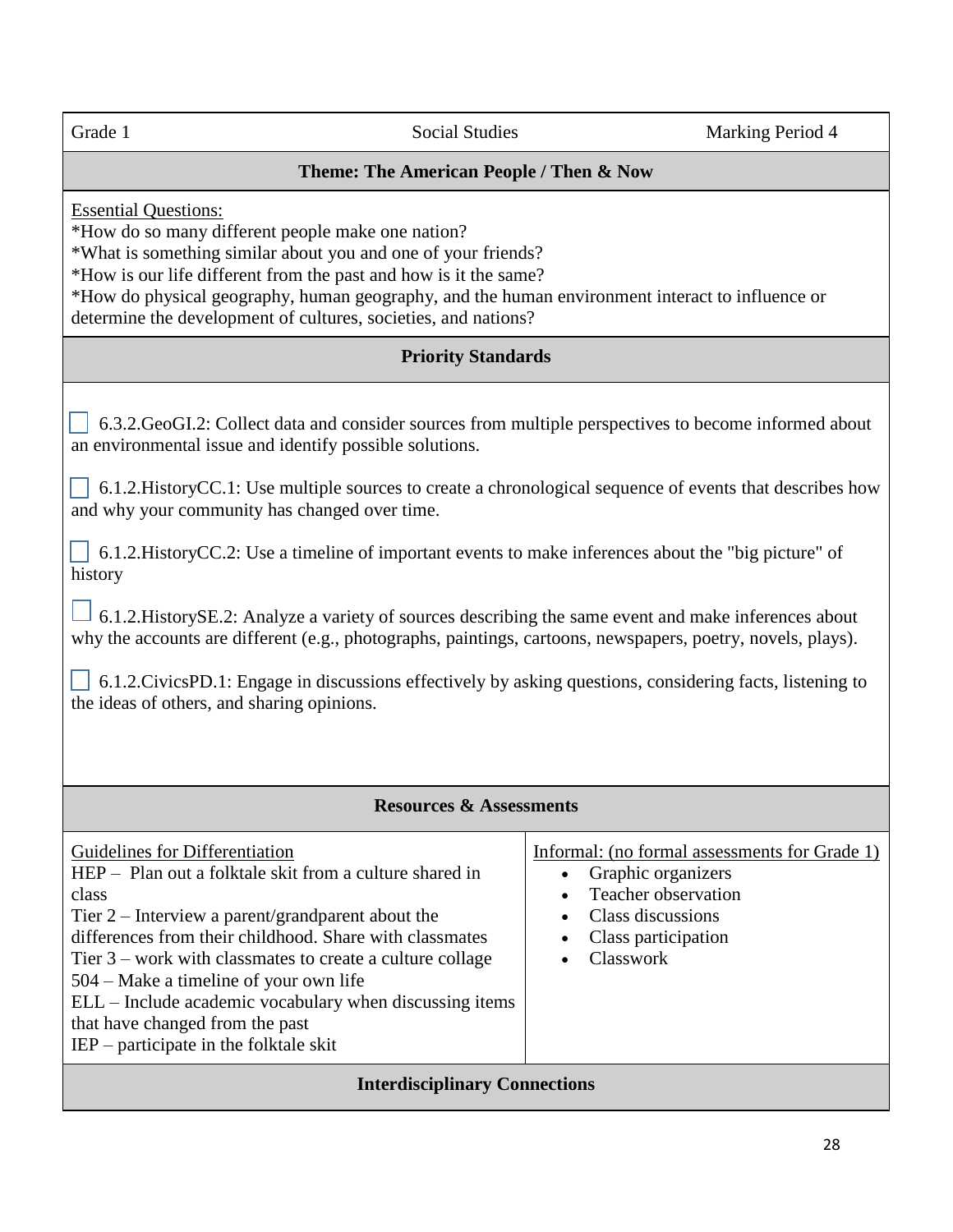#### **Theme: The American People / Then & Now**

Essential Questions:

\*How do so many different people make one nation?

\*What is something similar about you and one of your friends?

\*How is our life different from the past and how is it the same?

\*How do physical geography, human geography, and the human environment interact to influence or determine the development of cultures, societies, and nations?

#### **Priority Standards**

 6.3.2.GeoGI.2: Collect data and consider sources from multiple perspectives to become informed about an environmental issue and identify possible solutions.

 $\Box$  6.1.2. History CC.1: Use multiple sources to create a chronological sequence of events that describes how and why your community has changed over time.

 $\vert$  6.1.2. History CC.2: Use a timeline of important events to make inferences about the "big picture" of history

 6.1.2.HistorySE.2: Analyze a variety of sources describing the same event and make inferences about why the accounts are different (e.g., photographs, paintings, cartoons, newspapers, poetry, novels, plays).

 $\Box$  6.1.2. Civics PD.1: Engage in discussions effectively by asking questions, considering facts, listening to the ideas of others, and sharing opinions.

#### **Resources & Assessments**

| Guidelines for Differentiation<br>HEP – Plan out a folktale skit from a culture shared in                                                                                                                                                                                                                                                                                  | Informal: (no formal assessments for Grade 1)<br>Graphic organizers<br>Teacher observation |  |  |
|----------------------------------------------------------------------------------------------------------------------------------------------------------------------------------------------------------------------------------------------------------------------------------------------------------------------------------------------------------------------------|--------------------------------------------------------------------------------------------|--|--|
| class<br>Tier $2$ – Interview a parent/grandparent about the<br>differences from their childhood. Share with classmates<br>Tier $3$ – work with classmates to create a culture collage<br>504 – Make a timeline of your own life<br>ELL – Include academic vocabulary when discussing items<br>that have changed from the past<br>$IEP$ – participate in the folktale skit | Class discussions<br>$\bullet$<br>Class participation<br>$\bullet$<br>Classwork            |  |  |
| <b>Interdisciplinary Connections</b>                                                                                                                                                                                                                                                                                                                                       |                                                                                            |  |  |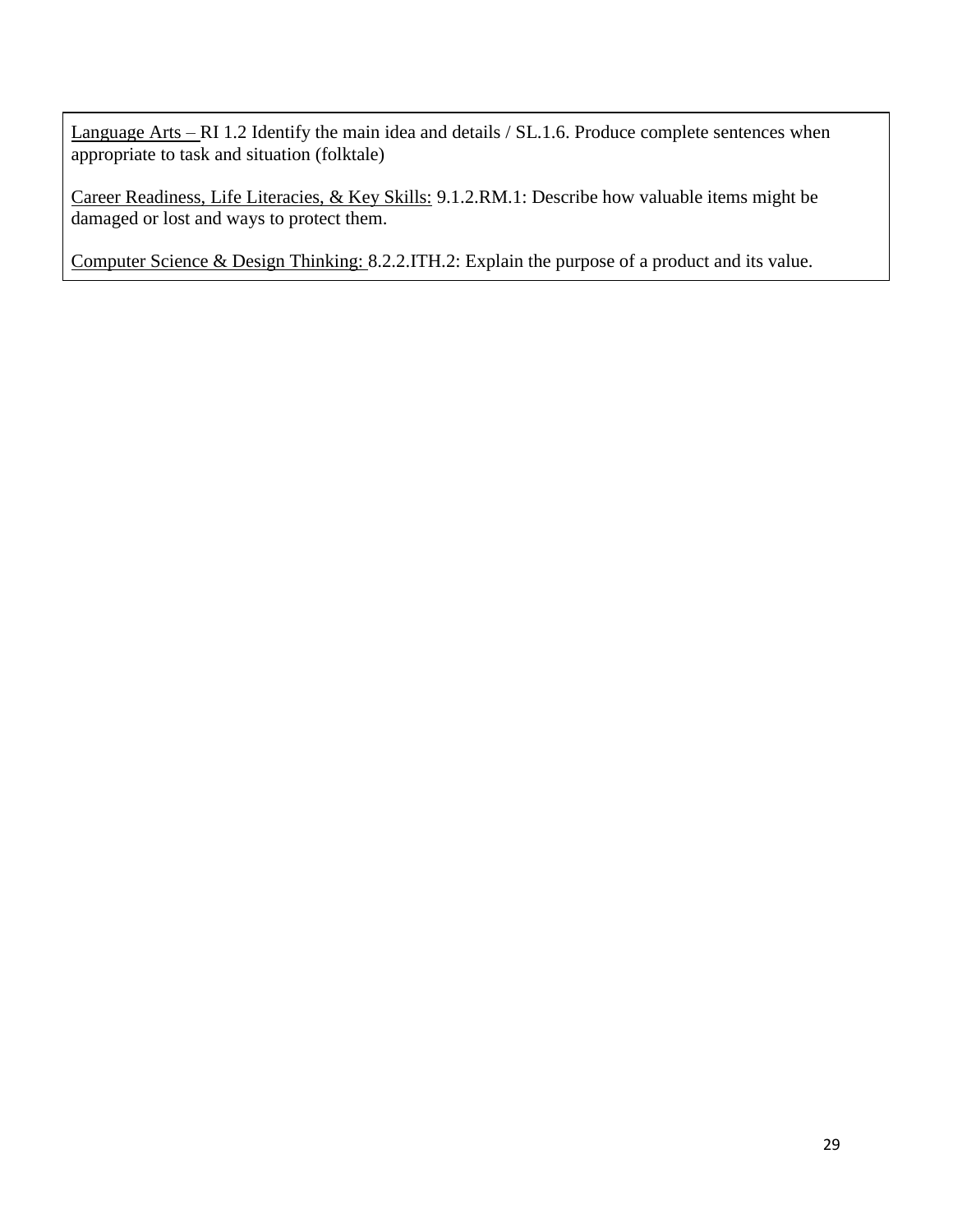Language Arts – RI 1.2 Identify the main idea and details / SL.1.6. Produce complete sentences when appropriate to task and situation (folktale)

Career Readiness, Life Literacies, & Key Skills: 9.1.2.RM.1: Describe how valuable items might be damaged or lost and ways to protect them.

Computer Science & Design Thinking: 8.2.2.ITH.2: Explain the purpose of a product and its value.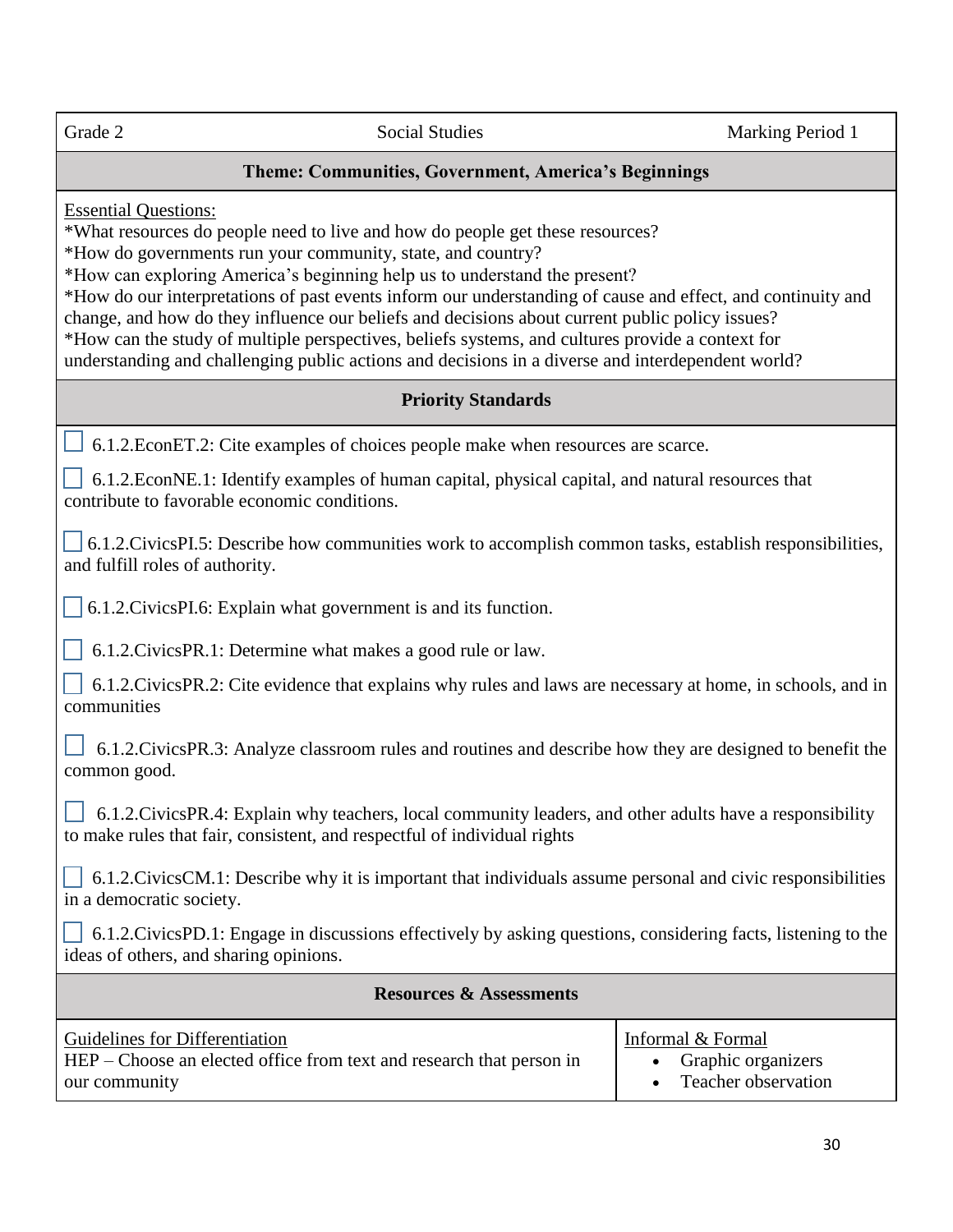#### **Theme: Communities, Government, America's Beginnings**

Essential Questions:

\*What resources do people need to live and how do people get these resources?

\*How do governments run your community, state, and country?

\*How can exploring America's beginning help us to understand the present?

\*How do our interpretations of past events inform our understanding of cause and effect, and continuity and change, and how do they influence our beliefs and decisions about current public policy issues? \*How can the study of multiple perspectives, beliefs systems, and cultures provide a context for understanding and challenging public actions and decisions in a diverse and interdependent world?

#### **Priority Standards**

6.1.2.EconET.2: Cite examples of choices people make when resources are scarce.

 6.1.2.EconNE.1: Identify examples of human capital, physical capital, and natural resources that contribute to favorable economic conditions.

 6.1.2.CivicsPI.5: Describe how communities work to accomplish common tasks, establish responsibilities, and fulfill roles of authority.

6.1.2.CivicsPI.6: Explain what government is and its function.

6.1.2.CivicsPR.1: Determine what makes a good rule or law.

 6.1.2.CivicsPR.2: Cite evidence that explains why rules and laws are necessary at home, in schools, and in communities

 6.1.2.CivicsPR.3: Analyze classroom rules and routines and describe how they are designed to benefit the common good.

 6.1.2.CivicsPR.4: Explain why teachers, local community leaders, and other adults have a responsibility to make rules that fair, consistent, and respectful of individual rights

 6.1.2.CivicsCM.1: Describe why it is important that individuals assume personal and civic responsibilities in a democratic society.

 6.1.2.CivicsPD.1: Engage in discussions effectively by asking questions, considering facts, listening to the ideas of others, and sharing opinions.

| <b>Resources &amp; Assessments</b>                                   |                       |
|----------------------------------------------------------------------|-----------------------|
| Guidelines for Differentiation                                       | Informal & Formal     |
| HEP – Choose an elected office from text and research that person in | • Graphic organizers  |
| our community                                                        | • Teacher observation |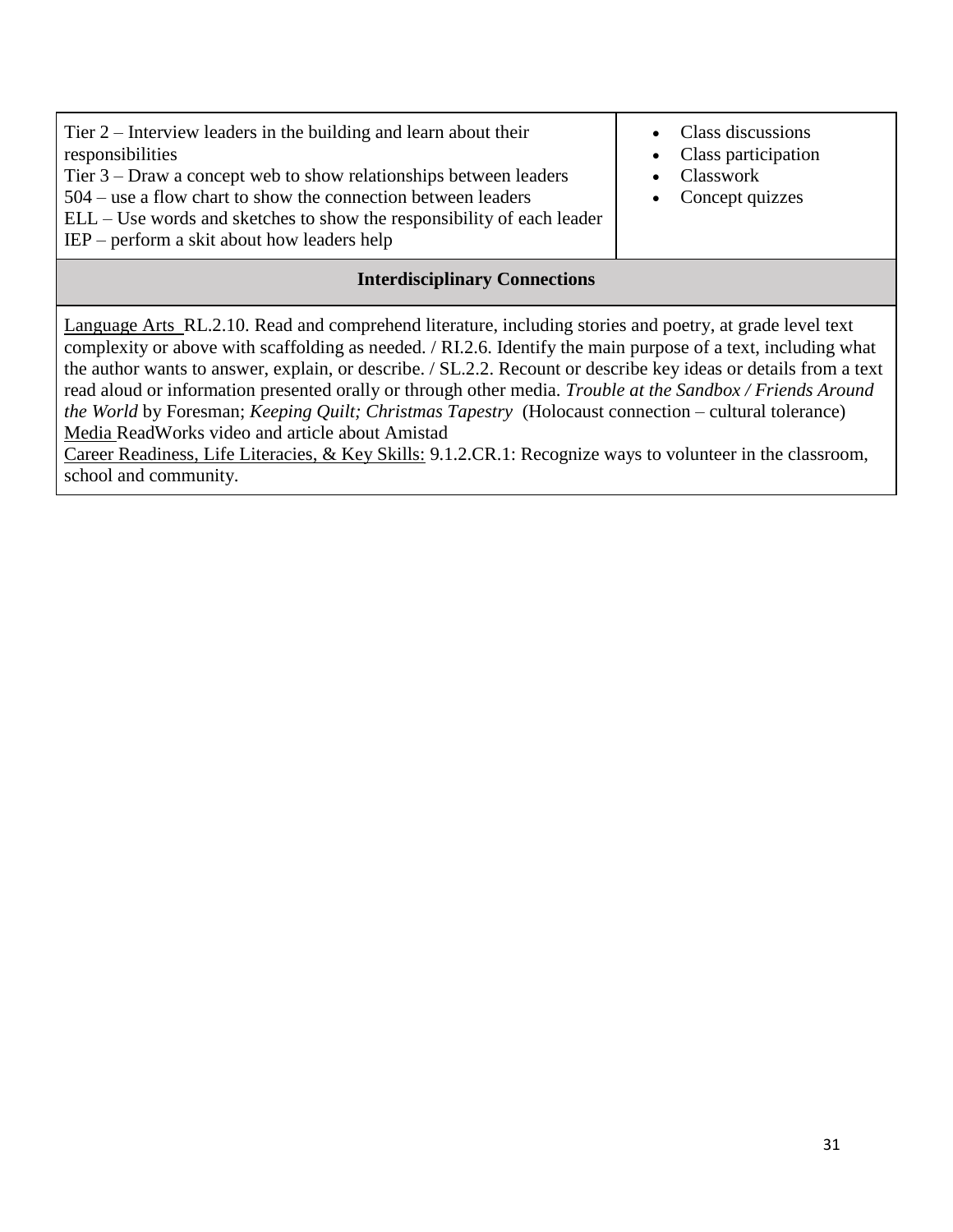| Tier $2$ – Interview leaders in the building and learn about their<br>responsibilities<br>Tier $3$ – Draw a concept web to show relationships between leaders<br>$504$ – use a flow chart to show the connection between leaders<br>ELL – Use words and sketches to show the responsibility of each leader<br>$IEP$ – perform a skit about how leaders help | • Class discussions<br>• Class participation<br>• Classwork<br>• Concept quizzes |
|-------------------------------------------------------------------------------------------------------------------------------------------------------------------------------------------------------------------------------------------------------------------------------------------------------------------------------------------------------------|----------------------------------------------------------------------------------|
|-------------------------------------------------------------------------------------------------------------------------------------------------------------------------------------------------------------------------------------------------------------------------------------------------------------------------------------------------------------|----------------------------------------------------------------------------------|

#### **Interdisciplinary Connections**

Language Arts RL.2.10. Read and comprehend literature, including stories and poetry, at grade level text complexity or above with scaffolding as needed. / RI.2.6. Identify the main purpose of a text, including what the author wants to answer, explain, or describe. / SL.2.2. Recount or describe key ideas or details from a text read aloud or information presented orally or through other media. *Trouble at the Sandbox / Friends Around the World* by Foresman; *Keeping Quilt; Christmas Tapestry* (Holocaust connection – cultural tolerance) Media ReadWorks video and article about Amistad

Career Readiness, Life Literacies, & Key Skills: 9.1.2.CR.1: Recognize ways to volunteer in the classroom, school and community.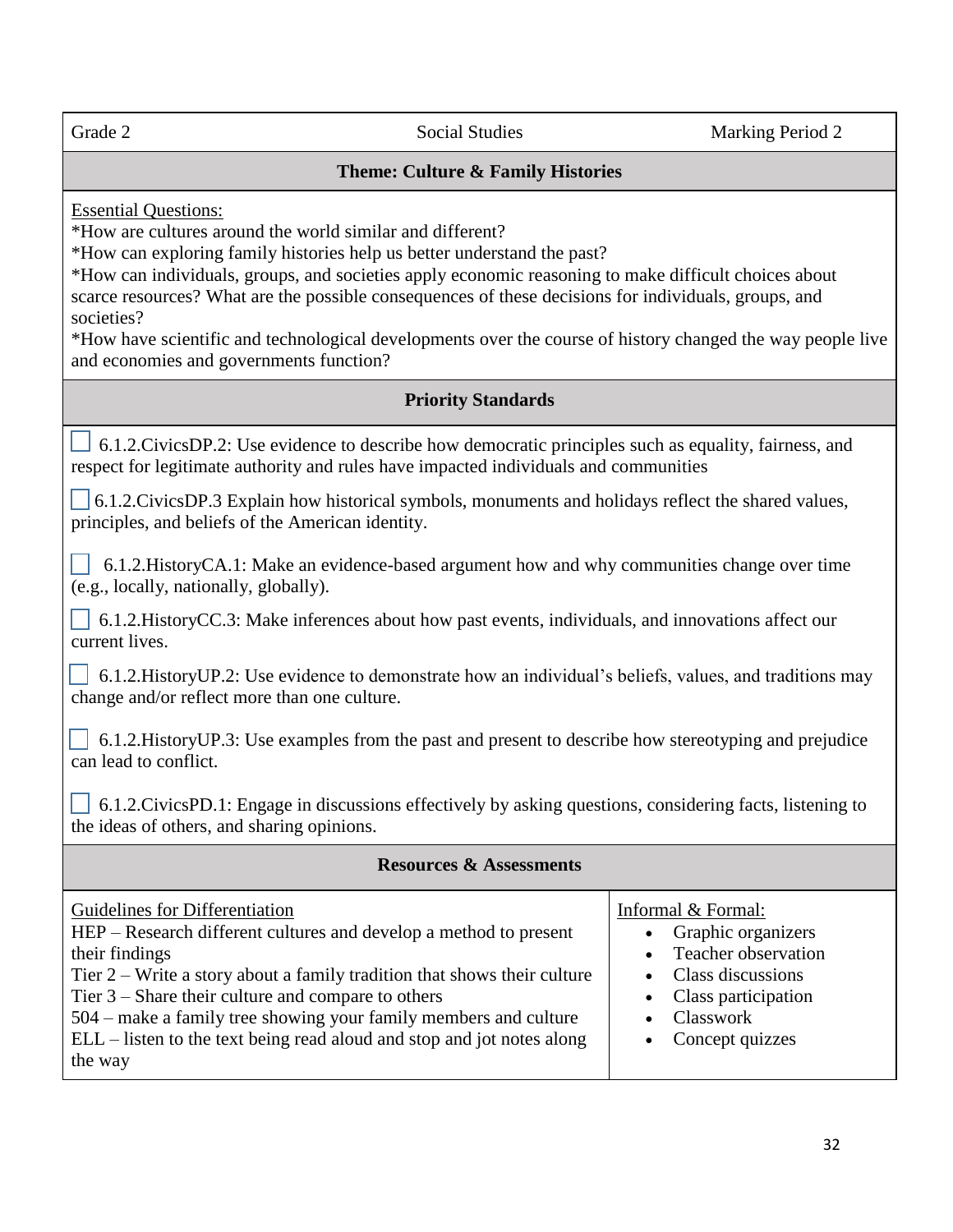Grade 2 Social Studies Marking Period 2

#### **Theme: Culture & Family Histories**

Essential Questions:

\*How are cultures around the world similar and different?

\*How can exploring family histories help us better understand the past?

\*How can individuals, groups, and societies apply economic reasoning to make difficult choices about scarce resources? What are the possible consequences of these decisions for individuals, groups, and societies?

\*How have scientific and technological developments over the course of history changed the way people live and economies and governments function?

#### **Priority Standards**

6.1.2.CivicsDP.2: Use evidence to describe how democratic principles such as equality, fairness, and respect for legitimate authority and rules have impacted individuals and communities

 6.1.2.CivicsDP.3 Explain how historical symbols, monuments and holidays reflect the shared values, principles, and beliefs of the American identity.

 6.1.2.HistoryCA.1: Make an evidence-based argument how and why communities change over time (e.g., locally, nationally, globally).

 6.1.2.HistoryCC.3: Make inferences about how past events, individuals, and innovations affect our current lives.

 6.1.2.HistoryUP.2: Use evidence to demonstrate how an individual's beliefs, values, and traditions may change and/or reflect more than one culture.

 6.1.2.HistoryUP.3: Use examples from the past and present to describe how stereotyping and prejudice can lead to conflict.

 $\vert \cdot \vert$  6.1.2.CivicsPD.1: Engage in discussions effectively by asking questions, considering facts, listening to the ideas of others, and sharing opinions.

#### **Resources & Assessments** Guidelines for Differentiation HEP – Research different cultures and develop a method to present Informal & Formal: • Graphic organizers

|                                                                            | $\sim$ $\sim$ $\sim$ $\sim$ $\sim$ $\sim$ $\sim$ $\sim$ |
|----------------------------------------------------------------------------|---------------------------------------------------------|
| their findings                                                             | • Teacher observation                                   |
| Tier $2$ – Write a story about a family tradition that shows their culture | • Class discussions                                     |
| Tier $3$ – Share their culture and compare to others                       | • Class participation                                   |
| 504 – make a family tree showing your family members and culture           | • Classwork                                             |
| ELL – listen to the text being read aloud and stop and jot notes along     | • Concept quizzes                                       |
| the way                                                                    |                                                         |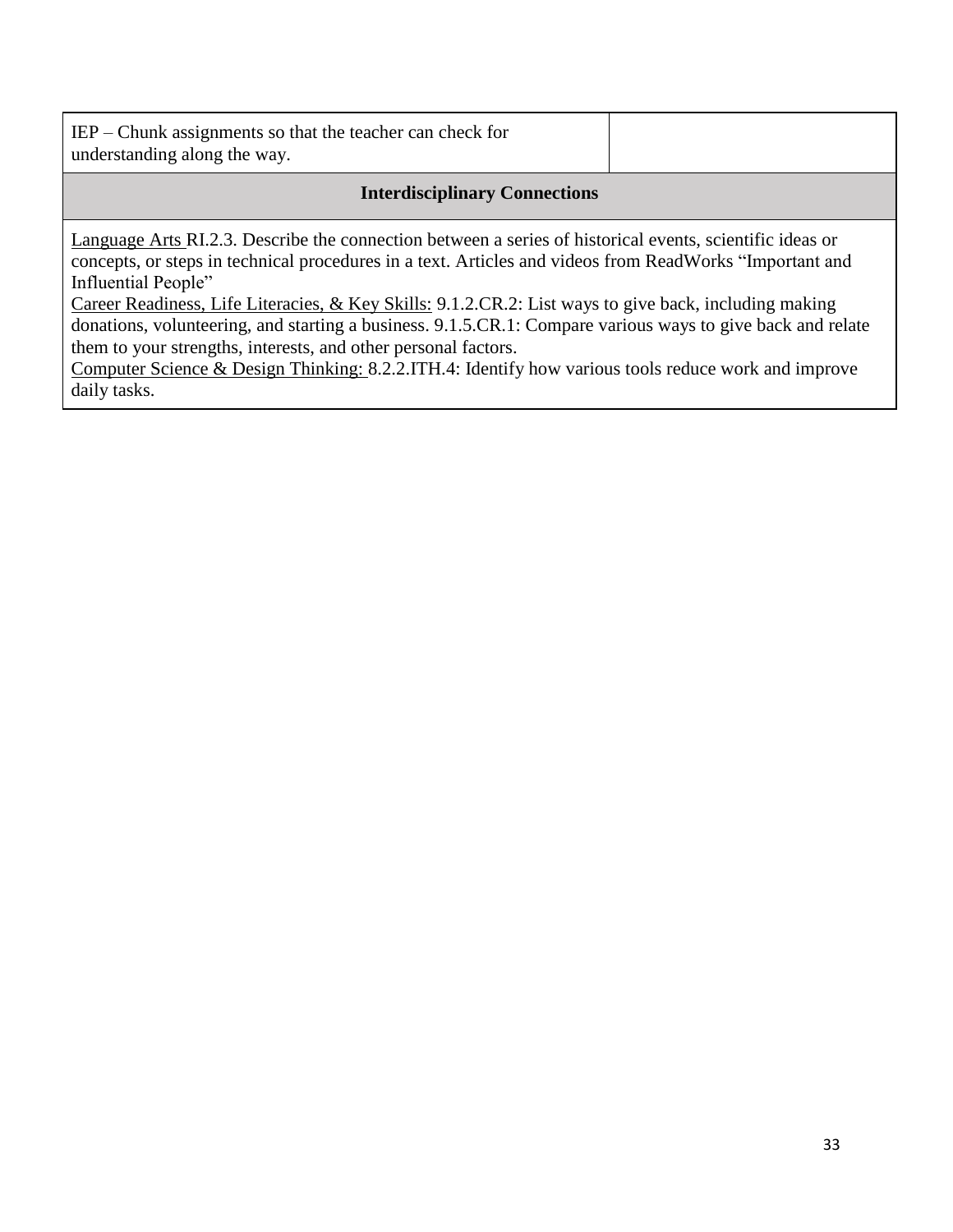| $IEP$ – Chunk assignments so that the teacher can check for |  |
|-------------------------------------------------------------|--|
| understanding along the way.                                |  |

#### **Interdisciplinary Connections**

Language Arts RI.2.3. Describe the connection between a series of historical events, scientific ideas or concepts, or steps in technical procedures in a text. Articles and videos from ReadWorks "Important and Influential People"

Career Readiness, Life Literacies, & Key Skills: 9.1.2.CR.2: List ways to give back, including making donations, volunteering, and starting a business. 9.1.5.CR.1: Compare various ways to give back and relate them to your strengths, interests, and other personal factors.

Computer Science & Design Thinking: 8.2.2.ITH.4: Identify how various tools reduce work and improve daily tasks.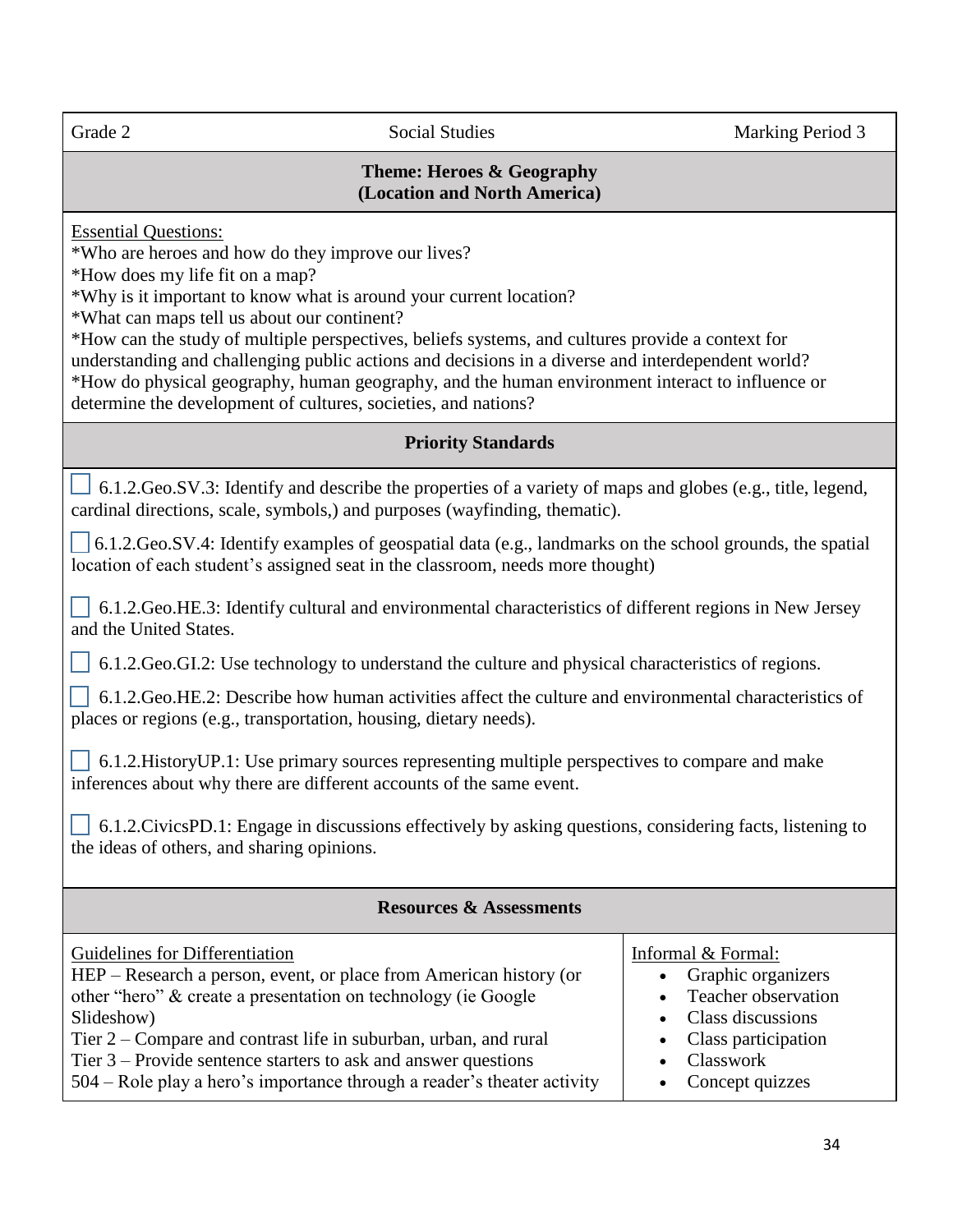#### **Theme: Heroes & Geography (Location and North America)**

Essential Questions:

\*Who are heroes and how do they improve our lives?

\*How does my life fit on a map?

\*Why is it important to know what is around your current location?

\*What can maps tell us about our continent?

\*How can the study of multiple perspectives, beliefs systems, and cultures provide a context for understanding and challenging public actions and decisions in a diverse and interdependent world? \*How do physical geography, human geography, and the human environment interact to influence or determine the development of cultures, societies, and nations?

#### **Priority Standards**

 $\perp$  6.1.2.Geo.SV.3: Identify and describe the properties of a variety of maps and globes (e.g., title, legend, cardinal directions, scale, symbols,) and purposes (wayfinding, thematic).

 $\Box$  6.1.2.Geo.SV.4: Identify examples of geospatial data (e.g., landmarks on the school grounds, the spatial location of each student's assigned seat in the classroom, needs more thought)

 6.1.2.Geo.HE.3: Identify cultural and environmental characteristics of different regions in New Jersey and the United States.

6.1.2.Geo.GI.2: Use technology to understand the culture and physical characteristics of regions.

 6.1.2.Geo.HE.2: Describe how human activities affect the culture and environmental characteristics of places or regions (e.g., transportation, housing, dietary needs).

 6.1.2.HistoryUP.1: Use primary sources representing multiple perspectives to compare and make inferences about why there are different accounts of the same event.

 $\vert$  6.1.2.CivicsPD.1: Engage in discussions effectively by asking questions, considering facts, listening to the ideas of others, and sharing opinions.

| <b>Resources &amp; Assessments</b>                                                                                                                                                                                                                                                                                                                                                                     |                                                                                                                                                                                                                     |  |  |
|--------------------------------------------------------------------------------------------------------------------------------------------------------------------------------------------------------------------------------------------------------------------------------------------------------------------------------------------------------------------------------------------------------|---------------------------------------------------------------------------------------------------------------------------------------------------------------------------------------------------------------------|--|--|
| Guidelines for Differentiation<br>HEP – Research a person, event, or place from American history (or<br>other "hero" & create a presentation on technology (ie Google<br>Slideshow)<br>Tier 2 – Compare and contrast life in suburban, urban, and rural<br>Tier $3$ – Provide sentence starters to ask and answer questions<br>504 – Role play a hero's importance through a reader's theater activity | Informal & Formal:<br>Graphic organizers<br>$\bullet$<br><b>Teacher observation</b><br>$\bullet$<br>Class discussions<br>$\bullet$<br>Class participation<br>$\bullet$<br>Classwork<br>$\bullet$<br>Concept quizzes |  |  |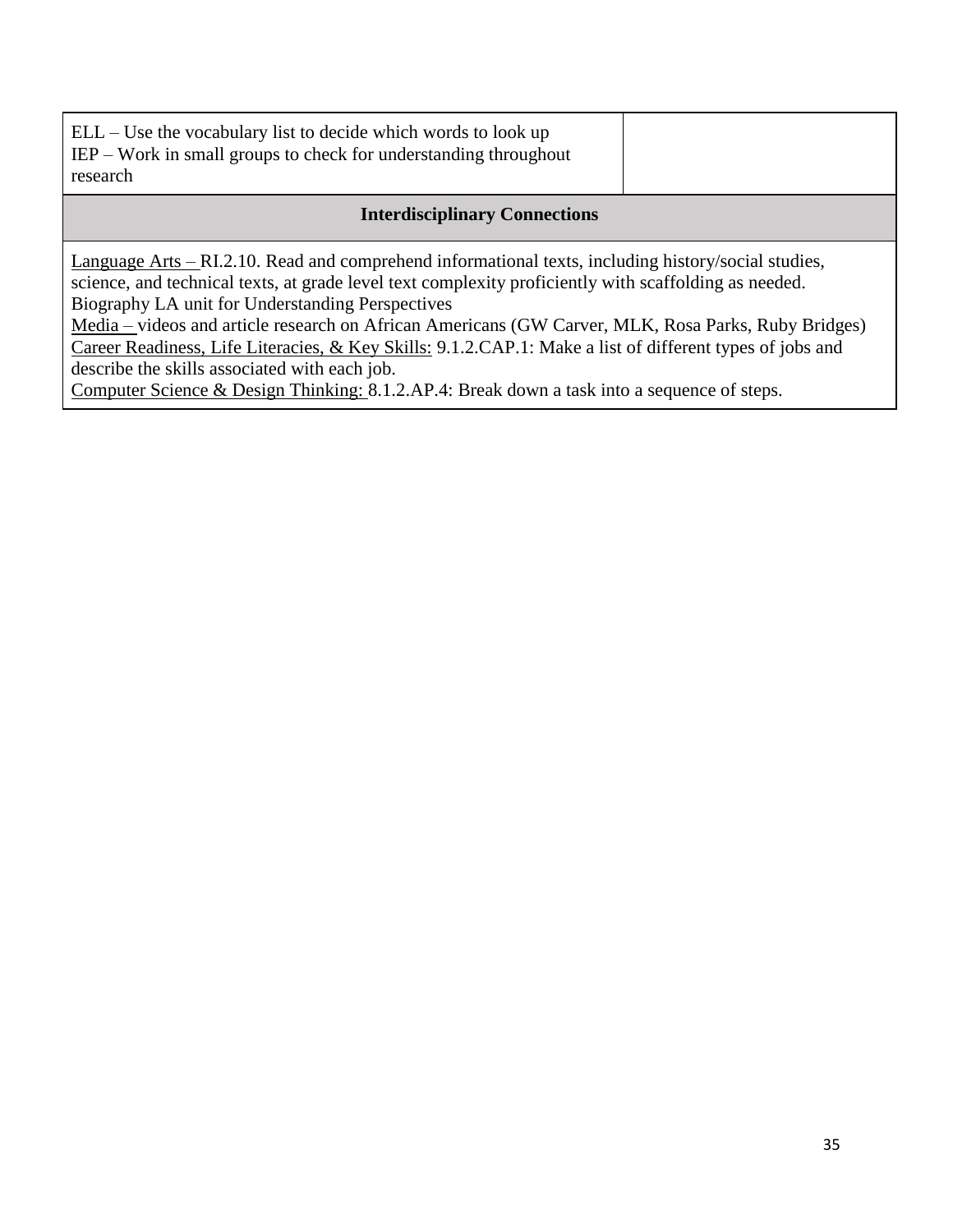| $ELL - Use$ the vocabulary list to decide which words to look up<br>$IEP$ – Work in small groups to check for understanding throughout<br>research                                                           |  |  |
|--------------------------------------------------------------------------------------------------------------------------------------------------------------------------------------------------------------|--|--|
| <b>Interdisciplinary Connections</b>                                                                                                                                                                         |  |  |
| Language Arts – RI.2.10. Read and comprehend informational texts, including history/social studies,<br>science, and technical texts, at grade level text complexity proficiently with scaffolding as needed. |  |  |

Biography LA unit for Understanding Perspectives

Media – videos and article research on African Americans (GW Carver, MLK, Rosa Parks, Ruby Bridges) Career Readiness, Life Literacies, & Key Skills: 9.1.2.CAP.1: Make a list of different types of jobs and describe the skills associated with each job.

Computer Science & Design Thinking: 8.1.2.AP.4: Break down a task into a sequence of steps.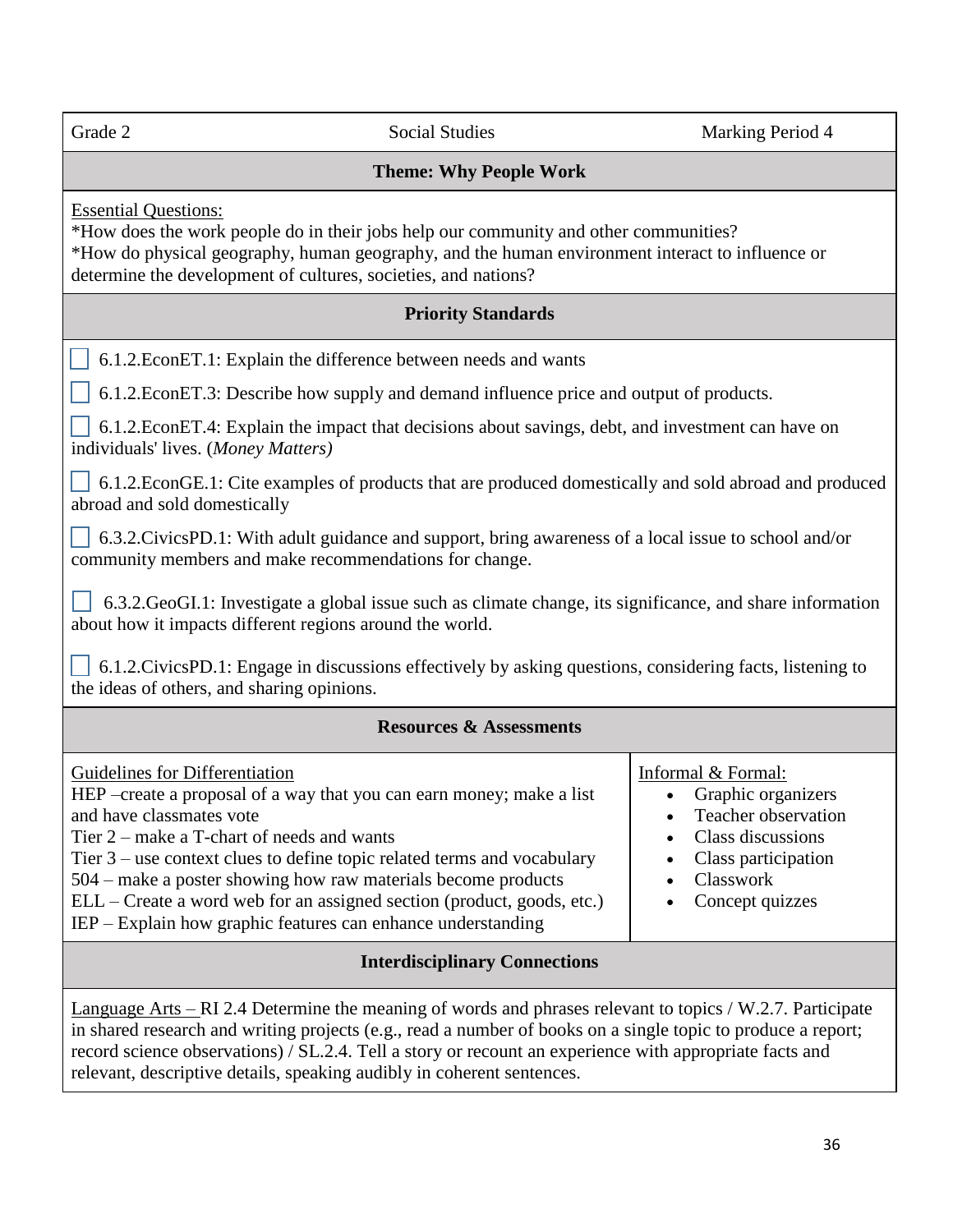| Grade 2                                                                                                                                                                                                                                                                                                                                                                                                               | <b>Social Studies</b>                                                                                                                                                                                                                                                                                                                                         | Marking Period 4                                                                                                                            |
|-----------------------------------------------------------------------------------------------------------------------------------------------------------------------------------------------------------------------------------------------------------------------------------------------------------------------------------------------------------------------------------------------------------------------|---------------------------------------------------------------------------------------------------------------------------------------------------------------------------------------------------------------------------------------------------------------------------------------------------------------------------------------------------------------|---------------------------------------------------------------------------------------------------------------------------------------------|
|                                                                                                                                                                                                                                                                                                                                                                                                                       |                                                                                                                                                                                                                                                                                                                                                               |                                                                                                                                             |
| <b>Theme: Why People Work</b>                                                                                                                                                                                                                                                                                                                                                                                         |                                                                                                                                                                                                                                                                                                                                                               |                                                                                                                                             |
| <b>Essential Questions:</b><br>*How does the work people do in their jobs help our community and other communities?<br>*How do physical geography, human geography, and the human environment interact to influence or<br>determine the development of cultures, societies, and nations?                                                                                                                              |                                                                                                                                                                                                                                                                                                                                                               |                                                                                                                                             |
| <b>Priority Standards</b>                                                                                                                                                                                                                                                                                                                                                                                             |                                                                                                                                                                                                                                                                                                                                                               |                                                                                                                                             |
| 6.1.2. EconET.1: Explain the difference between needs and wants                                                                                                                                                                                                                                                                                                                                                       |                                                                                                                                                                                                                                                                                                                                                               |                                                                                                                                             |
| 6.1.2. EconET.3: Describe how supply and demand influence price and output of products.                                                                                                                                                                                                                                                                                                                               |                                                                                                                                                                                                                                                                                                                                                               |                                                                                                                                             |
| 6.1.2. EconET.4: Explain the impact that decisions about savings, debt, and investment can have on<br>individuals' lives. (Money Matters)                                                                                                                                                                                                                                                                             |                                                                                                                                                                                                                                                                                                                                                               |                                                                                                                                             |
| 6.1.2. EconGE.1: Cite examples of products that are produced domestically and sold abroad and produced<br>abroad and sold domestically                                                                                                                                                                                                                                                                                |                                                                                                                                                                                                                                                                                                                                                               |                                                                                                                                             |
| 6.3.2. Civics PD.1: With adult guidance and support, bring awareness of a local issue to school and/or<br>community members and make recommendations for change.                                                                                                                                                                                                                                                      |                                                                                                                                                                                                                                                                                                                                                               |                                                                                                                                             |
| 6.3.2. GeoGI.1: Investigate a global issue such as climate change, its significance, and share information<br>about how it impacts different regions around the world.                                                                                                                                                                                                                                                |                                                                                                                                                                                                                                                                                                                                                               |                                                                                                                                             |
| 6.1.2. Civics PD.1: Engage in discussions effectively by asking questions, considering facts, listening to<br>the ideas of others, and sharing opinions.                                                                                                                                                                                                                                                              |                                                                                                                                                                                                                                                                                                                                                               |                                                                                                                                             |
| <b>Resources &amp; Assessments</b>                                                                                                                                                                                                                                                                                                                                                                                    |                                                                                                                                                                                                                                                                                                                                                               |                                                                                                                                             |
| <b>Guidelines for Differentiation</b><br>and have classmates vote<br>Tier $2$ – make a T-chart of needs and wants                                                                                                                                                                                                                                                                                                     | HEP – create a proposal of a way that you can earn money; make a list<br>Tier $3$ – use context clues to define topic related terms and vocabulary<br>504 – make a poster showing how raw materials become products<br>ELL – Create a word web for an assigned section (product, goods, etc.)<br>IEP – Explain how graphic features can enhance understanding | Informal & Formal:<br>Graphic organizers<br>Teacher observation<br>Class discussions<br>Class participation<br>Classwork<br>Concept quizzes |
| <b>Interdisciplinary Connections</b>                                                                                                                                                                                                                                                                                                                                                                                  |                                                                                                                                                                                                                                                                                                                                                               |                                                                                                                                             |
| <u>Language Arts – RI</u> 2.4 Determine the meaning of words and phrases relevant to topics / W.2.7. Participate<br>in shared research and writing projects (e.g., read a number of books on a single topic to produce a report;<br>record science observations) / SL.2.4. Tell a story or recount an experience with appropriate facts and<br>relevant, descriptive details, speaking audibly in coherent sentences. |                                                                                                                                                                                                                                                                                                                                                               |                                                                                                                                             |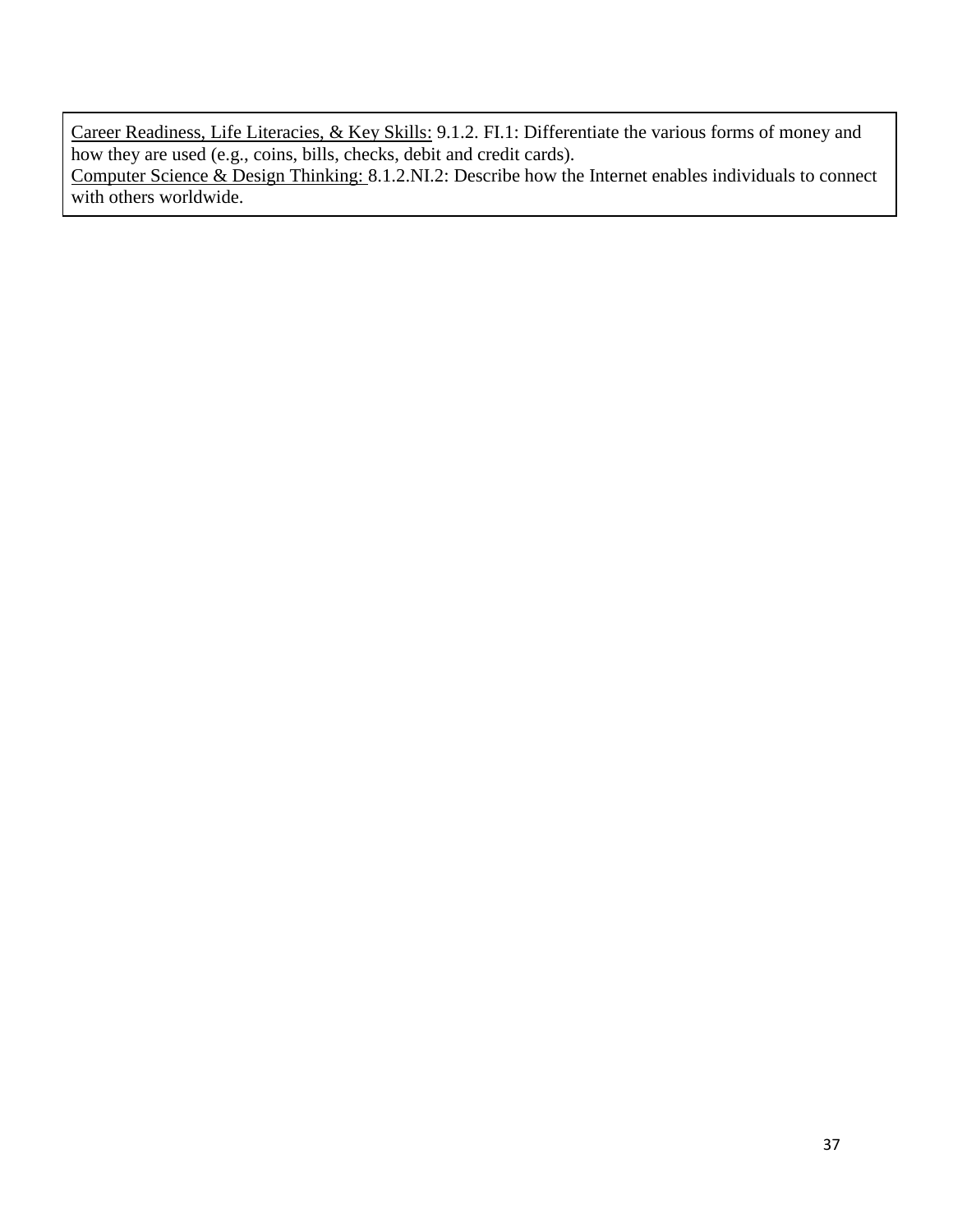Career Readiness, Life Literacies, & Key Skills: 9.1.2. FI.1: Differentiate the various forms of money and how they are used (e.g., coins, bills, checks, debit and credit cards). Computer Science & Design Thinking: 8.1.2.NI.2: Describe how the Internet enables individuals to connect with others worldwide.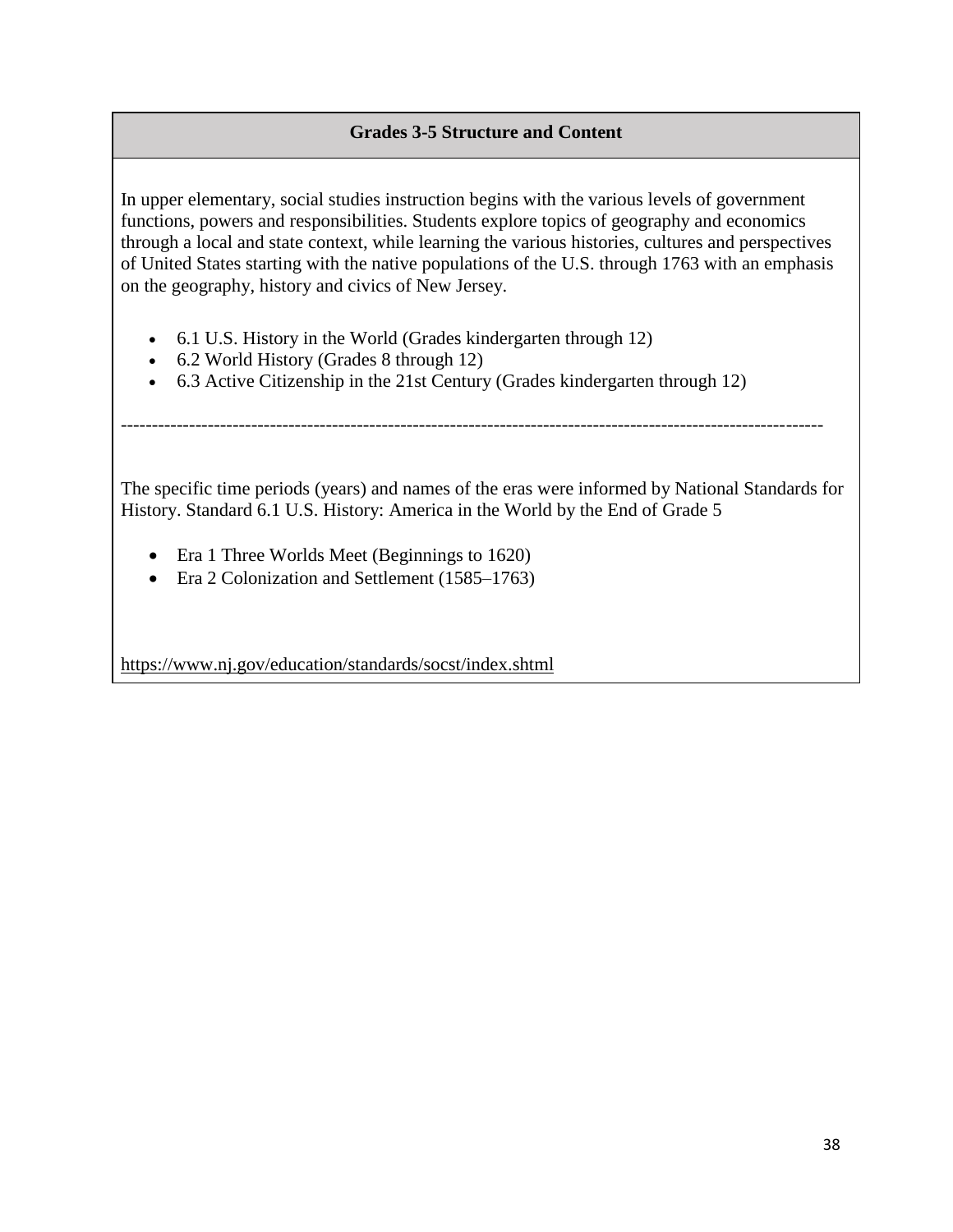# **Grades 3-5 Structure and Content**

In upper elementary, social studies instruction begins with the various levels of government functions, powers and responsibilities. Students explore topics of geography and economics through a local and state context, while learning the various histories, cultures and perspectives of United States starting with the native populations of the U.S. through 1763 with an emphasis on the geography, history and civics of New Jersey.

- 6.1 U.S. History in the World (Grades kindergarten through 12)
- 6.2 World History (Grades 8 through 12)
- 6.3 Active Citizenship in the 21st Century (Grades kindergarten through 12)

The specific time periods (years) and names of the eras were informed by National Standards for History. Standard 6.1 U.S. History: America in the World by the End of Grade 5

-----------------------------------------------------------------------------------------------------------------

- Era 1 Three Worlds Meet (Beginnings to 1620)
- Era 2 Colonization and Settlement (1585–1763)

<https://www.nj.gov/education/standards/socst/index.shtml>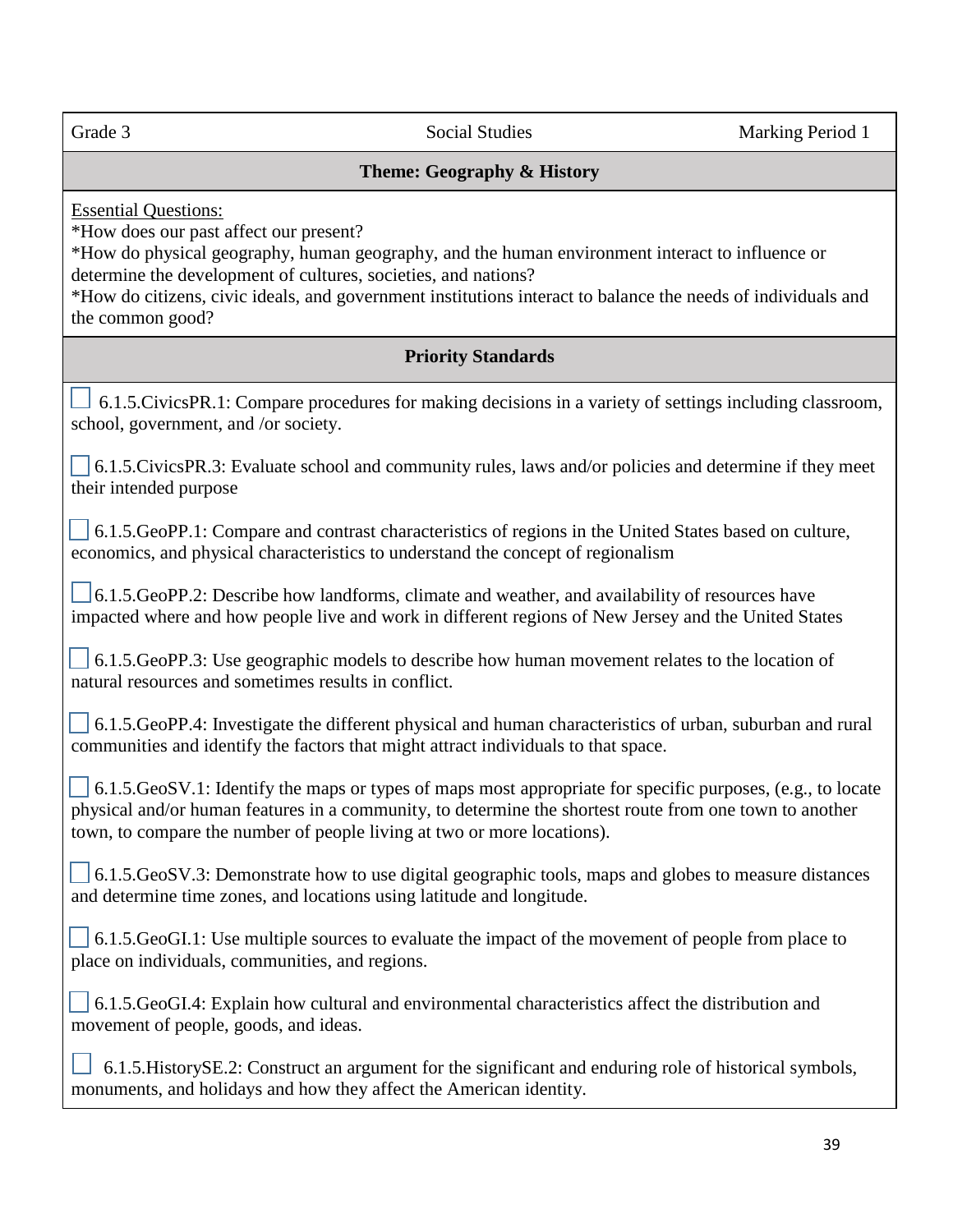l,

Grade 3 Social Studies Marking Period 1

# **Theme: Geography & History**

Essential Questions:

\*How does our past affect our present?

\*How do physical geography, human geography, and the human environment interact to influence or determine the development of cultures, societies, and nations?

\*How do citizens, civic ideals, and government institutions interact to balance the needs of individuals and the common good?

# **Priority Standards**

6.1.5.CivicsPR.1: Compare procedures for making decisions in a variety of settings including classroom, school, government, and /or society.

 $\begin{bmatrix} 6.1.5.CivicsPR.3: Evaluate school and community rules, laws and/or policies and determine if they meet \end{bmatrix}$ their intended purpose

 6.1.5.GeoPP.1: Compare and contrast characteristics of regions in the United States based on culture, economics, and physical characteristics to understand the concept of regionalism

 6.1.5.GeoPP.2: Describe how landforms, climate and weather, and availability of resources have impacted where and how people live and work in different regions of New Jersey and the United States

 $\overline{a}$  $\vert$  6.1.5.GeoPP.3: Use geographic models to describe how human movement relates to the location of natural resources and sometimes results in conflict.

 6.1.5.GeoPP.4: Investigate the different physical and human characteristics of urban, suburban and rural communities and identify the factors that might attract individuals to that space.

 $\Box$  6.1.5.GeoSV.1: Identify the maps or types of maps most appropriate for specific purposes, (e.g., to locate physical and/or human features in a community, to determine the shortest route from one town to another town, to compare the number of people living at two or more locations).

 $\overline{a}$  $6.1.5. GeoSV.3$ : Demonstrate how to use digital geographic tools, maps and globes to measure distances and determine time zones, and locations using latitude and longitude.

 6.1.5.GeoGI.1: Use multiple sources to evaluate the impact of the movement of people from place to place on individuals, communities, and regions.

6.1.5.GeoGI.4: Explain how cultural and environmental characteristics affect the distribution and movement of people, goods, and ideas.

 6.1.5.HistorySE.2: Construct an argument for the significant and enduring role of historical symbols, monuments, and holidays and how they affect the American identity.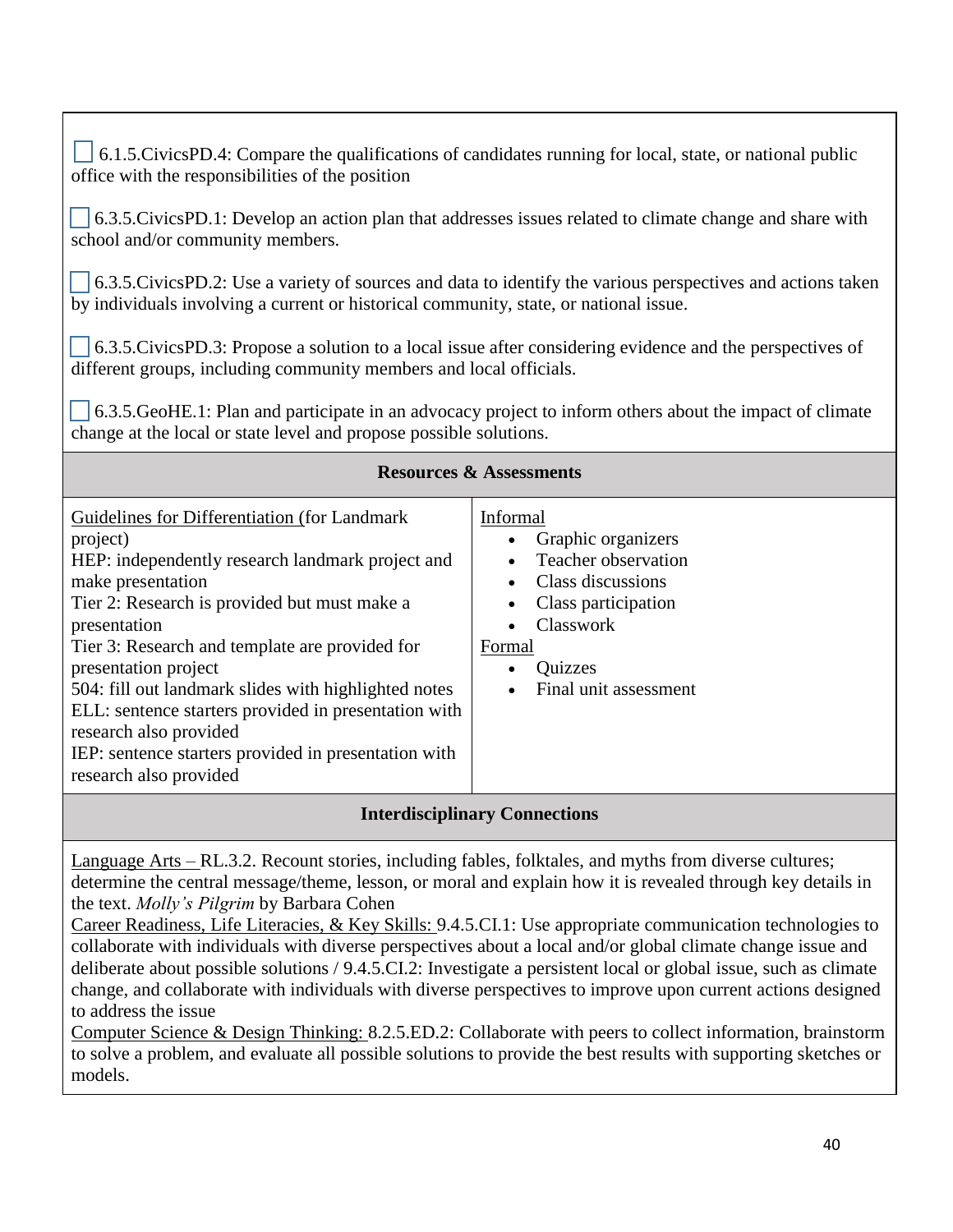$\Box$  6.1.5.CivicsPD.4: Compare the qualifications of candidates running for local, state, or national public office with the responsibilities of the position

 6.3.5.CivicsPD.1: Develop an action plan that addresses issues related to climate change and share with school and/or community members.

 6.3.5.CivicsPD.2: Use a variety of sources and data to identify the various perspectives and actions taken by individuals involving a current or historical community, state, or national issue.

 6.3.5.CivicsPD.3: Propose a solution to a local issue after considering evidence and the perspectives of different groups, including community members and local officials.

 6.3.5.GeoHE.1: Plan and participate in an advocacy project to inform others about the impact of climate change at the local or state level and propose possible solutions.

| <b>Resources &amp; Assessments</b>                                                                                                                                                                                                                                                                                                                                                                                                                                                                       |                                                                                                                                                                     |
|----------------------------------------------------------------------------------------------------------------------------------------------------------------------------------------------------------------------------------------------------------------------------------------------------------------------------------------------------------------------------------------------------------------------------------------------------------------------------------------------------------|---------------------------------------------------------------------------------------------------------------------------------------------------------------------|
| Guidelines for Differentiation (for Landmark)<br>project)<br>HEP: independently research landmark project and<br>make presentation<br>Tier 2: Research is provided but must make a<br>presentation<br>Tier 3: Research and template are provided for<br>presentation project<br>504: fill out landmark slides with highlighted notes<br>ELL: sentence starters provided in presentation with<br>research also provided<br>IEP: sentence starters provided in presentation with<br>research also provided | Informal<br>Graphic organizers<br>Teacher observation<br>Class discussions<br>Class participation<br>Classwork<br>Formal<br><b>Quizzes</b><br>Final unit assessment |

**Interdisciplinary Connections**

Language Arts – RL.3.2. Recount stories, including fables, folktales, and myths from diverse cultures; determine the central message/theme, lesson, or moral and explain how it is revealed through key details in the text. *Molly's Pilgrim* by Barbara Cohen

Career Readiness, Life Literacies, & Key Skills: 9.4.5.CI.1: Use appropriate communication technologies to collaborate with individuals with diverse perspectives about a local and/or global climate change issue and deliberate about possible solutions / 9.4.5.CI.2: Investigate a persistent local or global issue, such as climate change, and collaborate with individuals with diverse perspectives to improve upon current actions designed to address the issue

Computer Science & Design Thinking: 8.2.5.ED.2: Collaborate with peers to collect information, brainstorm to solve a problem, and evaluate all possible solutions to provide the best results with supporting sketches or models.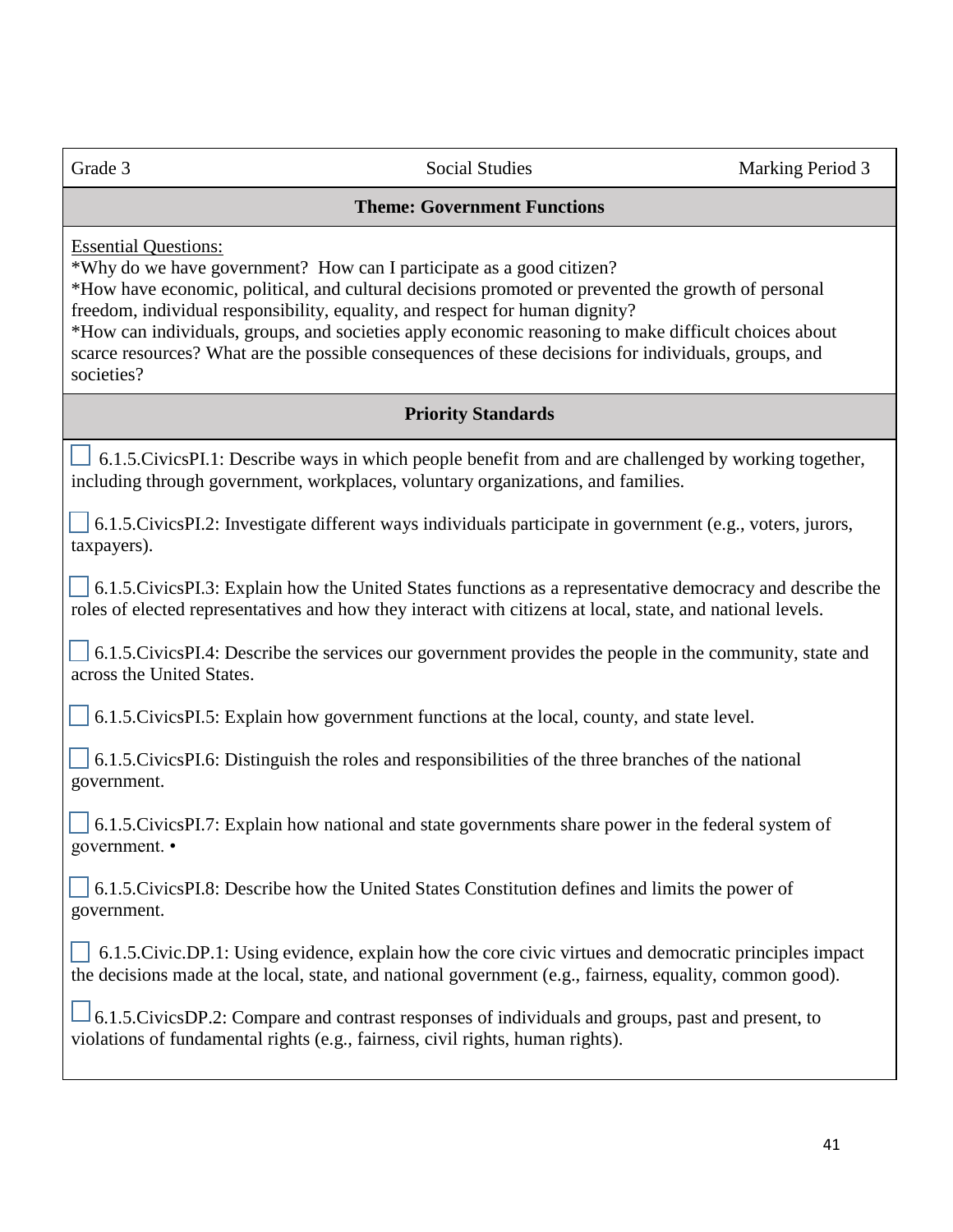#### **Theme: Government Functions**

Essential Questions:

\*Why do we have government? How can I participate as a good citizen?

\*How have economic, political, and cultural decisions promoted or prevented the growth of personal freedom, individual responsibility, equality, and respect for human dignity?

\*How can individuals, groups, and societies apply economic reasoning to make difficult choices about scarce resources? What are the possible consequences of these decisions for individuals, groups, and societies?

# **Priority Standards**

 6.1.5.CivicsPI.1: Describe ways in which people benefit from and are challenged by working together, including through government, workplaces, voluntary organizations, and families.

 6.1.5.CivicsPI.2: Investigate different ways individuals participate in government (e.g., voters, jurors, taxpayers).

 6.1.5.CivicsPI.3: Explain how the United States functions as a representative democracy and describe the roles of elected representatives and how they interact with citizens at local, state, and national levels.

 6.1.5.CivicsPI.4: Describe the services our government provides the people in the community, state and across the United States.

6.1.5.CivicsPI.5: Explain how government functions at the local, county, and state level.

 6.1.5.CivicsPI.6: Distinguish the roles and responsibilities of the three branches of the national government.

 6.1.5.CivicsPI.7: Explain how national and state governments share power in the federal system of government. •

 6.1.5.CivicsPI.8: Describe how the United States Constitution defines and limits the power of government.

 $\Box$  6.1.5.Civic.DP.1: Using evidence, explain how the core civic virtues and democratic principles impact the decisions made at the local, state, and national government (e.g., fairness, equality, common good).

 6.1.5.CivicsDP.2: Compare and contrast responses of individuals and groups, past and present, to violations of fundamental rights (e.g., fairness, civil rights, human rights).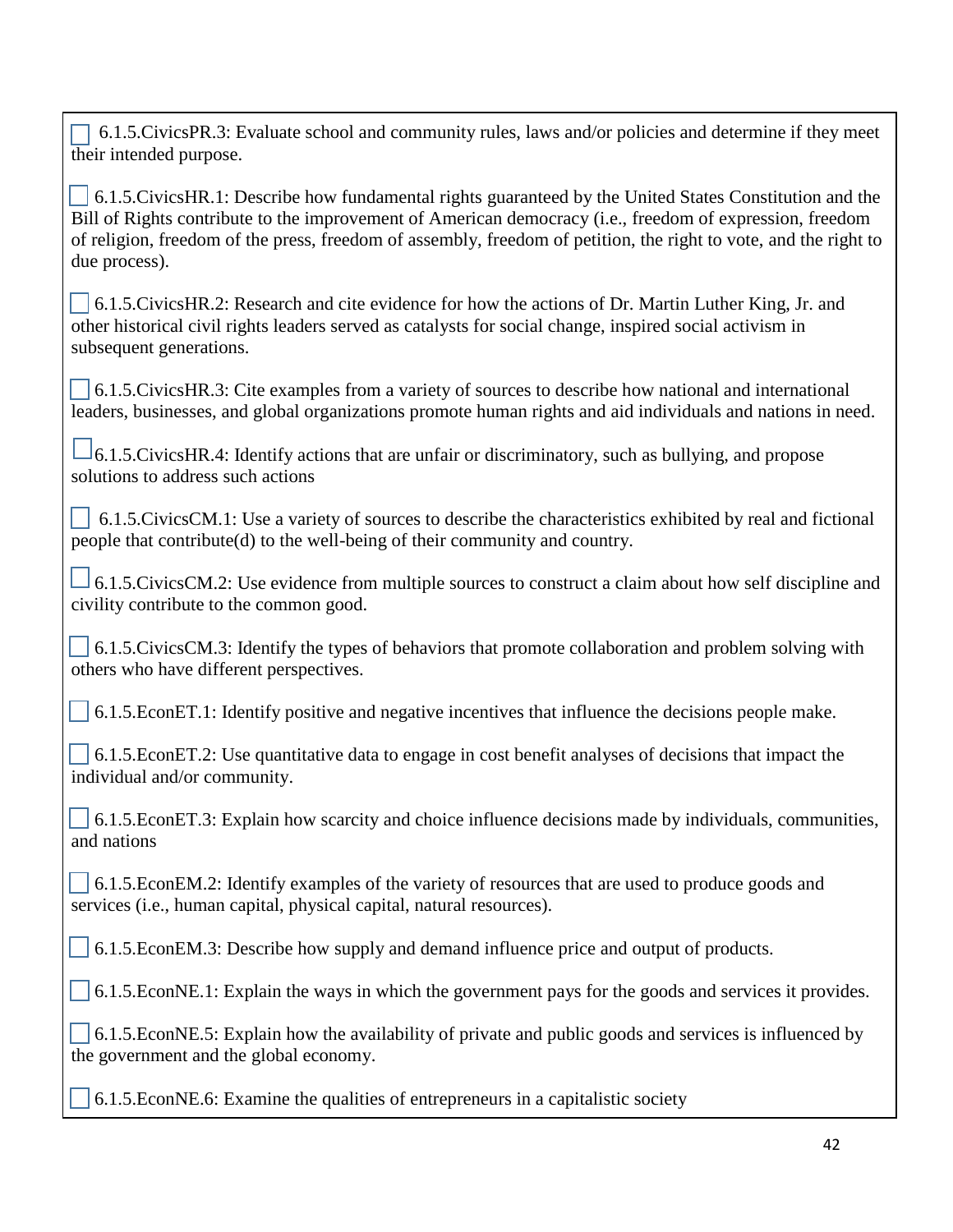6.1.5.CivicsPR.3: Evaluate school and community rules, laws and/or policies and determine if they meet their intended purpose.

 6.1.5.CivicsHR.1: Describe how fundamental rights guaranteed by the United States Constitution and the Bill of Rights contribute to the improvement of American democracy (i.e., freedom of expression, freedom of religion, freedom of the press, freedom of assembly, freedom of petition, the right to vote, and the right to due process).

| □ 6.1.5. Civics HR. 2: Research and cite evidence for how the actions of Dr. Martin Luther King, Jr. and |
|----------------------------------------------------------------------------------------------------------|
| other historical civil rights leaders served as catalysts for social change, inspired social activism in |
| subsequent generations.                                                                                  |

 6.1.5.CivicsHR.3: Cite examples from a variety of sources to describe how national and international leaders, businesses, and global organizations promote human rights and aid individuals and nations in need.

 $\Box$ 6.1.5.CivicsHR.4: Identify actions that are unfair or discriminatory, such as bullying, and propose solutions to address such actions

 6.1.5.CivicsCM.1: Use a variety of sources to describe the characteristics exhibited by real and fictional people that contribute(d) to the well-being of their community and country.

 $\perp$  6.1.5.CivicsCM.2: Use evidence from multiple sources to construct a claim about how self discipline and civility contribute to the common good.

 6.1.5.CivicsCM.3: Identify the types of behaviors that promote collaboration and problem solving with others who have different perspectives.

6.1.5.EconET.1: Identify positive and negative incentives that influence the decisions people make.

 6.1.5.EconET.2: Use quantitative data to engage in cost benefit analyses of decisions that impact the individual and/or community.

 6.1.5.EconET.3: Explain how scarcity and choice influence decisions made by individuals, communities, and nations

 6.1.5.EconEM.2: Identify examples of the variety of resources that are used to produce goods and services (i.e., human capital, physical capital, natural resources).

6.1.5.EconEM.3: Describe how supply and demand influence price and output of products.

6.1.5.EconNE.1: Explain the ways in which the government pays for the goods and services it provides.

 6.1.5.EconNE.5: Explain how the availability of private and public goods and services is influenced by the government and the global economy.

6.1.5.EconNE.6: Examine the qualities of entrepreneurs in a capitalistic society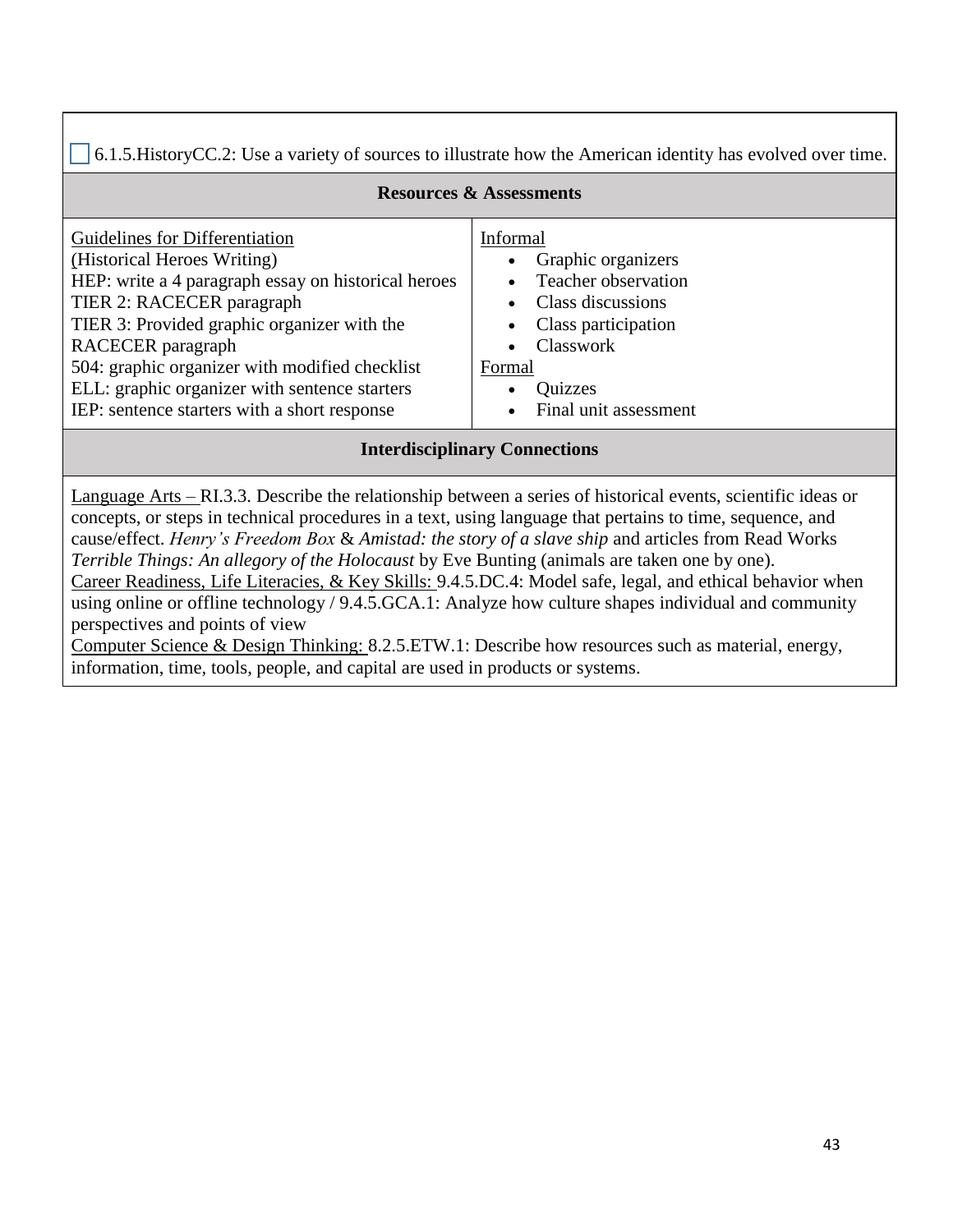6.1.5.HistoryCC.2: Use a variety of sources to illustrate how the American identity has evolved over time.

| <b>Resources &amp; Assessments</b>                  |                       |
|-----------------------------------------------------|-----------------------|
| Guidelines for Differentiation                      | Informal              |
| (Historical Heroes Writing)                         | Graphic organizers    |
| HEP: write a 4 paragraph essay on historical heroes | Teacher observation   |
| TIER 2: RACECER paragraph                           | Class discussions     |
| TIER 3: Provided graphic organizer with the         | Class participation   |
| RACECER paragraph                                   | Classwork             |
| 504: graphic organizer with modified checklist      | Formal                |
| ELL: graphic organizer with sentence starters       | Quizzes               |
| IEP: sentence starters with a short response        | Final unit assessment |

# **Interdisciplinary Connections**

Language Arts – RI.3.3. Describe the relationship between a series of historical events, scientific ideas or concepts, or steps in technical procedures in a text, using language that pertains to time, sequence, and cause/effect. *Henry's Freedom Box* & *Amistad: the story of a slave ship* and articles from Read Works *Terrible Things: An allegory of the Holocaust* by Eve Bunting (animals are taken one by one). Career Readiness, Life Literacies, & Key Skills: 9.4.5.DC.4: Model safe, legal, and ethical behavior when

using online or offline technology / 9.4.5.GCA.1: Analyze how culture shapes individual and community perspectives and points of view

Computer Science & Design Thinking: 8.2.5.ETW.1: Describe how resources such as material, energy, information, time, tools, people, and capital are used in products or systems.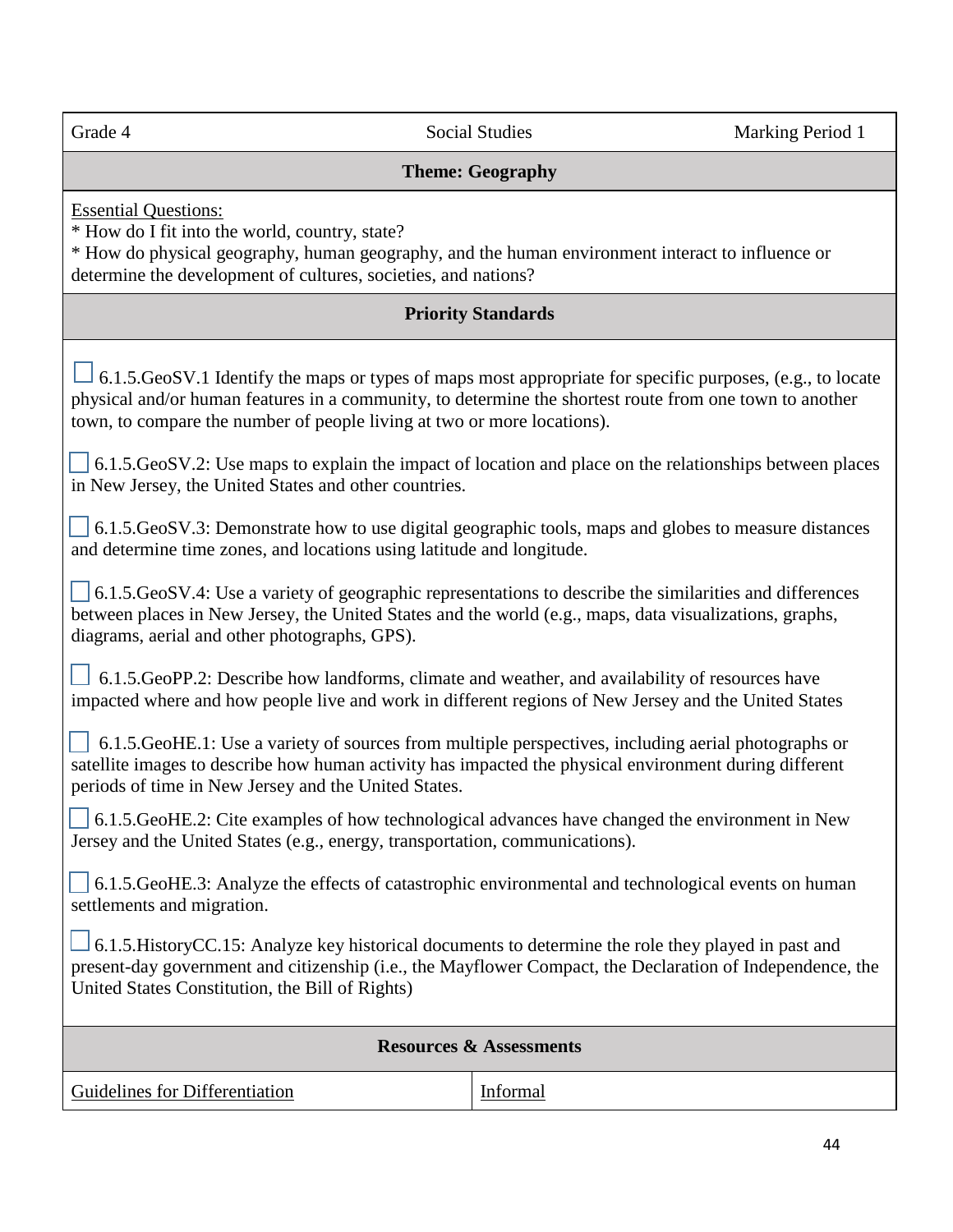| Grade 4                                                                                                                                                                                                                                                                                         | <b>Social Studies</b>     | Marking Period 1 |
|-------------------------------------------------------------------------------------------------------------------------------------------------------------------------------------------------------------------------------------------------------------------------------------------------|---------------------------|------------------|
|                                                                                                                                                                                                                                                                                                 |                           |                  |
|                                                                                                                                                                                                                                                                                                 | <b>Theme: Geography</b>   |                  |
| <b>Essential Questions:</b><br>* How do I fit into the world, country, state?<br>* How do physical geography, human geography, and the human environment interact to influence or<br>determine the development of cultures, societies, and nations?                                             |                           |                  |
|                                                                                                                                                                                                                                                                                                 | <b>Priority Standards</b> |                  |
| 6.1.5.GeoSV.1 Identify the maps or types of maps most appropriate for specific purposes, (e.g., to locate<br>physical and/or human features in a community, to determine the shortest route from one town to another<br>town, to compare the number of people living at two or more locations). |                           |                  |
| 6.1.5. GeoSV.2: Use maps to explain the impact of location and place on the relationships between places<br>in New Jersey, the United States and other countries.                                                                                                                               |                           |                  |
| 6.1.5. GeoSV.3: Demonstrate how to use digital geographic tools, maps and globes to measure distances<br>and determine time zones, and locations using latitude and longitude.                                                                                                                  |                           |                  |
| 6.1.5.GeoSV.4: Use a variety of geographic representations to describe the similarities and differences<br>between places in New Jersey, the United States and the world (e.g., maps, data visualizations, graphs,<br>diagrams, aerial and other photographs, GPS).                             |                           |                  |
| 6.1.5. GeoPP.2: Describe how landforms, climate and weather, and availability of resources have<br>impacted where and how people live and work in different regions of New Jersey and the United States                                                                                         |                           |                  |
| 6.1.5.GeoHE.1: Use a variety of sources from multiple perspectives, including aerial photographs or<br>satellite images to describe how human activity has impacted the physical environment during different<br>periods of time in New Jersey and the United States.                           |                           |                  |
| 6.1.5. GeoHE.2: Cite examples of how technological advances have changed the environment in New<br>Jersey and the United States (e.g., energy, transportation, communications).                                                                                                                 |                           |                  |
| 6.1.5. GeoHE.3: Analyze the effects of catastrophic environmental and technological events on human<br>settlements and migration.                                                                                                                                                               |                           |                  |
| 6.1.5. History CC.15: Analyze key historical documents to determine the role they played in past and<br>present-day government and citizenship (i.e., the Mayflower Compact, the Declaration of Independence, the<br>United States Constitution, the Bill of Rights)                            |                           |                  |
| <b>Resources &amp; Assessments</b>                                                                                                                                                                                                                                                              |                           |                  |
| Guidelines for Differentiation                                                                                                                                                                                                                                                                  | Informal                  |                  |

Π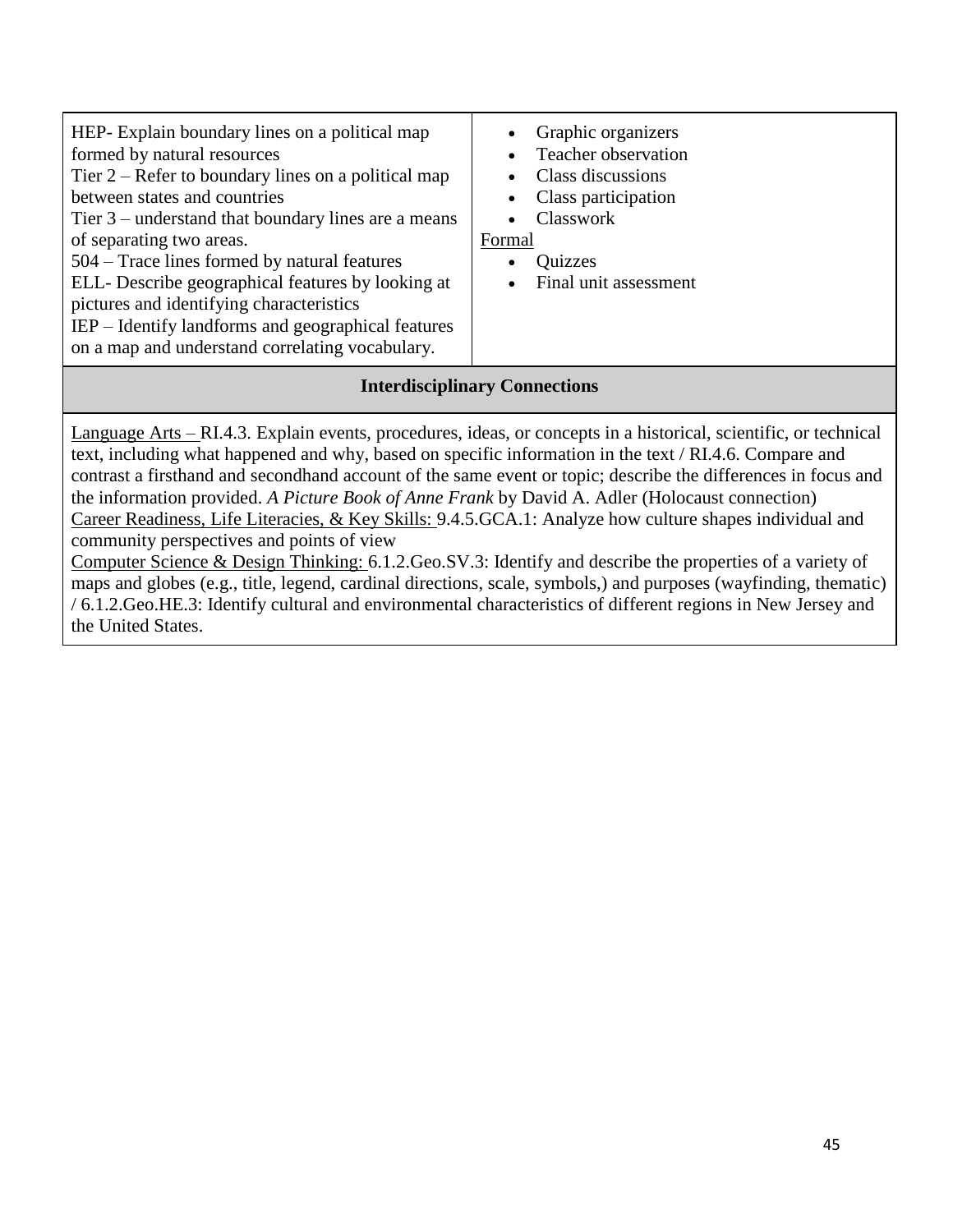# **Interdisciplinary Connections**

Language Arts – RI.4.3. Explain events, procedures, ideas, or concepts in a historical, scientific, or technical text, including what happened and why, based on specific information in the text / RI.4.6. Compare and contrast a firsthand and secondhand account of the same event or topic; describe the differences in focus and the information provided. *A Picture Book of Anne Frank* by David A. Adler (Holocaust connection) Career Readiness, Life Literacies, & Key Skills: 9.4.5.GCA.1: Analyze how culture shapes individual and community perspectives and points of view

Computer Science & Design Thinking: 6.1.2.Geo.SV.3: Identify and describe the properties of a variety of maps and globes (e.g., title, legend, cardinal directions, scale, symbols,) and purposes (wayfinding, thematic) / 6.1.2.Geo.HE.3: Identify cultural and environmental characteristics of different regions in New Jersey and the United States.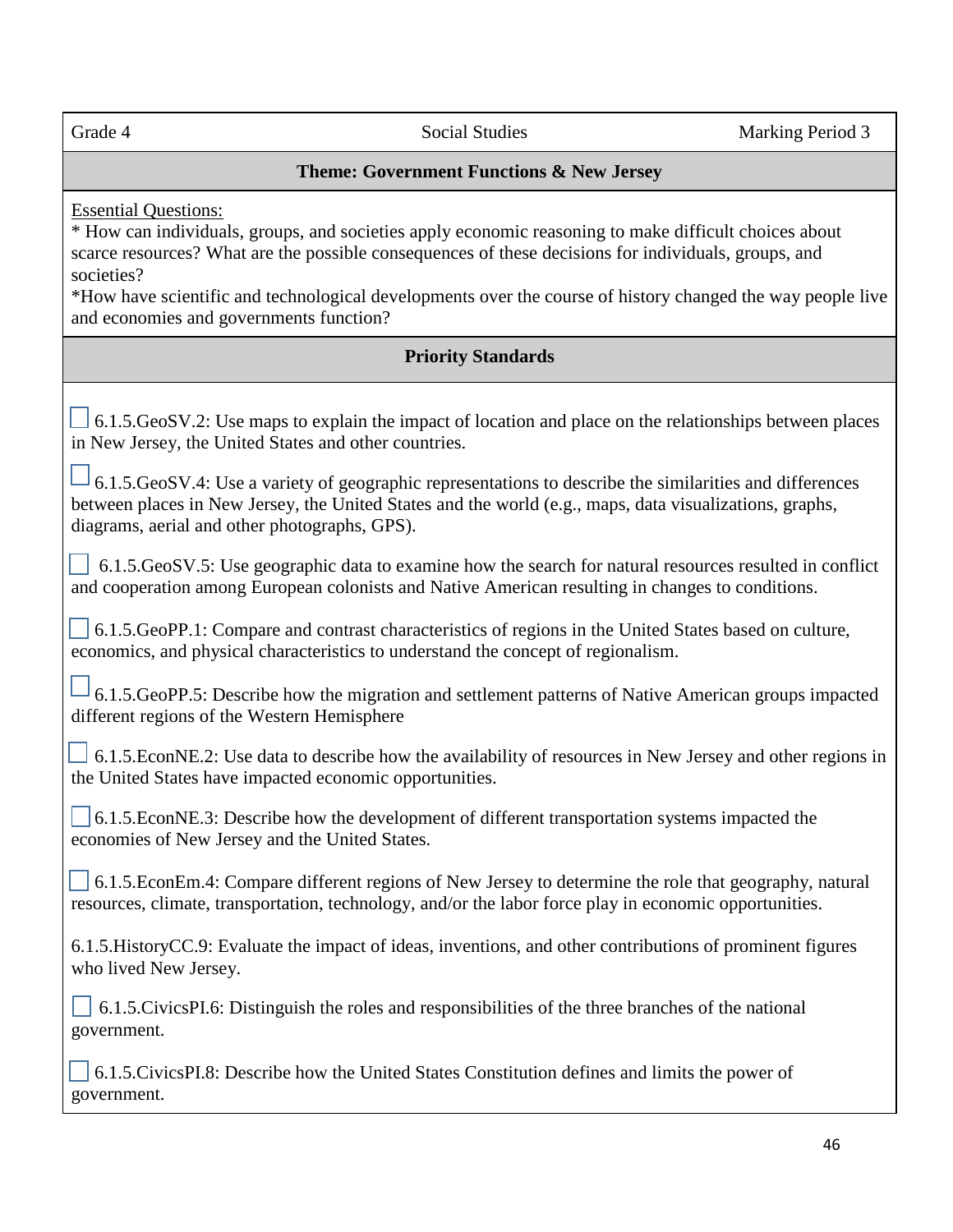# **Theme: Government Functions & New Jersey**

Essential Questions:

\* How can individuals, groups, and societies apply economic reasoning to make difficult choices about scarce resources? What are the possible consequences of these decisions for individuals, groups, and societies?

\*How have scientific and technological developments over the course of history changed the way people live and economies and governments function?

# **Priority Standards**

 $\Box$  6.1.5.GeoSV.2: Use maps to explain the impact of location and place on the relationships between places in New Jersey, the United States and other countries.

 $\Box$  6.1.5.GeoSV.4: Use a variety of geographic representations to describe the similarities and differences between places in New Jersey, the United States and the world (e.g., maps, data visualizations, graphs, diagrams, aerial and other photographs, GPS).

 $\vert$  6.1.5.GeoSV.5: Use geographic data to examine how the search for natural resources resulted in conflict and cooperation among European colonists and Native American resulting in changes to conditions.

 6.1.5.GeoPP.1: Compare and contrast characteristics of regions in the United States based on culture, economics, and physical characteristics to understand the concept of regionalism.

 $-6.1.5$ .GeoPP.5: Describe how the migration and settlement patterns of Native American groups impacted different regions of the Western Hemisphere

 $\Box$  6.1.5.EconNE.2: Use data to describe how the availability of resources in New Jersey and other regions in the United States have impacted economic opportunities.

 6.1.5.EconNE.3: Describe how the development of different transportation systems impacted the economies of New Jersey and the United States.

 $\vert$  6.1.5.EconEm.4: Compare different regions of New Jersey to determine the role that geography, natural resources, climate, transportation, technology, and/or the labor force play in economic opportunities.

6.1.5.HistoryCC.9: Evaluate the impact of ideas, inventions, and other contributions of prominent figures who lived New Jersey.

 6.1.5.CivicsPI.6: Distinguish the roles and responsibilities of the three branches of the national government.

 6.1.5.CivicsPI.8: Describe how the United States Constitution defines and limits the power of government.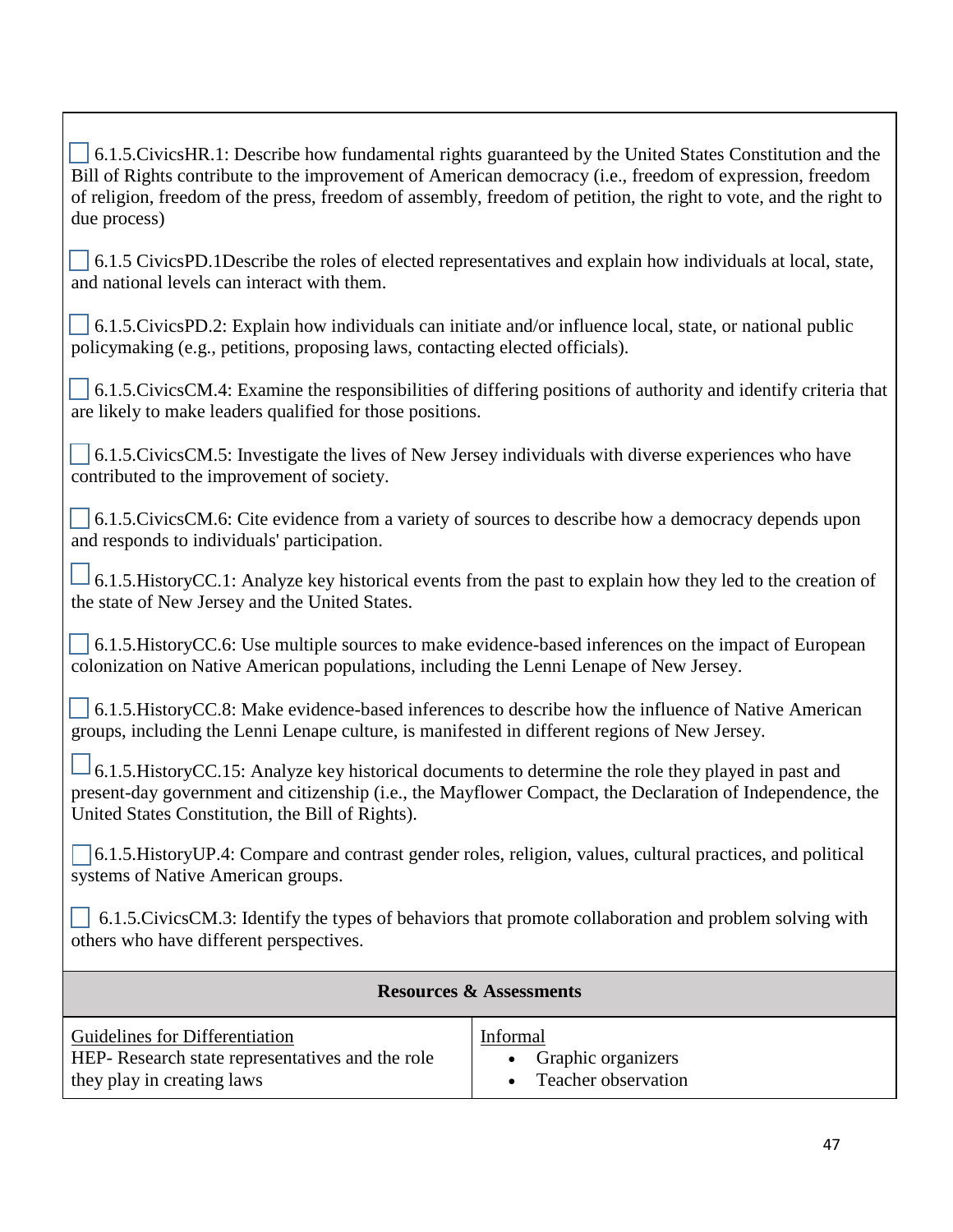6.1.5.CivicsHR.1: Describe how fundamental rights guaranteed by the United States Constitution and the Bill of Rights contribute to the improvement of American democracy (i.e., freedom of expression, freedom of religion, freedom of the press, freedom of assembly, freedom of petition, the right to vote, and the right to due process)

 $\vert$  6.1.5 CivicsPD.1Describe the roles of elected representatives and explain how individuals at local, state, and national levels can interact with them.

 6.1.5.CivicsPD.2: Explain how individuals can initiate and/or influence local, state, or national public policymaking (e.g., petitions, proposing laws, contacting elected officials).

 6.1.5.CivicsCM.4: Examine the responsibilities of differing positions of authority and identify criteria that are likely to make leaders qualified for those positions.

 6.1.5.CivicsCM.5: Investigate the lives of New Jersey individuals with diverse experiences who have contributed to the improvement of society.

 6.1.5.CivicsCM.6: Cite evidence from a variety of sources to describe how a democracy depends upon and responds to individuals' participation.

 $\Box$  6.1.5. HistoryCC.1: Analyze key historical events from the past to explain how they led to the creation of the state of New Jersey and the United States.

 6.1.5.HistoryCC.6: Use multiple sources to make evidence-based inferences on the impact of European colonization on Native American populations, including the Lenni Lenape of New Jersey.

 6.1.5.HistoryCC.8: Make evidence-based inferences to describe how the influence of Native American groups, including the Lenni Lenape culture, is manifested in different regions of New Jersey.

<sup>1</sup>6.1.5. HistoryCC.15: Analyze key historical documents to determine the role they played in past and present-day government and citizenship (i.e., the Mayflower Compact, the Declaration of Independence, the United States Constitution, the Bill of Rights).

 6.1.5.HistoryUP.4: Compare and contrast gender roles, religion, values, cultural practices, and political systems of Native American groups.

 $\vert$  6.1.5.CivicsCM.3: Identify the types of behaviors that promote collaboration and problem solving with others who have different perspectives.

| <b>Resources &amp; Assessments</b>              |                     |
|-------------------------------------------------|---------------------|
| <b>Guidelines for Differentiation</b>           | Informal            |
| HEP-Research state representatives and the role | Graphic organizers  |
| they play in creating laws                      | Teacher observation |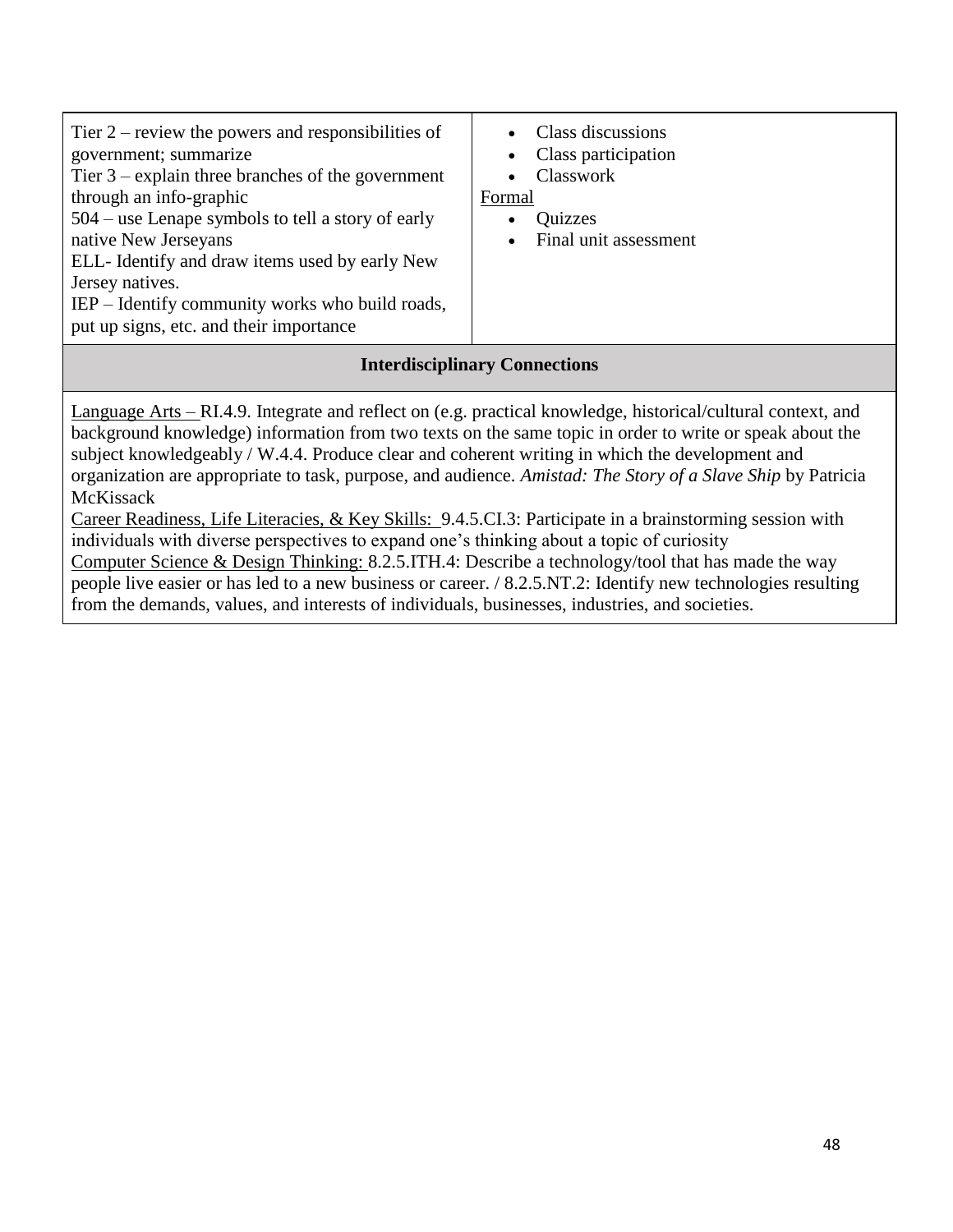| Tier $2$ – review the powers and responsibilities of<br>government; summarize<br>Tier $3$ – explain three branches of the government<br>through an info-graphic<br>$504$ – use Lenape symbols to tell a story of early<br>native New Jerseyans<br>ELL-Identify and draw items used by early New<br>Jersey natives.<br>IEP – Identify community works who build roads,<br>put up signs, etc. and their importance | Class discussions<br>Class participation<br>Classwork<br>Formal<br>Quizzes<br>Final unit assessment |  |
|------------------------------------------------------------------------------------------------------------------------------------------------------------------------------------------------------------------------------------------------------------------------------------------------------------------------------------------------------------------------------------------------------------------|-----------------------------------------------------------------------------------------------------|--|
| <b>Interdisciplinary Connections</b>                                                                                                                                                                                                                                                                                                                                                                             |                                                                                                     |  |

Language Arts – RI.4.9. Integrate and reflect on (e.g. practical knowledge, historical/cultural context, and background knowledge) information from two texts on the same topic in order to write or speak about the subject knowledgeably / W.4.4. Produce clear and coherent writing in which the development and organization are appropriate to task, purpose, and audience. *Amistad: The Story of a Slave Ship* by Patricia McKissack

Career Readiness, Life Literacies, & Key Skills: 9.4.5.CI.3: Participate in a brainstorming session with individuals with diverse perspectives to expand one's thinking about a topic of curiosity Computer Science & Design Thinking: 8.2.5.ITH.4: Describe a technology/tool that has made the way people live easier or has led to a new business or career. / 8.2.5.NT.2: Identify new technologies resulting from the demands, values, and interests of individuals, businesses, industries, and societies.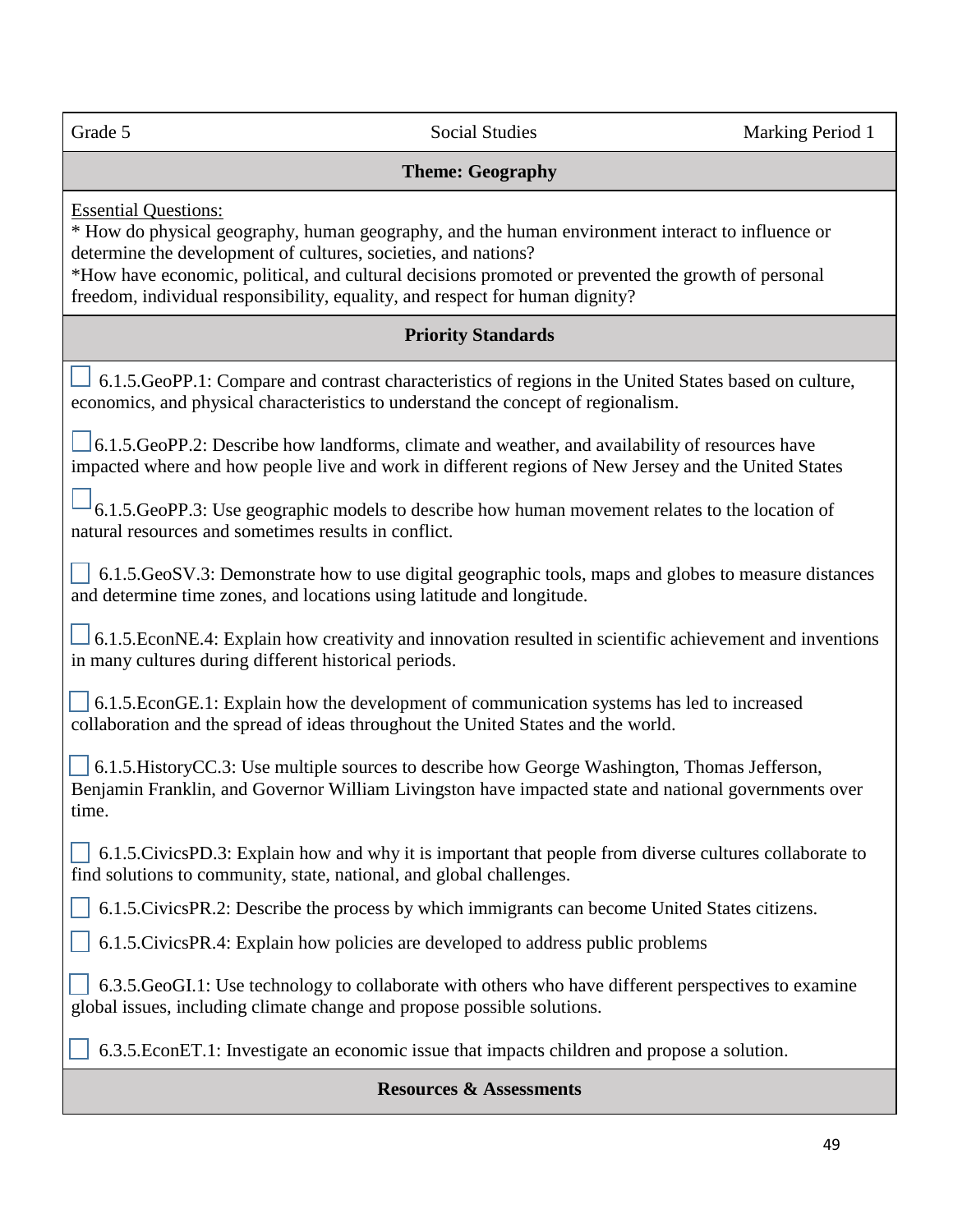l,

Grade 5 Social Studies Marking Period 1

#### **Theme: Geography**

Essential Questions:

\* How do physical geography, human geography, and the human environment interact to influence or determine the development of cultures, societies, and nations?

\*How have economic, political, and cultural decisions promoted or prevented the growth of personal freedom, individual responsibility, equality, and respect for human dignity?

#### **Priority Standards**

 6.1.5.GeoPP.1: Compare and contrast characteristics of regions in the United States based on culture, economics, and physical characteristics to understand the concept of regionalism.

 $\Box$  6.1.5.GeoPP.2: Describe how landforms, climate and weather, and availability of resources have impacted where and how people live and work in different regions of New Jersey and the United States

 6.1.5.GeoPP.3: Use geographic models to describe how human movement relates to the location of natural resources and sometimes results in conflict.

 6.1.5.GeoSV.3: Demonstrate how to use digital geographic tools, maps and globes to measure distances and determine time zones, and locations using latitude and longitude.

 6.1.5.EconNE.4: Explain how creativity and innovation resulted in scientific achievement and inventions in many cultures during different historical periods.

 6.1.5.EconGE.1: Explain how the development of communication systems has led to increased collaboration and the spread of ideas throughout the United States and the world.

 6.1.5.HistoryCC.3: Use multiple sources to describe how George Washington, Thomas Jefferson, Benjamin Franklin, and Governor William Livingston have impacted state and national governments over time.

 $\vert$  6.1.5.CivicsPD.3: Explain how and why it is important that people from diverse cultures collaborate to find solutions to community, state, national, and global challenges.

6.1.5.CivicsPR.2: Describe the process by which immigrants can become United States citizens.

6.1.5.CivicsPR.4: Explain how policies are developed to address public problems

 6.3.5.GeoGI.1: Use technology to collaborate with others who have different perspectives to examine global issues, including climate change and propose possible solutions.

6.3.5.EconET.1: Investigate an economic issue that impacts children and propose a solution.

#### **Resources & Assessments**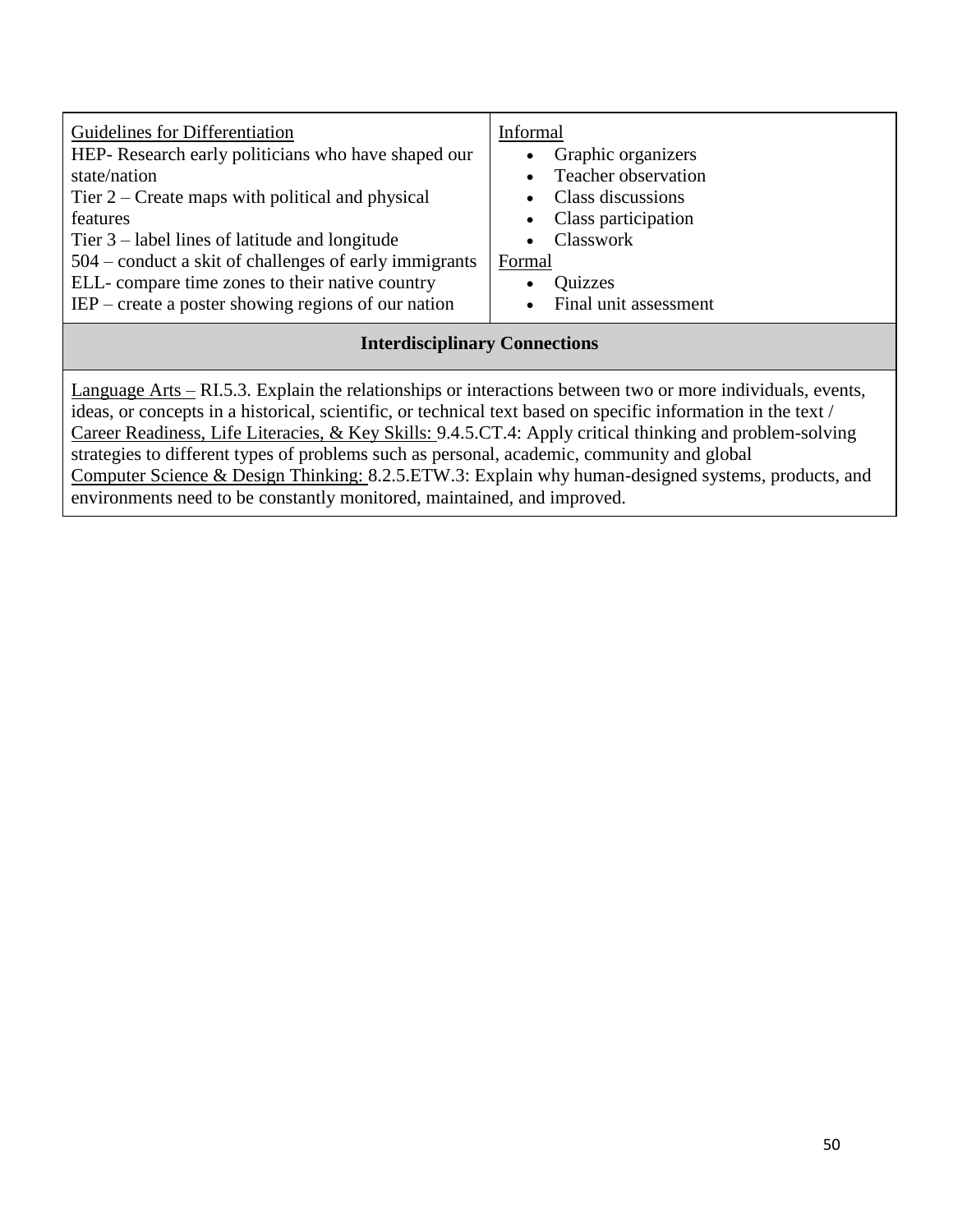| Guidelines for Differentiation<br>HEP- Research early politicians who have shaped our<br>state/nation<br>Tier $2$ – Create maps with political and physical<br>features<br>Tier $3$ – label lines of latitude and longitude<br>504 – conduct a skit of challenges of early immigrants<br>ELL-compare time zones to their native country<br>$IEP$ – create a poster showing regions of our nation                                      | Informal<br>Graphic organizers<br>Teacher observation<br>$\bullet$<br>Class discussions<br>Class participation<br>Classwork<br>Formal<br>Quizzes<br>$\bullet$<br>Final unit assessment<br>$\bullet$ |  |
|---------------------------------------------------------------------------------------------------------------------------------------------------------------------------------------------------------------------------------------------------------------------------------------------------------------------------------------------------------------------------------------------------------------------------------------|-----------------------------------------------------------------------------------------------------------------------------------------------------------------------------------------------------|--|
| <b>Interdisciplinary Connections</b>                                                                                                                                                                                                                                                                                                                                                                                                  |                                                                                                                                                                                                     |  |
| Language Arts – RI.5.3. Explain the relationships or interactions between two or more individuals, events,<br>ideas, or concepts in a historical, scientific, or technical text based on specific information in the text /<br>Career Readiness, Life Literacies, & Key Skills: 9.4.5.CT.4: Apply critical thinking and problem-solving<br>strategies to different types of problems such as personal, academic, community and global |                                                                                                                                                                                                     |  |

Computer Science & Design Thinking: 8.2.5.ETW.3: Explain why human-designed systems, products, and

environments need to be constantly monitored, maintained, and improved.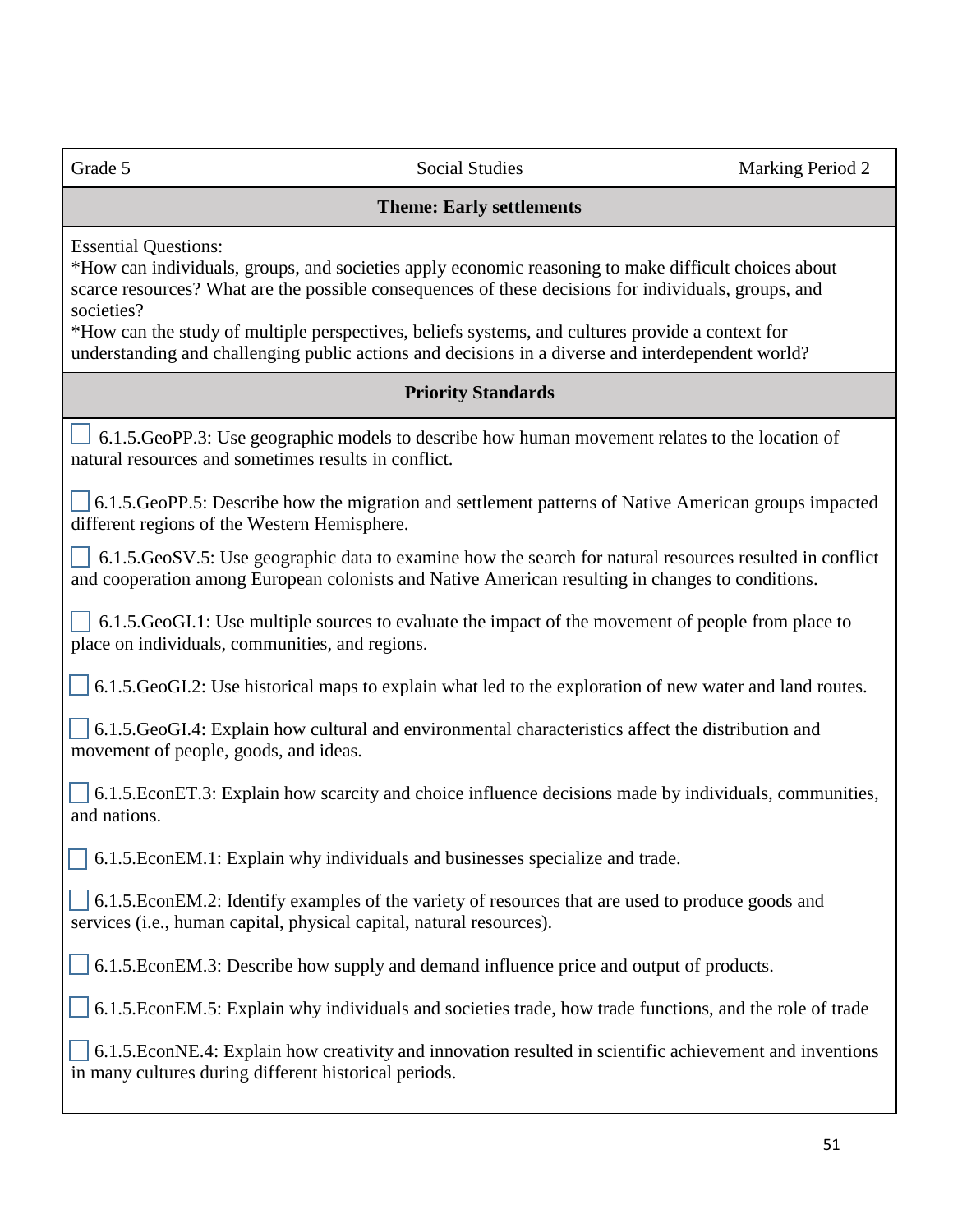| Grade |  |
|-------|--|

#### **Theme: Early settlements**

Essential Questions:

\*How can individuals, groups, and societies apply economic reasoning to make difficult choices about scarce resources? What are the possible consequences of these decisions for individuals, groups, and societies?

\*How can the study of multiple perspectives, beliefs systems, and cultures provide a context for understanding and challenging public actions and decisions in a diverse and interdependent world?

## **Priority Standards**

 $\perp$  6.1.5.GeoPP.3: Use geographic models to describe how human movement relates to the location of natural resources and sometimes results in conflict.

 6.1.5.GeoPP.5: Describe how the migration and settlement patterns of Native American groups impacted different regions of the Western Hemisphere.

 $\vert$  6.1.5.GeoSV.5: Use geographic data to examine how the search for natural resources resulted in conflict and cooperation among European colonists and Native American resulting in changes to conditions.

 6.1.5.GeoGI.1: Use multiple sources to evaluate the impact of the movement of people from place to place on individuals, communities, and regions.

6.1.5.GeoGI.2: Use historical maps to explain what led to the exploration of new water and land routes.

 $\big|$  6.1.5.GeoGI.4: Explain how cultural and environmental characteristics affect the distribution and movement of people, goods, and ideas.

 6.1.5.EconET.3: Explain how scarcity and choice influence decisions made by individuals, communities, and nations.

6.1.5.EconEM.1: Explain why individuals and businesses specialize and trade.

 6.1.5.EconEM.2: Identify examples of the variety of resources that are used to produce goods and services (i.e., human capital, physical capital, natural resources).

6.1.5.EconEM.3: Describe how supply and demand influence price and output of products.

6.1.5.EconEM.5: Explain why individuals and societies trade, how trade functions, and the role of trade

 6.1.5.EconNE.4: Explain how creativity and innovation resulted in scientific achievement and inventions in many cultures during different historical periods.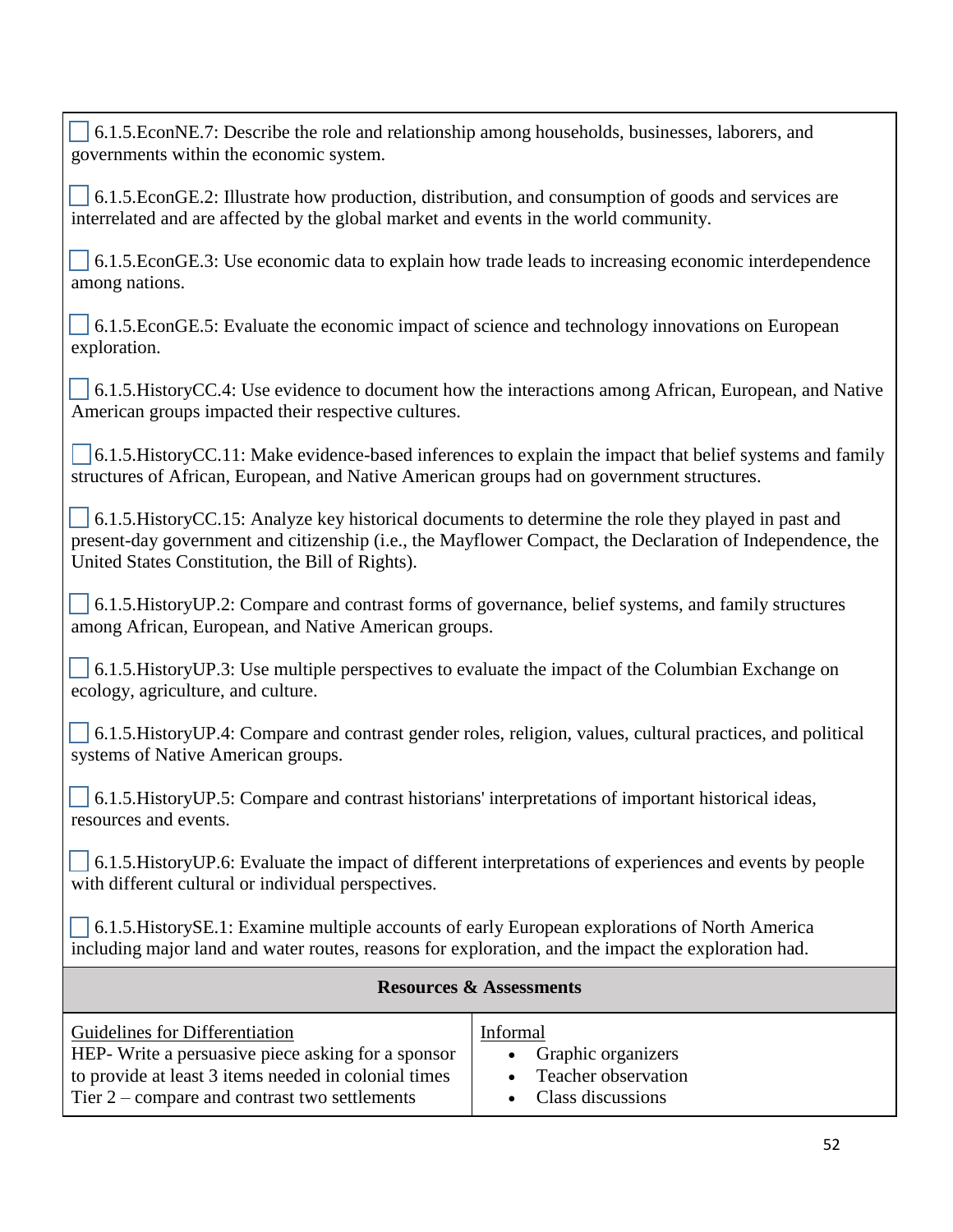6.1.5.EconNE.7: Describe the role and relationship among households, businesses, laborers, and governments within the economic system.

 6.1.5.EconGE.2: Illustrate how production, distribution, and consumption of goods and services are interrelated and are affected by the global market and events in the world community.

 6.1.5.EconGE.3: Use economic data to explain how trade leads to increasing economic interdependence among nations.

 6.1.5.EconGE.5: Evaluate the economic impact of science and technology innovations on European exploration.

 6.1.5.HistoryCC.4: Use evidence to document how the interactions among African, European, and Native American groups impacted their respective cultures.

 6.1.5.HistoryCC.11: Make evidence-based inferences to explain the impact that belief systems and family structures of African, European, and Native American groups had on government structures.

 6.1.5.HistoryCC.15: Analyze key historical documents to determine the role they played in past and present-day government and citizenship (i.e., the Mayflower Compact, the Declaration of Independence, the United States Constitution, the Bill of Rights).

 6.1.5.HistoryUP.2: Compare and contrast forms of governance, belief systems, and family structures among African, European, and Native American groups.

 6.1.5.HistoryUP.3: Use multiple perspectives to evaluate the impact of the Columbian Exchange on ecology, agriculture, and culture.

 6.1.5.HistoryUP.4: Compare and contrast gender roles, religion, values, cultural practices, and political systems of Native American groups.

 6.1.5.HistoryUP.5: Compare and contrast historians' interpretations of important historical ideas, resources and events.

 6.1.5.HistoryUP.6: Evaluate the impact of different interpretations of experiences and events by people with different cultural or individual perspectives.

 6.1.5.HistorySE.1: Examine multiple accounts of early European explorations of North America including major land and water routes, reasons for exploration, and the impact the exploration had.

| <b>Resources &amp; Assessments</b>                   |                     |
|------------------------------------------------------|---------------------|
| Guidelines for Differentiation                       | Informal            |
| HEP- Write a persuasive piece asking for a sponsor   | Graphic organizers  |
| to provide at least 3 items needed in colonial times | Teacher observation |
| Tier $2$ – compare and contrast two settlements      | Class discussions   |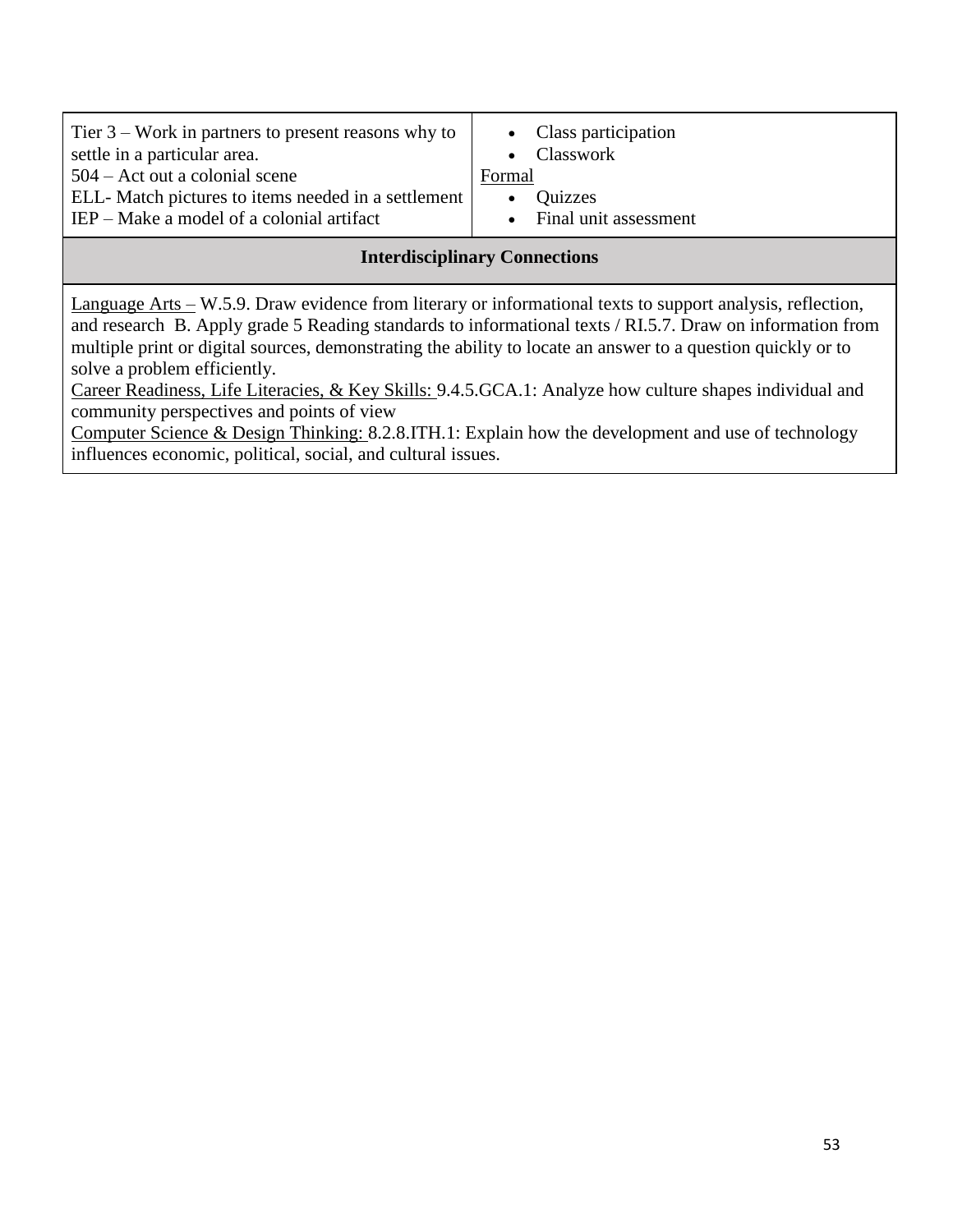| Tier $3$ – Work in partners to present reasons why to<br>settle in a particular area. | • Class participation<br>Classwork |
|---------------------------------------------------------------------------------------|------------------------------------|
| $504 -$ Act out a colonial scene                                                      | Formal                             |
| ELL-Match pictures to items needed in a settlement                                    | Quizzes                            |
| $IEP$ – Make a model of a colonial artifact                                           | Final unit assessment              |
| <del>.</del>                                                                          |                                    |

# **Interdisciplinary Connections**

Language Arts – W.5.9. Draw evidence from literary or informational texts to support analysis, reflection, and research B. Apply grade 5 Reading standards to informational texts / RI.5.7. Draw on information from multiple print or digital sources, demonstrating the ability to locate an answer to a question quickly or to solve a problem efficiently.

Career Readiness, Life Literacies, & Key Skills: 9.4.5.GCA.1: Analyze how culture shapes individual and community perspectives and points of view

Computer Science & Design Thinking: 8.2.8.ITH.1: Explain how the development and use of technology influences economic, political, social, and cultural issues.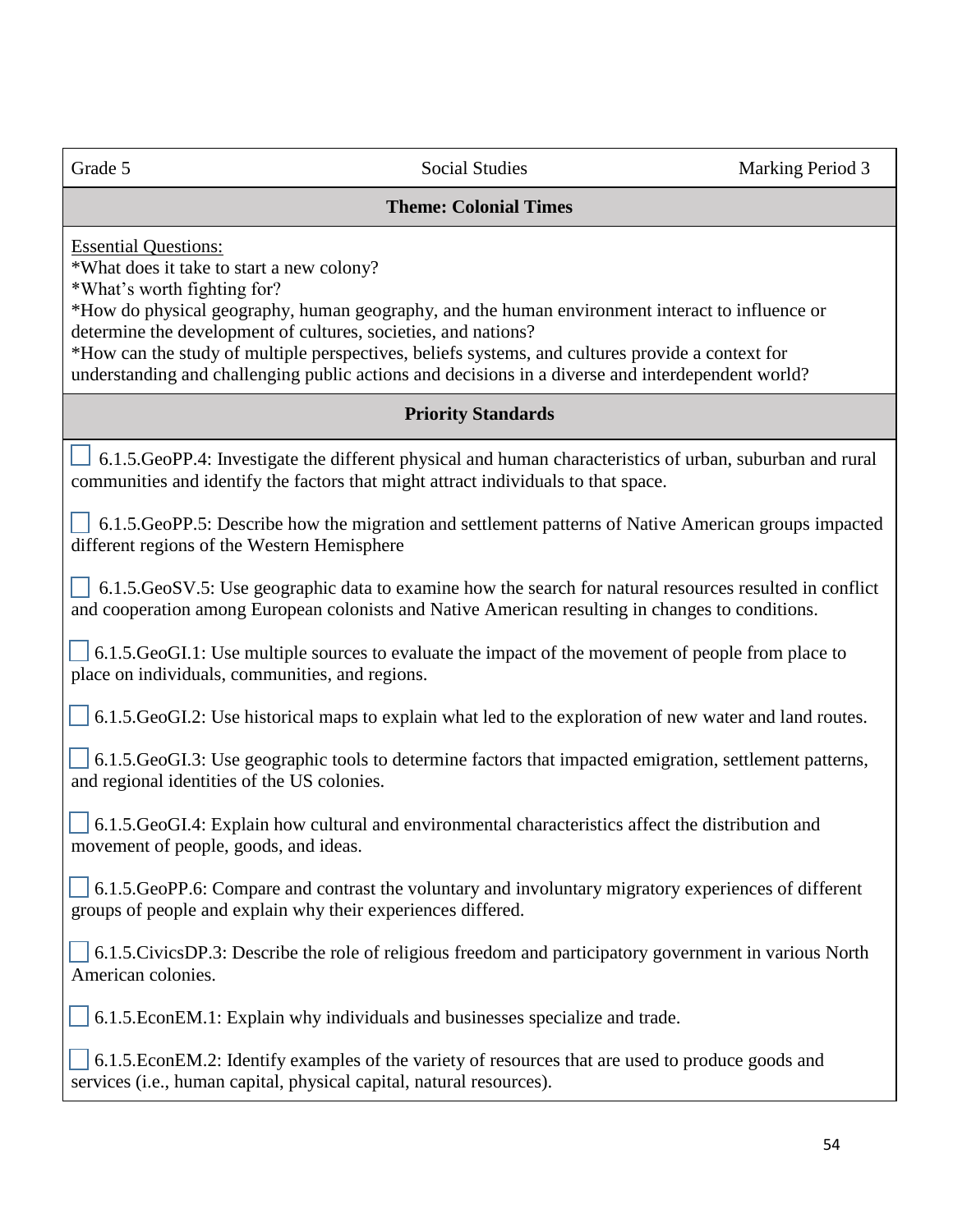#### **Theme: Colonial Times**

Essential Questions:

\*What does it take to start a new colony?

\*What's worth fighting for?

\*How do physical geography, human geography, and the human environment interact to influence or determine the development of cultures, societies, and nations?

\*How can the study of multiple perspectives, beliefs systems, and cultures provide a context for understanding and challenging public actions and decisions in a diverse and interdependent world?

# **Priority Standards**

 6.1.5.GeoPP.4: Investigate the different physical and human characteristics of urban, suburban and rural communities and identify the factors that might attract individuals to that space.

 6.1.5.GeoPP.5: Describe how the migration and settlement patterns of Native American groups impacted different regions of the Western Hemisphere

 6.1.5.GeoSV.5: Use geographic data to examine how the search for natural resources resulted in conflict and cooperation among European colonists and Native American resulting in changes to conditions.

 6.1.5.GeoGI.1: Use multiple sources to evaluate the impact of the movement of people from place to place on individuals, communities, and regions.

6.1.5.GeoGI.2: Use historical maps to explain what led to the exploration of new water and land routes.

 6.1.5.GeoGI.3: Use geographic tools to determine factors that impacted emigration, settlement patterns, and regional identities of the US colonies.

 6.1.5.GeoGI.4: Explain how cultural and environmental characteristics affect the distribution and movement of people, goods, and ideas.

 6.1.5.GeoPP.6: Compare and contrast the voluntary and involuntary migratory experiences of different groups of people and explain why their experiences differed.

 6.1.5.CivicsDP.3: Describe the role of religious freedom and participatory government in various North American colonies.

6.1.5.EconEM.1: Explain why individuals and businesses specialize and trade.

 6.1.5.EconEM.2: Identify examples of the variety of resources that are used to produce goods and services (i.e., human capital, physical capital, natural resources).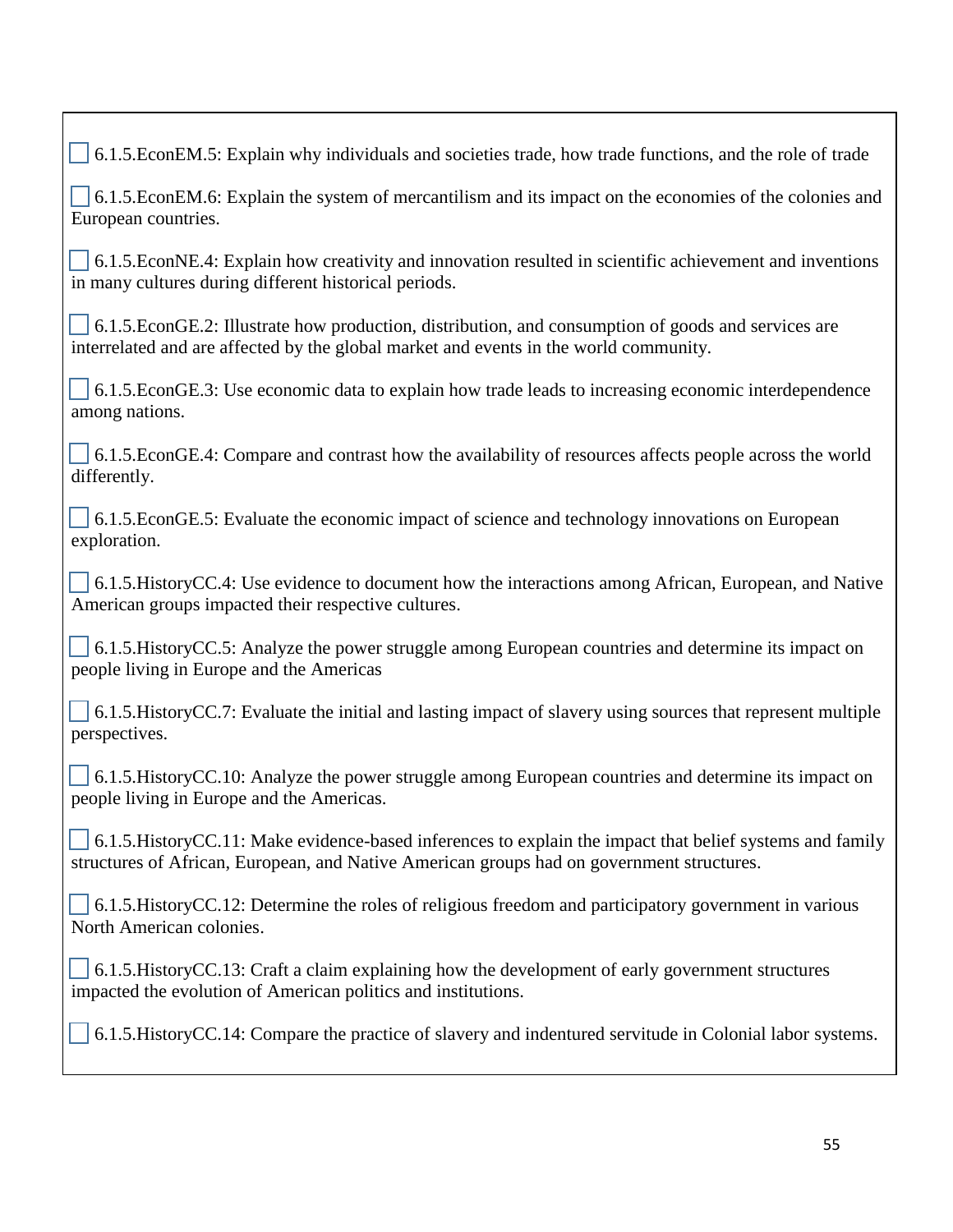6.1.5.EconEM.5: Explain why individuals and societies trade, how trade functions, and the role of trade

 6.1.5.EconEM.6: Explain the system of mercantilism and its impact on the economies of the colonies and European countries.

 $\begin{bmatrix} 6.1.5 \text{.EconNE}.4: \text{Explain how creativity and innovation resulted in scientific achievement and inventions} \end{bmatrix}$ in many cultures during different historical periods.

 6.1.5.EconGE.2: Illustrate how production, distribution, and consumption of goods and services are interrelated and are affected by the global market and events in the world community.

 6.1.5.EconGE.3: Use economic data to explain how trade leads to increasing economic interdependence among nations.

 6.1.5.EconGE.4: Compare and contrast how the availability of resources affects people across the world differently.

 6.1.5.EconGE.5: Evaluate the economic impact of science and technology innovations on European exploration.

 6.1.5.HistoryCC.4: Use evidence to document how the interactions among African, European, and Native American groups impacted their respective cultures.

 6.1.5.HistoryCC.5: Analyze the power struggle among European countries and determine its impact on people living in Europe and the Americas

 6.1.5.HistoryCC.7: Evaluate the initial and lasting impact of slavery using sources that represent multiple perspectives.

 6.1.5.HistoryCC.10: Analyze the power struggle among European countries and determine its impact on people living in Europe and the Americas.

 6.1.5.HistoryCC.11: Make evidence-based inferences to explain the impact that belief systems and family structures of African, European, and Native American groups had on government structures.

 6.1.5.HistoryCC.12: Determine the roles of religious freedom and participatory government in various North American colonies.

 6.1.5.HistoryCC.13: Craft a claim explaining how the development of early government structures impacted the evolution of American politics and institutions.

6.1.5.HistoryCC.14: Compare the practice of slavery and indentured servitude in Colonial labor systems.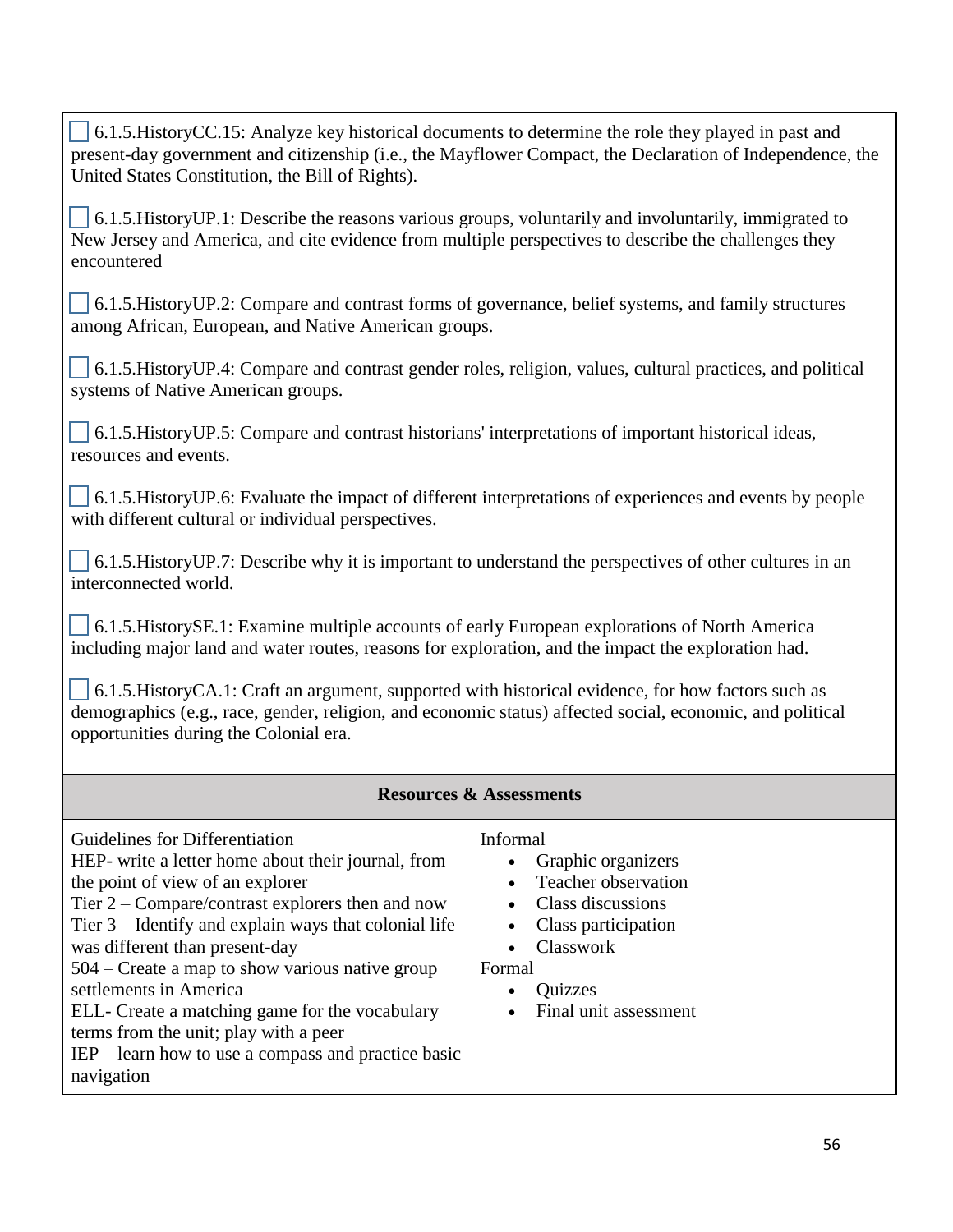6.1.5.HistoryCC.15: Analyze key historical documents to determine the role they played in past and present-day government and citizenship (i.e., the Mayflower Compact, the Declaration of Independence, the United States Constitution, the Bill of Rights).

 $\sim$  6.1.5. History UP.1: Describe the reasons various groups, voluntarily and involuntarily, immigrated to New Jersey and America, and cite evidence from multiple perspectives to describe the challenges they encountered

 6.1.5.HistoryUP.2: Compare and contrast forms of governance, belief systems, and family structures among African, European, and Native American groups.

 6.1.5.HistoryUP.4: Compare and contrast gender roles, religion, values, cultural practices, and political systems of Native American groups.

 6.1.5.HistoryUP.5: Compare and contrast historians' interpretations of important historical ideas, resources and events.

 6.1.5.HistoryUP.6: Evaluate the impact of different interpretations of experiences and events by people with different cultural or individual perspectives.

 6.1.5.HistoryUP.7: Describe why it is important to understand the perspectives of other cultures in an interconnected world.

 6.1.5.HistorySE.1: Examine multiple accounts of early European explorations of North America including major land and water routes, reasons for exploration, and the impact the exploration had.

 6.1.5.HistoryCA.1: Craft an argument, supported with historical evidence, for how factors such as demographics (e.g., race, gender, religion, and economic status) affected social, economic, and political opportunities during the Colonial era.

| <b>Resources &amp; Assessments</b>                                                                                                                                                                                                                                                                                                                                                                                                                                                                                         |                                                                                                                                                                     |
|----------------------------------------------------------------------------------------------------------------------------------------------------------------------------------------------------------------------------------------------------------------------------------------------------------------------------------------------------------------------------------------------------------------------------------------------------------------------------------------------------------------------------|---------------------------------------------------------------------------------------------------------------------------------------------------------------------|
| Guidelines for Differentiation<br>HEP- write a letter home about their journal, from<br>the point of view of an explorer<br>Tier $2$ – Compare/contrast explorers then and now<br>Tier $3$ – Identify and explain ways that colonial life<br>was different than present-day<br>504 – Create a map to show various native group<br>settlements in America<br>ELL- Create a matching game for the vocabulary<br>terms from the unit; play with a peer<br>$IEP$ – learn how to use a compass and practice basic<br>navigation | Informal<br>Graphic organizers<br>Teacher observation<br>Class discussions<br>Class participation<br>Classwork<br>Formal<br><b>Quizzes</b><br>Final unit assessment |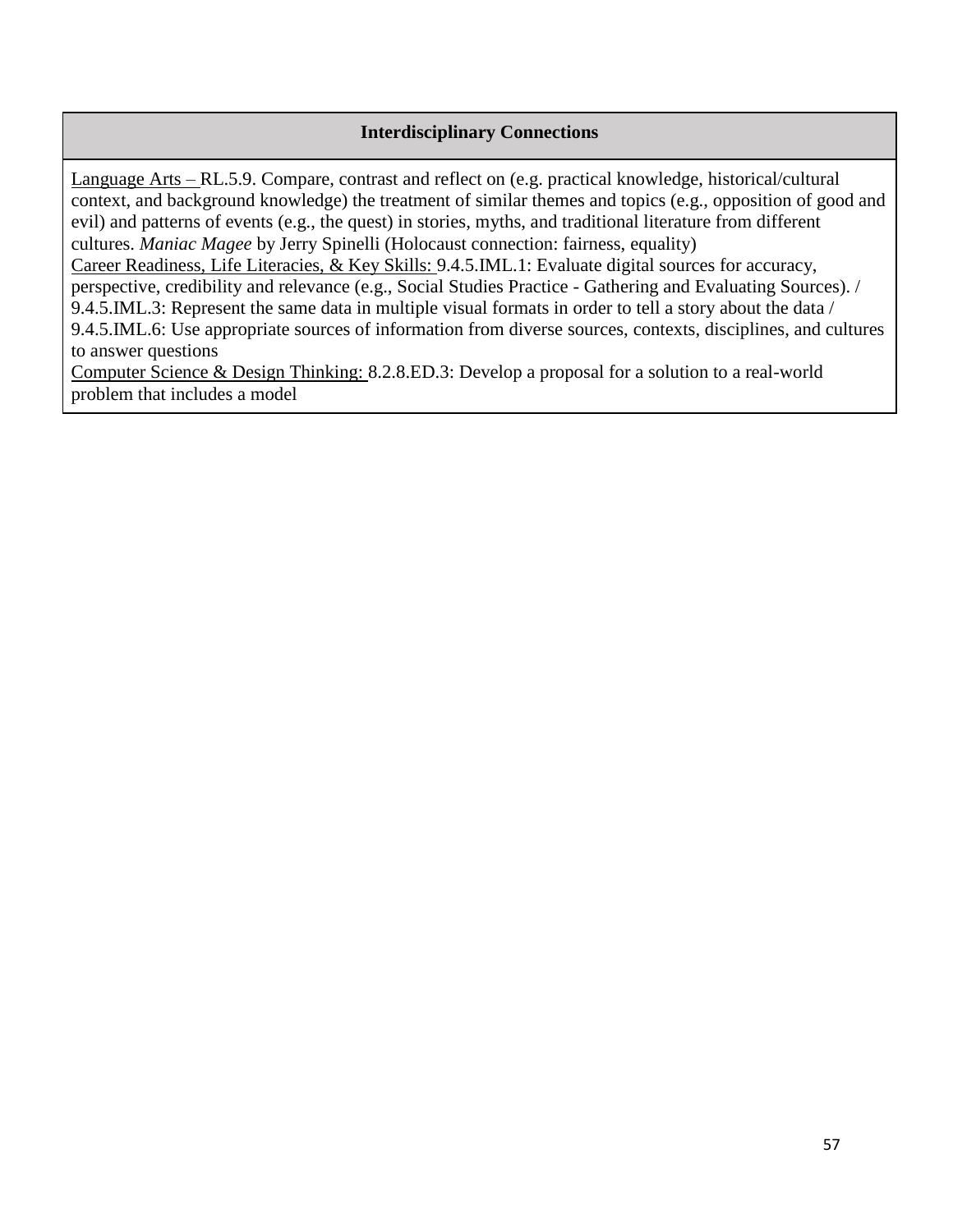#### **Interdisciplinary Connections**

Language Arts – RL.5.9. Compare, contrast and reflect on (e.g. practical knowledge, historical/cultural context, and background knowledge) the treatment of similar themes and topics (e.g., opposition of good and evil) and patterns of events (e.g., the quest) in stories, myths, and traditional literature from different cultures. *Maniac Magee* by Jerry Spinelli (Holocaust connection: fairness, equality)

Career Readiness, Life Literacies, & Key Skills: 9.4.5.IML.1: Evaluate digital sources for accuracy, perspective, credibility and relevance (e.g., Social Studies Practice - Gathering and Evaluating Sources). / 9.4.5.IML.3: Represent the same data in multiple visual formats in order to tell a story about the data / 9.4.5.IML.6: Use appropriate sources of information from diverse sources, contexts, disciplines, and cultures to answer questions

Computer Science & Design Thinking: 8.2.8.ED.3: Develop a proposal for a solution to a real-world problem that includes a model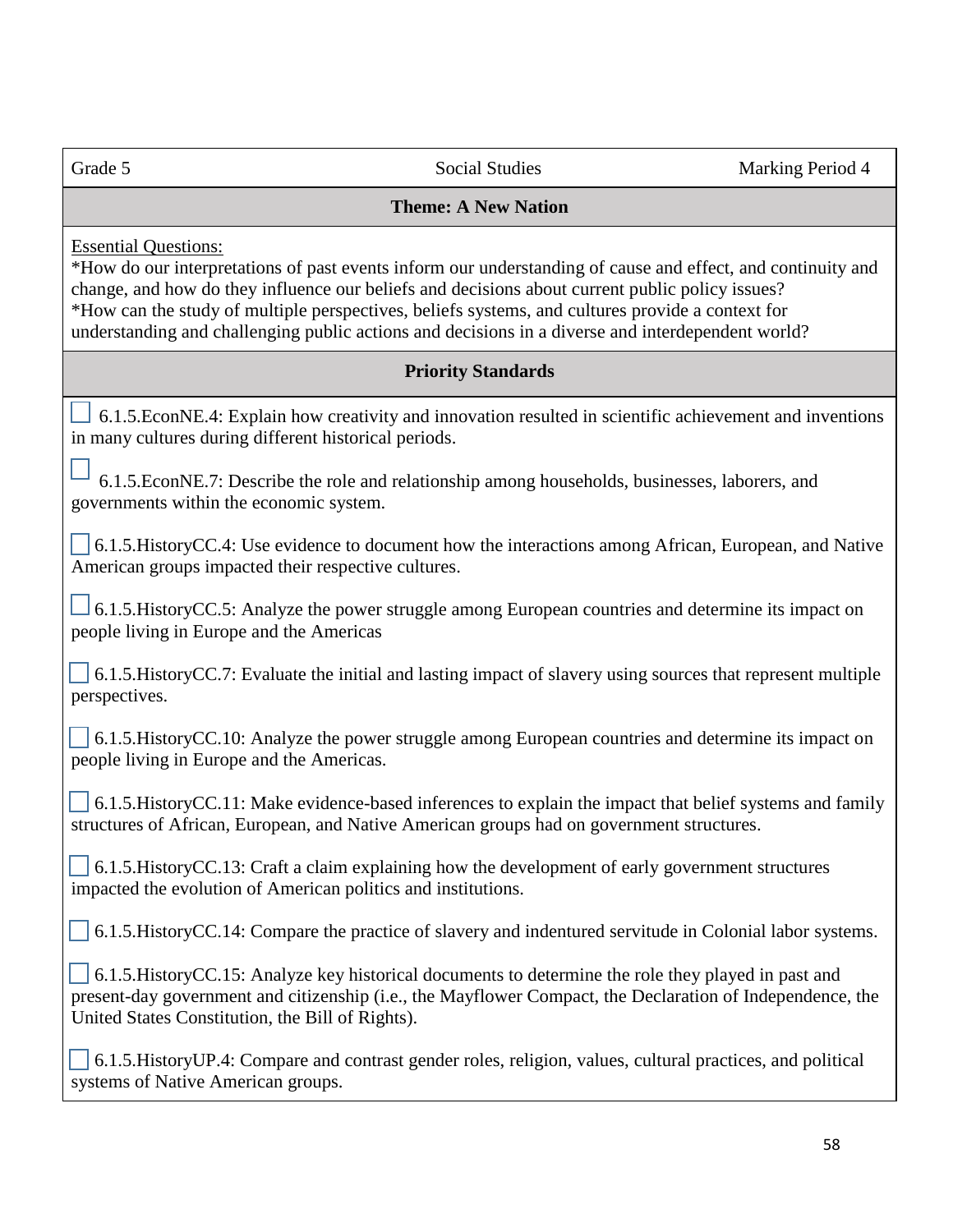| Grade 5                                                                                                                                                                                                                                                                                                                                                                                                                                                | <b>Social Studies</b>                                                                                                                                                                                             | Marking Period 4 |
|--------------------------------------------------------------------------------------------------------------------------------------------------------------------------------------------------------------------------------------------------------------------------------------------------------------------------------------------------------------------------------------------------------------------------------------------------------|-------------------------------------------------------------------------------------------------------------------------------------------------------------------------------------------------------------------|------------------|
|                                                                                                                                                                                                                                                                                                                                                                                                                                                        | <b>Theme: A New Nation</b>                                                                                                                                                                                        |                  |
| <b>Essential Questions:</b><br>*How do our interpretations of past events inform our understanding of cause and effect, and continuity and<br>change, and how do they influence our beliefs and decisions about current public policy issues?<br>*How can the study of multiple perspectives, beliefs systems, and cultures provide a context for<br>understanding and challenging public actions and decisions in a diverse and interdependent world? |                                                                                                                                                                                                                   |                  |
|                                                                                                                                                                                                                                                                                                                                                                                                                                                        | <b>Priority Standards</b>                                                                                                                                                                                         |                  |
| in many cultures during different historical periods.                                                                                                                                                                                                                                                                                                                                                                                                  | 6.1.5. EconNE.4: Explain how creativity and innovation resulted in scientific achievement and inventions                                                                                                          |                  |
| governments within the economic system.                                                                                                                                                                                                                                                                                                                                                                                                                | 6.1.5.EconNE.7: Describe the role and relationship among households, businesses, laborers, and                                                                                                                    |                  |
| American groups impacted their respective cultures.                                                                                                                                                                                                                                                                                                                                                                                                    | 6.1.5. History CC.4: Use evidence to document how the interactions among African, European, and Native                                                                                                            |                  |
| 6.1.5. History CC.5: Analyze the power struggle among European countries and determine its impact on<br>people living in Europe and the Americas                                                                                                                                                                                                                                                                                                       |                                                                                                                                                                                                                   |                  |
| perspectives.                                                                                                                                                                                                                                                                                                                                                                                                                                          | 6.1.5. History CC.7: Evaluate the initial and lasting impact of slavery using sources that represent multiple                                                                                                     |                  |
| people living in Europe and the Americas.                                                                                                                                                                                                                                                                                                                                                                                                              | 6.1.5. History CC.10: Analyze the power struggle among European countries and determine its impact on                                                                                                             |                  |
|                                                                                                                                                                                                                                                                                                                                                                                                                                                        | 6.1.5. History CC.11: Make evidence-based inferences to explain the impact that belief systems and family<br>structures of African, European, and Native American groups had on government structures.            |                  |
| impacted the evolution of American politics and institutions.                                                                                                                                                                                                                                                                                                                                                                                          | 6.1.5. History CC.13: Craft a claim explaining how the development of early government structures                                                                                                                 |                  |
|                                                                                                                                                                                                                                                                                                                                                                                                                                                        | 6.1.5. History CC.14: Compare the practice of slavery and indentured servitude in Colonial labor systems.                                                                                                         |                  |
| United States Constitution, the Bill of Rights).                                                                                                                                                                                                                                                                                                                                                                                                       | 6.1.5. History CC.15: Analyze key historical documents to determine the role they played in past and<br>present-day government and citizenship (i.e., the Mayflower Compact, the Declaration of Independence, the |                  |
| systems of Native American groups.                                                                                                                                                                                                                                                                                                                                                                                                                     | 6.1.5. History UP.4: Compare and contrast gender roles, religion, values, cultural practices, and political                                                                                                       |                  |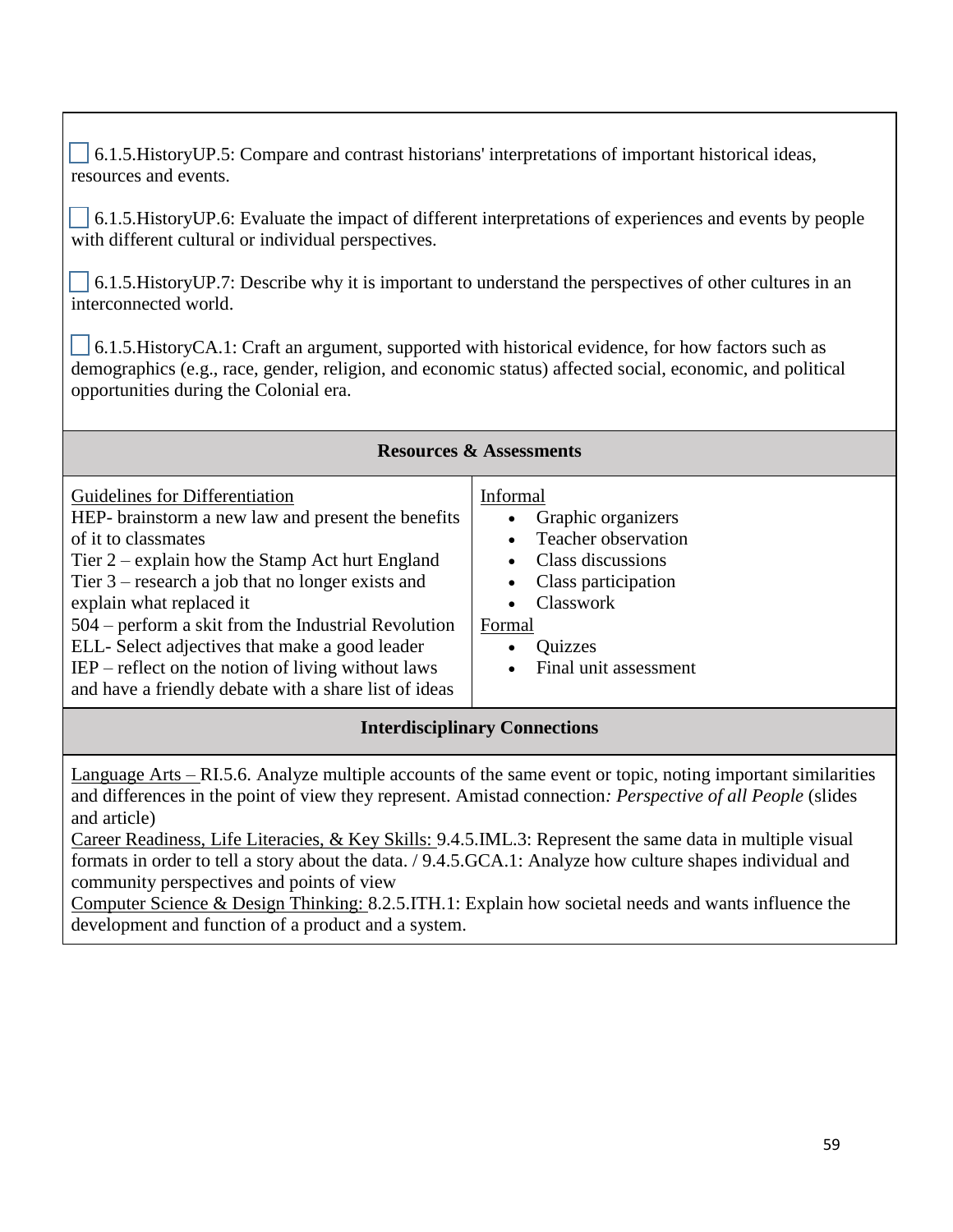6.1.5.HistoryUP.5: Compare and contrast historians' interpretations of important historical ideas, resources and events.

 6.1.5.HistoryUP.6: Evaluate the impact of different interpretations of experiences and events by people with different cultural or individual perspectives.

 6.1.5.HistoryUP.7: Describe why it is important to understand the perspectives of other cultures in an interconnected world.

 $\Box$  6.1.5. History CA.1: Craft an argument, supported with historical evidence, for how factors such as demographics (e.g., race, gender, religion, and economic status) affected social, economic, and political opportunities during the Colonial era.

| <b>Resources &amp; Assessments</b>                                                                                                                                                                                                                                                                                                                                                                                                                                           |                                                                                                                                                                     |  |
|------------------------------------------------------------------------------------------------------------------------------------------------------------------------------------------------------------------------------------------------------------------------------------------------------------------------------------------------------------------------------------------------------------------------------------------------------------------------------|---------------------------------------------------------------------------------------------------------------------------------------------------------------------|--|
| Guidelines for Differentiation<br>HEP- brainstorm a new law and present the benefits<br>of it to classmates<br>Tier $2$ – explain how the Stamp Act hurt England<br>Tier $3$ – research a job that no longer exists and<br>explain what replaced it<br>504 – perform a skit from the Industrial Revolution<br>ELL-Select adjectives that make a good leader<br>$IEP$ – reflect on the notion of living without laws<br>and have a friendly debate with a share list of ideas | Informal<br>Graphic organizers<br>Teacher observation<br>Class discussions<br>Class participation<br>Classwork<br>Formal<br><b>Quizzes</b><br>Final unit assessment |  |
| <b>Interdisciplinary Connections</b>                                                                                                                                                                                                                                                                                                                                                                                                                                         |                                                                                                                                                                     |  |

Language Arts – RI.5.6. Analyze multiple accounts of the same event or topic, noting important similarities and differences in the point of view they represent. Amistad connection*: Perspective of all People* (slides and article)

Career Readiness, Life Literacies, & Key Skills: 9.4.5.IML.3: Represent the same data in multiple visual formats in order to tell a story about the data. / 9.4.5.GCA.1: Analyze how culture shapes individual and community perspectives and points of view

Computer Science & Design Thinking: 8.2.5.ITH.1: Explain how societal needs and wants influence the development and function of a product and a system.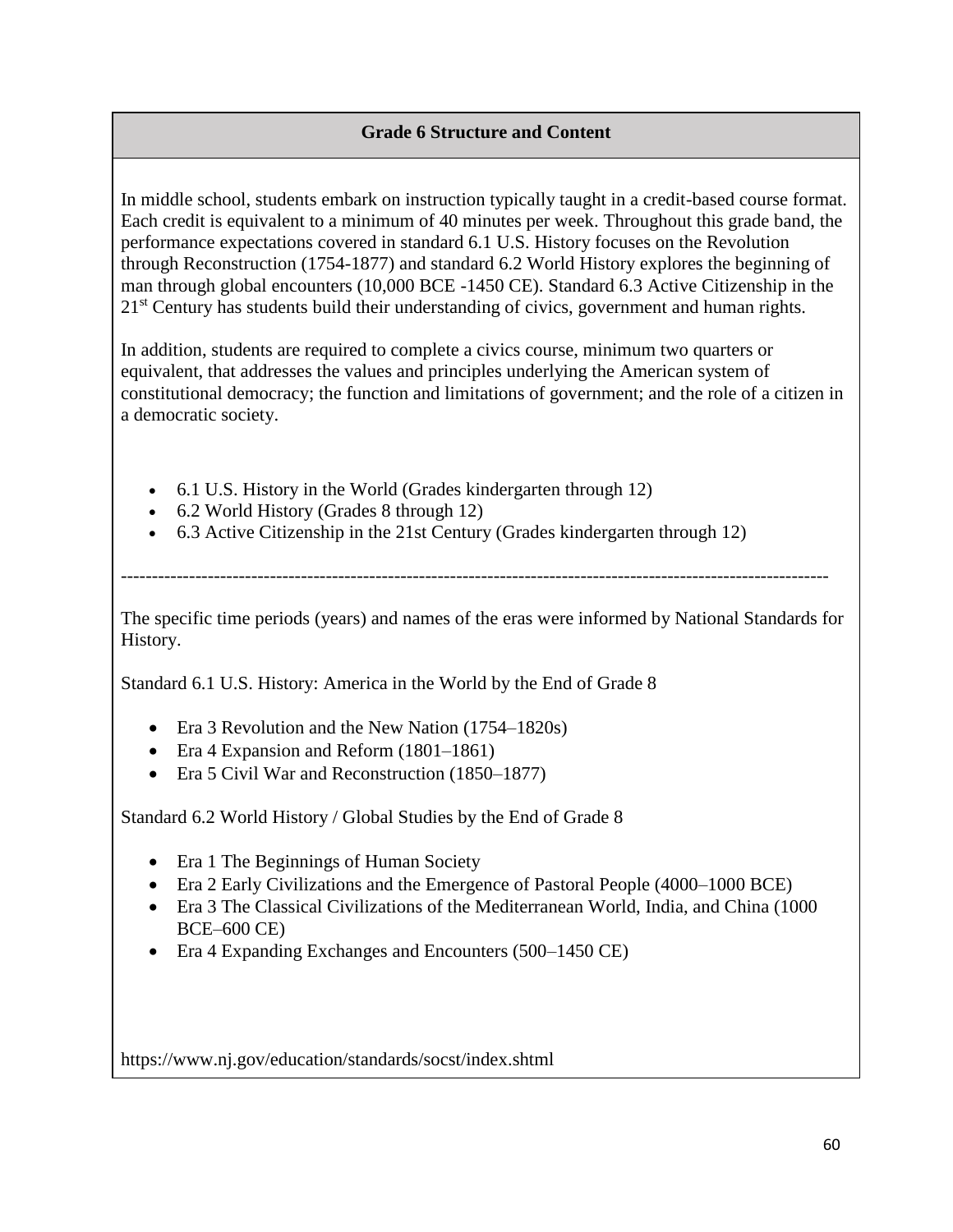## **Grade 6 Structure and Content**

In middle school, students embark on instruction typically taught in a credit-based course format. Each credit is equivalent to a minimum of 40 minutes per week. Throughout this grade band, the performance expectations covered in standard 6.1 U.S. History focuses on the Revolution through Reconstruction (1754-1877) and standard 6.2 World History explores the beginning of man through global encounters (10,000 BCE -1450 CE). Standard 6.3 Active Citizenship in the 21<sup>st</sup> Century has students build their understanding of civics, government and human rights.

In addition, students are required to complete a civics course, minimum two quarters or equivalent, that addresses the values and principles underlying the American system of constitutional democracy; the function and limitations of government; and the role of a citizen in a democratic society.

- 6.1 U.S. History in the World (Grades kindergarten through 12)
- 6.2 World History (Grades 8 through 12)
- 6.3 Active Citizenship in the 21st Century (Grades kindergarten through 12)

------------------------------------------------------------------------------------------------------------------

The specific time periods (years) and names of the eras were informed by National Standards for History.

Standard 6.1 U.S. History: America in the World by the End of Grade 8

- Era 3 Revolution and the New Nation (1754–1820s)
- Era 4 Expansion and Reform (1801–1861)
- Era 5 Civil War and Reconstruction (1850–1877)

Standard 6.2 World History / Global Studies by the End of Grade 8

- Era 1 The Beginnings of Human Society
- Era 2 Early Civilizations and the Emergence of Pastoral People (4000–1000 BCE)
- Era 3 The Classical Civilizations of the Mediterranean World, India, and China (1000) BCE–600 CE)
- Era 4 Expanding Exchanges and Encounters (500–1450 CE)

https://www.nj.gov/education/standards/socst/index.shtml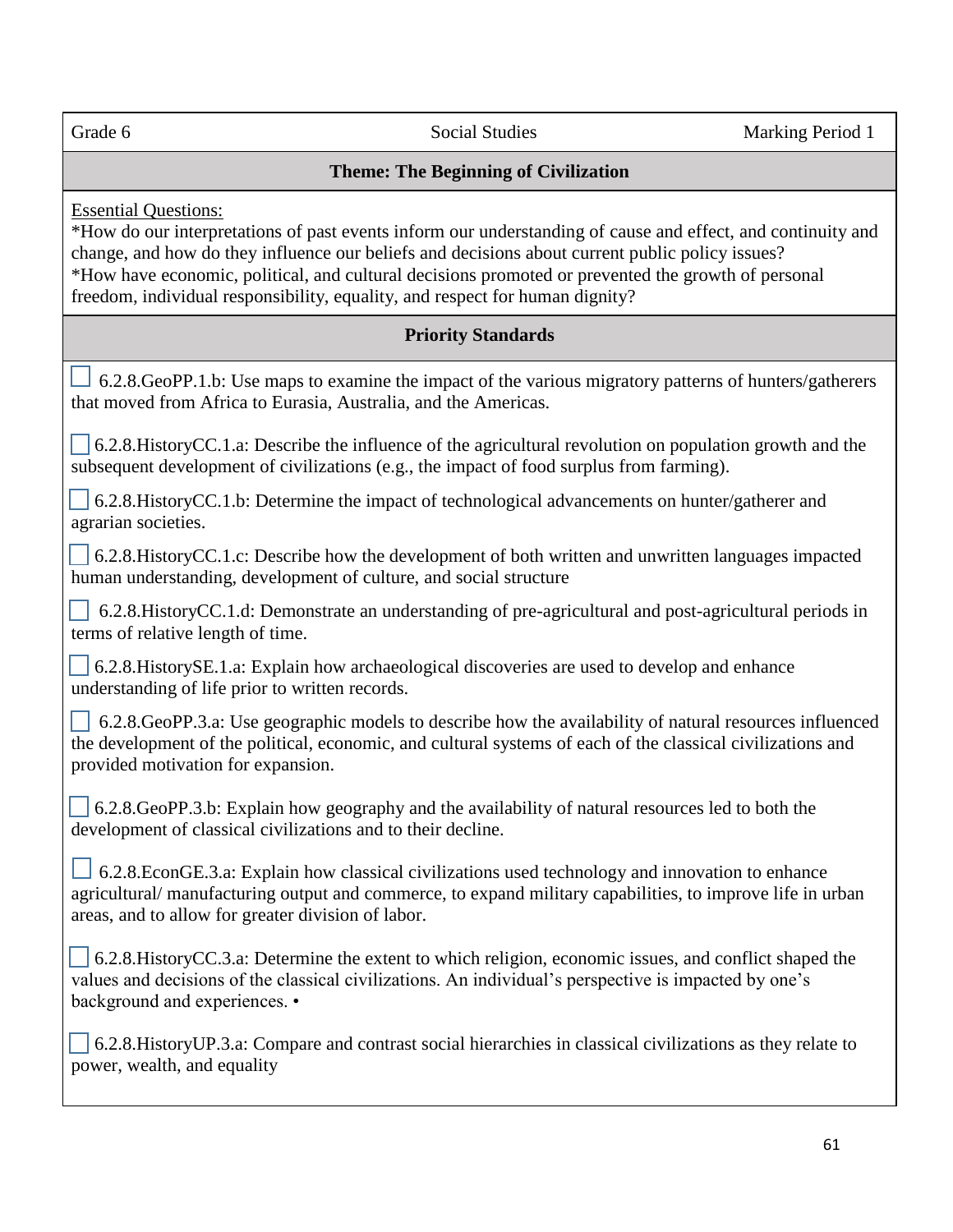Grade 6 Social Studies Social Studies Marking Period 1

# **Theme: The Beginning of Civilization**

Essential Questions:

\*How do our interpretations of past events inform our understanding of cause and effect, and continuity and change, and how do they influence our beliefs and decisions about current public policy issues? \*How have economic, political, and cultural decisions promoted or prevented the growth of personal freedom, individual responsibility, equality, and respect for human dignity?

## **Priority Standards**

 6.2.8.GeoPP.1.b: Use maps to examine the impact of the various migratory patterns of hunters/gatherers that moved from Africa to Eurasia, Australia, and the Americas.

 6.2.8.HistoryCC.1.a: Describe the influence of the agricultural revolution on population growth and the subsequent development of civilizations (e.g., the impact of food surplus from farming).

 6.2.8.HistoryCC.1.b: Determine the impact of technological advancements on hunter/gatherer and agrarian societies.

 6.2.8.HistoryCC.1.c: Describe how the development of both written and unwritten languages impacted human understanding, development of culture, and social structure

 6.2.8.HistoryCC.1.d: Demonstrate an understanding of pre-agricultural and post-agricultural periods in terms of relative length of time.

 6.2.8.HistorySE.1.a: Explain how archaeological discoveries are used to develop and enhance understanding of life prior to written records.

 $\sim$  6.2.8.GeoPP.3.a: Use geographic models to describe how the availability of natural resources influenced the development of the political, economic, and cultural systems of each of the classical civilizations and provided motivation for expansion.

 6.2.8.GeoPP.3.b: Explain how geography and the availability of natural resources led to both the development of classical civilizations and to their decline.

6.2.8.EconGE.3.a: Explain how classical civilizations used technology and innovation to enhance agricultural/ manufacturing output and commerce, to expand military capabilities, to improve life in urban areas, and to allow for greater division of labor.

 6.2.8.HistoryCC.3.a: Determine the extent to which religion, economic issues, and conflict shaped the values and decisions of the classical civilizations. An individual's perspective is impacted by one's background and experiences. •

 6.2.8.HistoryUP.3.a: Compare and contrast social hierarchies in classical civilizations as they relate to power, wealth, and equality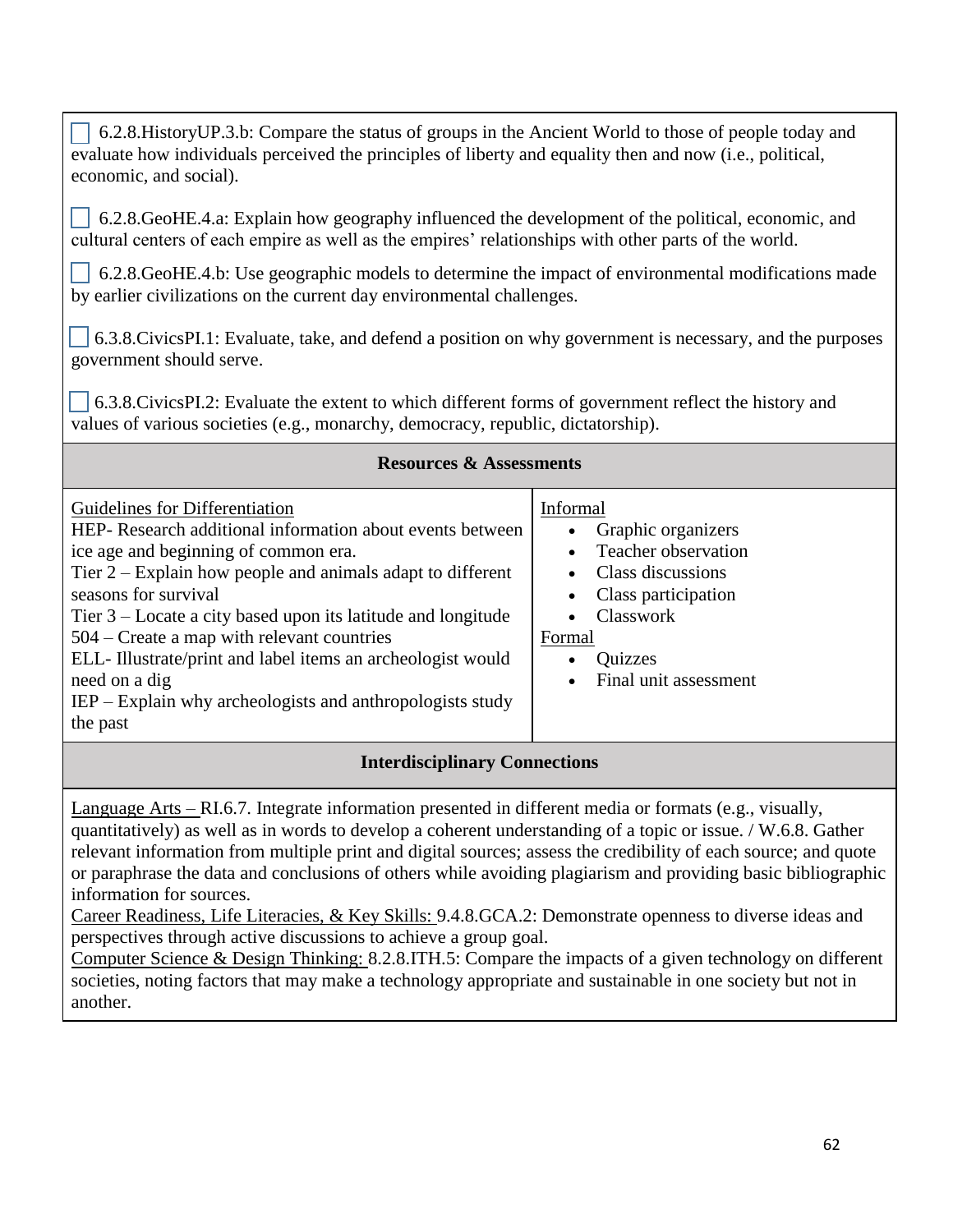6.2.8.HistoryUP.3.b: Compare the status of groups in the Ancient World to those of people today and evaluate how individuals perceived the principles of liberty and equality then and now (i.e., political, economic, and social).

 6.2.8.GeoHE.4.a: Explain how geography influenced the development of the political, economic, and cultural centers of each empire as well as the empires' relationships with other parts of the world.

 6.2.8.GeoHE.4.b: Use geographic models to determine the impact of environmental modifications made by earlier civilizations on the current day environmental challenges.

 6.3.8.CivicsPI.1: Evaluate, take, and defend a position on why government is necessary, and the purposes government should serve.

 6.3.8.CivicsPI.2: Evaluate the extent to which different forms of government reflect the history and values of various societies (e.g., monarchy, democracy, republic, dictatorship).

| <b>Resources &amp; Assessments</b>                                                                                                                                                                                                                                                                                                                                                                                                                                                                     |                                                                                                                                                                                                                         |  |
|--------------------------------------------------------------------------------------------------------------------------------------------------------------------------------------------------------------------------------------------------------------------------------------------------------------------------------------------------------------------------------------------------------------------------------------------------------------------------------------------------------|-------------------------------------------------------------------------------------------------------------------------------------------------------------------------------------------------------------------------|--|
| Guidelines for Differentiation<br>HEP- Research additional information about events between<br>ice age and beginning of common era.<br>Tier $2 -$ Explain how people and animals adapt to different<br>seasons for survival<br>Tier $3$ – Locate a city based upon its latitude and longitude<br>504 – Create a map with relevant countries<br>ELL-Illustrate/print and label items an archeologist would<br>need on a dig<br>$IEP - Explain why are heologists and anthropologists study$<br>the past | Informal<br>Graphic organizers<br>$\bullet$<br>Teacher observation<br>$\bullet$<br>Class discussions<br>$\bullet$<br>Class participation<br><b>Classwork</b><br>$\bullet$<br>Formal<br>Quizzes<br>Final unit assessment |  |

# **Interdisciplinary Connections**

Language Arts – RI.6.7. Integrate information presented in different media or formats (e.g., visually, quantitatively) as well as in words to develop a coherent understanding of a topic or issue. / W.6.8. Gather relevant information from multiple print and digital sources; assess the credibility of each source; and quote or paraphrase the data and conclusions of others while avoiding plagiarism and providing basic bibliographic information for sources.

Career Readiness, Life Literacies, & Key Skills: 9.4.8.GCA.2: Demonstrate openness to diverse ideas and perspectives through active discussions to achieve a group goal.

Computer Science & Design Thinking: 8.2.8.ITH.5: Compare the impacts of a given technology on different societies, noting factors that may make a technology appropriate and sustainable in one society but not in another.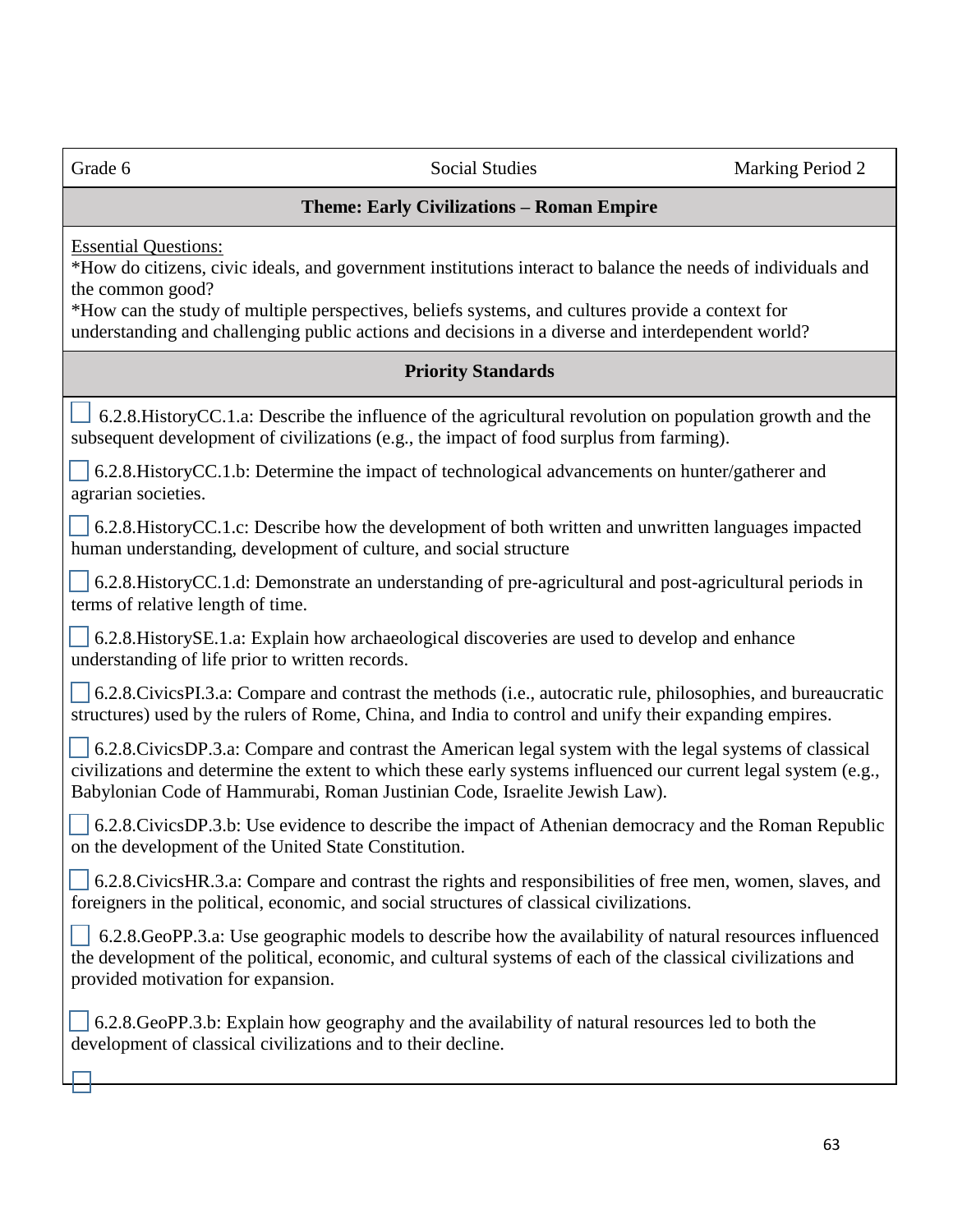| Grade 6                                                                                                                                                                                                                                                                                                                                                                  | <b>Social Studies</b>                                                                                                                                                                                                                                                                                    | Marking Period 2 |
|--------------------------------------------------------------------------------------------------------------------------------------------------------------------------------------------------------------------------------------------------------------------------------------------------------------------------------------------------------------------------|----------------------------------------------------------------------------------------------------------------------------------------------------------------------------------------------------------------------------------------------------------------------------------------------------------|------------------|
|                                                                                                                                                                                                                                                                                                                                                                          | Theme: Early Civilizations - Roman Empire                                                                                                                                                                                                                                                                |                  |
| <b>Essential Questions:</b><br>*How do citizens, civic ideals, and government institutions interact to balance the needs of individuals and<br>the common good?<br>*How can the study of multiple perspectives, beliefs systems, and cultures provide a context for<br>understanding and challenging public actions and decisions in a diverse and interdependent world? |                                                                                                                                                                                                                                                                                                          |                  |
|                                                                                                                                                                                                                                                                                                                                                                          | <b>Priority Standards</b>                                                                                                                                                                                                                                                                                |                  |
|                                                                                                                                                                                                                                                                                                                                                                          | 6.2.8. History CC.1.a: Describe the influence of the agricultural revolution on population growth and the<br>subsequent development of civilizations (e.g., the impact of food surplus from farming).                                                                                                    |                  |
| agrarian societies.                                                                                                                                                                                                                                                                                                                                                      | 6.2.8. History CC.1.b: Determine the impact of technological advancements on hunter/gatherer and                                                                                                                                                                                                         |                  |
| human understanding, development of culture, and social structure                                                                                                                                                                                                                                                                                                        | $\Box$ 6.2.8. History CC.1.c: Describe how the development of both written and unwritten languages impacted                                                                                                                                                                                              |                  |
| terms of relative length of time.                                                                                                                                                                                                                                                                                                                                        | 6.2.8. History CC.1.d: Demonstrate an understanding of pre-agricultural and post-agricultural periods in                                                                                                                                                                                                 |                  |
| understanding of life prior to written records.                                                                                                                                                                                                                                                                                                                          | $\Box$ 6.2.8. History SE.1.a: Explain how archaeological discoveries are used to develop and enhance                                                                                                                                                                                                     |                  |
|                                                                                                                                                                                                                                                                                                                                                                          | 6.2.8. Civics PI.3.a: Compare and contrast the methods (i.e., autocratic rule, philosophies, and bureaucratic<br>structures) used by the rulers of Rome, China, and India to control and unify their expanding empires.                                                                                  |                  |
|                                                                                                                                                                                                                                                                                                                                                                          | 6.2.8. Civics DP.3.a: Compare and contrast the American legal system with the legal systems of classical<br>civilizations and determine the extent to which these early systems influenced our current legal system (e.g.,<br>Babylonian Code of Hammurabi, Roman Justinian Code, Israelite Jewish Law). |                  |
| on the development of the United State Constitution.                                                                                                                                                                                                                                                                                                                     | $\Box$ 6.2.8. Civics DP.3.b: Use evidence to describe the impact of Athenian democracy and the Roman Republic                                                                                                                                                                                            |                  |
|                                                                                                                                                                                                                                                                                                                                                                          | $\Box$ 6.2.8. Civics HR.3.a: Compare and contrast the rights and responsibilities of free men, women, slaves, and<br>foreigners in the political, economic, and social structures of classical civilizations.                                                                                            |                  |
| provided motivation for expansion.                                                                                                                                                                                                                                                                                                                                       | 6.2.8. GeoPP.3.a: Use geographic models to describe how the availability of natural resources influenced<br>the development of the political, economic, and cultural systems of each of the classical civilizations and                                                                                  |                  |
| development of classical civilizations and to their decline.                                                                                                                                                                                                                                                                                                             | 6.2.8. GeoPP.3.b: Explain how geography and the availability of natural resources led to both the                                                                                                                                                                                                        |                  |
|                                                                                                                                                                                                                                                                                                                                                                          |                                                                                                                                                                                                                                                                                                          |                  |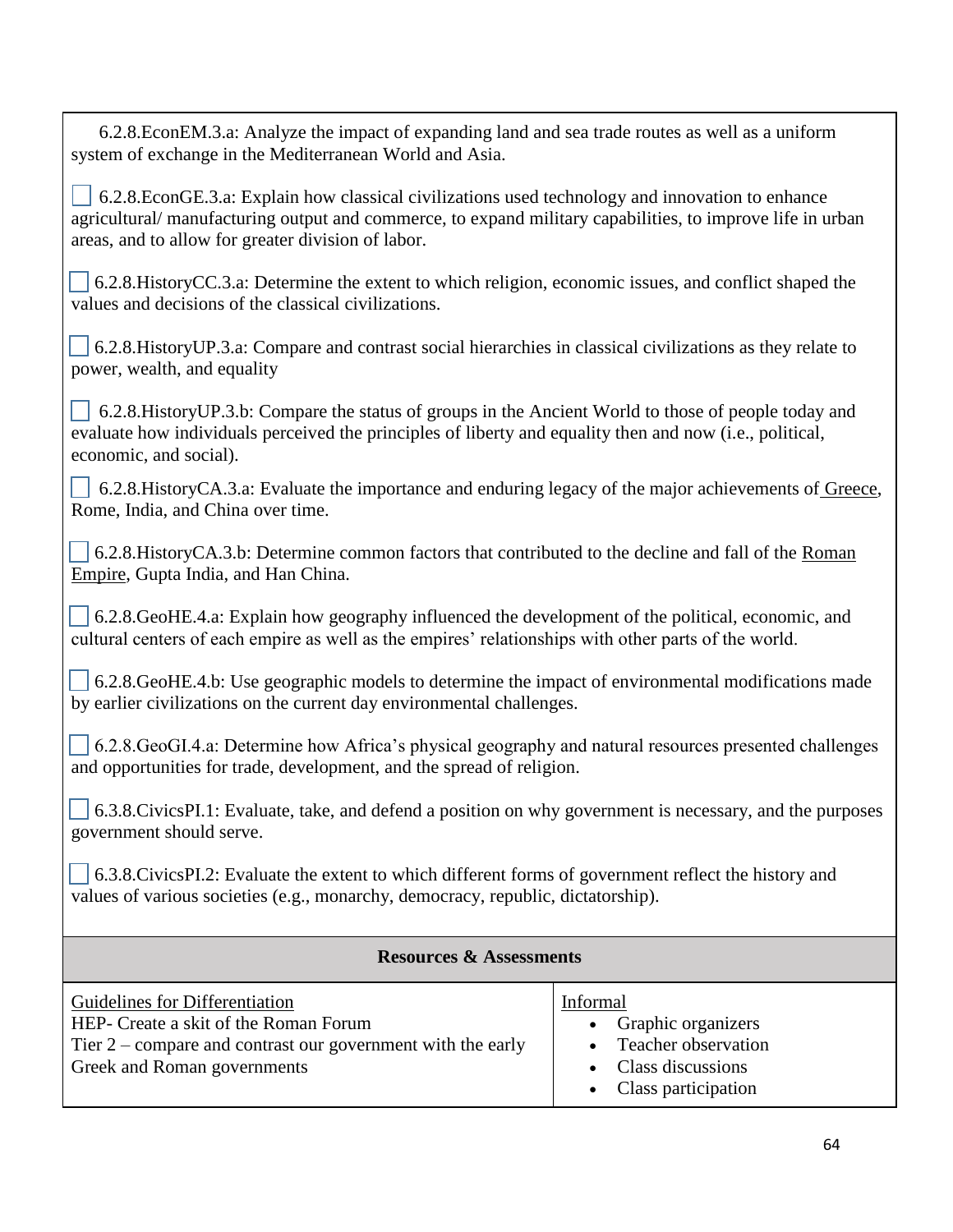6.2.8.EconEM.3.a: Analyze the impact of expanding land and sea trade routes as well as a uniform system of exchange in the Mediterranean World and Asia. 6.2.8.EconGE.3.a: Explain how classical civilizations used technology and innovation to enhance agricultural/ manufacturing output and commerce, to expand military capabilities, to improve life in urban areas, and to allow for greater division of labor. 6.2.8.HistoryCC.3.a: Determine the extent to which religion, economic issues, and conflict shaped the values and decisions of the classical civilizations. 6.2.8.HistoryUP.3.a: Compare and contrast social hierarchies in classical civilizations as they relate to power, wealth, and equality 6.2.8. History UP.3.b: Compare the status of groups in the Ancient World to those of people today and evaluate how individuals perceived the principles of liberty and equality then and now (i.e., political, economic, and social). 6.2.8.HistoryCA.3.a: Evaluate the importance and enduring legacy of the major achievements of Greece, Rome, India, and China over time.  $6.2.8$ .HistoryCA.3.b: Determine common factors that contributed to the decline and fall of the Roman Empire, Gupta India, and Han China.  $\sim$  6.2.8.GeoHE.4.a: Explain how geography influenced the development of the political, economic, and cultural centers of each empire as well as the empires' relationships with other parts of the world.  $6.2.8$ .GeoHE.4.b: Use geographic models to determine the impact of environmental modifications made by earlier civilizations on the current day environmental challenges. 6.2.8.GeoGI.4.a: Determine how Africa's physical geography and natural resources presented challenges and opportunities for trade, development, and the spread of religion. 6.3.8.CivicsPI.1: Evaluate, take, and defend a position on why government is necessary, and the purposes government should serve. 6.3.8.CivicsPI.2: Evaluate the extent to which different forms of government reflect the history and values of various societies (e.g., monarchy, democracy, republic, dictatorship). **Resources & Assessments** Guidelines for Differentiation HEP- Create a skit of the Roman Forum Tier 2 – compare and contrast our government with the early Greek and Roman governments Informal • Graphic organizers • Teacher observation • Class discussions • Class participation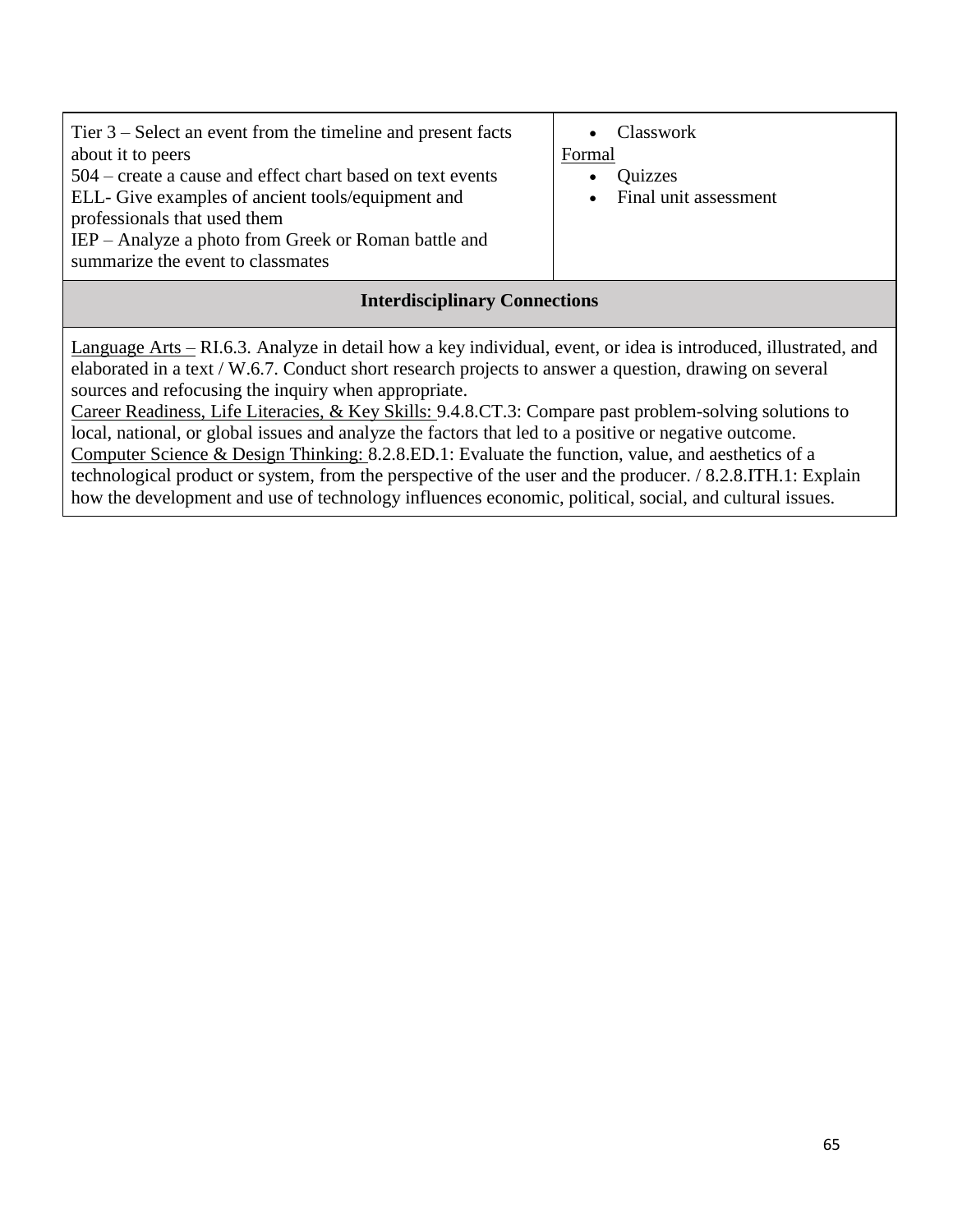| Tier $3$ – Select an event from the timeline and present facts<br>about it to peers       |  |
|-------------------------------------------------------------------------------------------|--|
| 504 – create a cause and effect chart based on text events                                |  |
| ELL- Give examples of ancient tools/equipment and<br>professionals that used them         |  |
| IEP – Analyze a photo from Greek or Roman battle and<br>summarize the event to classmates |  |

• Classwork Formal

- Quizzes
- Final unit assessment

## **Interdisciplinary Connections**

Language Arts – RI.6.3. Analyze in detail how a key individual, event, or idea is introduced, illustrated, and elaborated in a text / W.6.7. Conduct short research projects to answer a question, drawing on several sources and refocusing the inquiry when appropriate.

Career Readiness, Life Literacies, & Key Skills: 9.4.8.CT.3: Compare past problem-solving solutions to local, national, or global issues and analyze the factors that led to a positive or negative outcome. Computer Science & Design Thinking: 8.2.8.ED.1: Evaluate the function, value, and aesthetics of a technological product or system, from the perspective of the user and the producer. / 8.2.8.ITH.1: Explain how the development and use of technology influences economic, political, social, and cultural issues.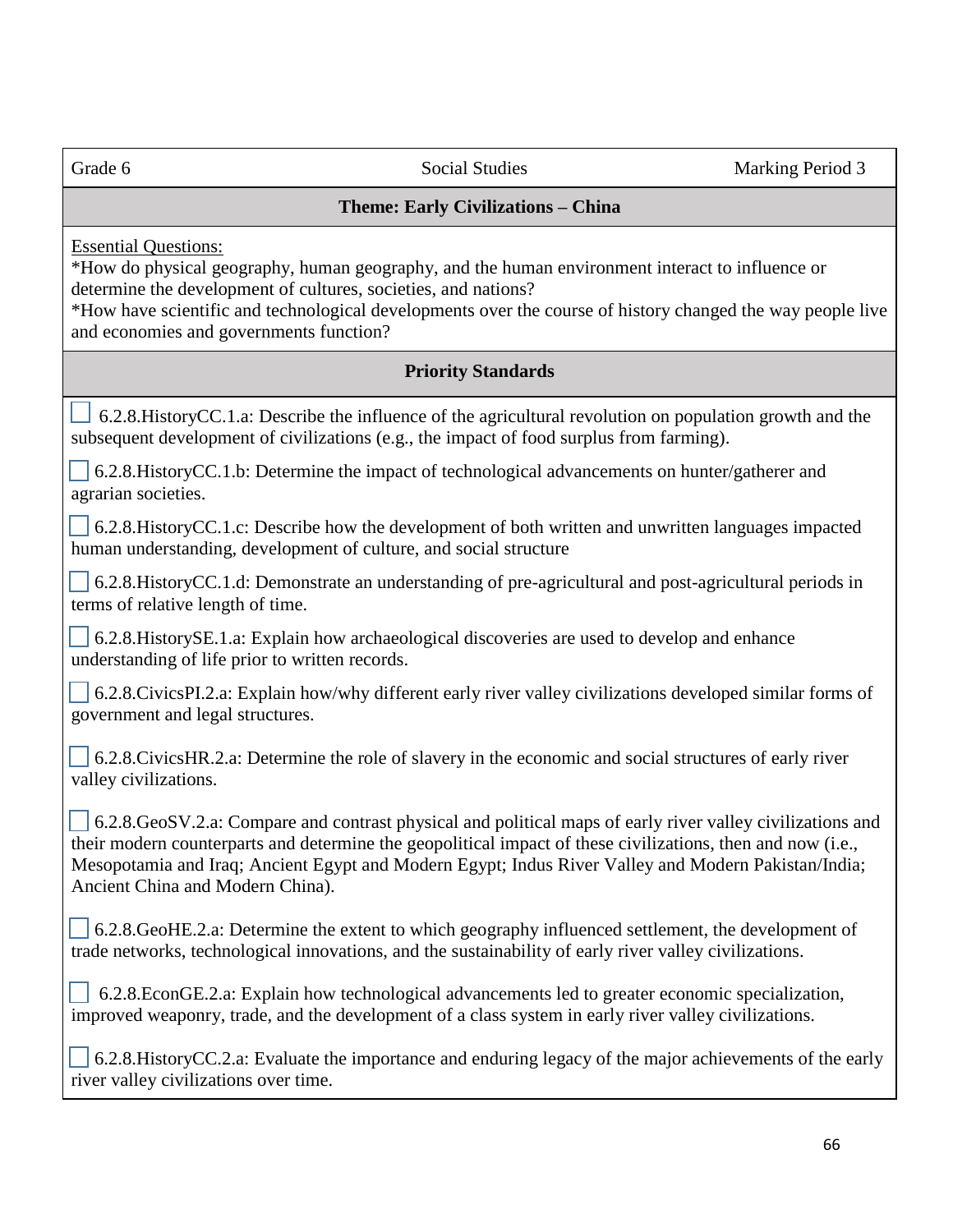Grade 6 Social Studies Social Studies Marking Period 3 **Theme: Early Civilizations – China** Essential Questions: \*How do physical geography, human geography, and the human environment interact to influence or determine the development of cultures, societies, and nations? \*How have scientific and technological developments over the course of history changed the way people live and economies and governments function? **Priority Standards** 6.2.8.HistoryCC.1.a: Describe the influence of the agricultural revolution on population growth and the subsequent development of civilizations (e.g., the impact of food surplus from farming). 6.2.8.HistoryCC.1.b: Determine the impact of technological advancements on hunter/gatherer and agrarian societies. 6.2.8.HistoryCC.1.c: Describe how the development of both written and unwritten languages impacted human understanding, development of culture, and social structure 6.2.8.HistoryCC.1.d: Demonstrate an understanding of pre-agricultural and post-agricultural periods in terms of relative length of time. 6.2.8.HistorySE.1.a: Explain how archaeological discoveries are used to develop and enhance understanding of life prior to written records. 6.2.8.CivicsPI.2.a: Explain how/why different early river valley civilizations developed similar forms of government and legal structures. 6.2.8.CivicsHR.2.a: Determine the role of slavery in the economic and social structures of early river valley civilizations. 6.2.8.GeoSV.2.a: Compare and contrast physical and political maps of early river valley civilizations and their modern counterparts and determine the geopolitical impact of these civilizations, then and now (i.e., Mesopotamia and Iraq; Ancient Egypt and Modern Egypt; Indus River Valley and Modern Pakistan/India; Ancient China and Modern China). 6.2.8.GeoHE.2.a: Determine the extent to which geography influenced settlement, the development of trade networks, technological innovations, and the sustainability of early river valley civilizations. 6.2.8.EconGE.2.a: Explain how technological advancements led to greater economic specialization, improved weaponry, trade, and the development of a class system in early river valley civilizations. 6.2.8.HistoryCC.2.a: Evaluate the importance and enduring legacy of the major achievements of the early river valley civilizations over time.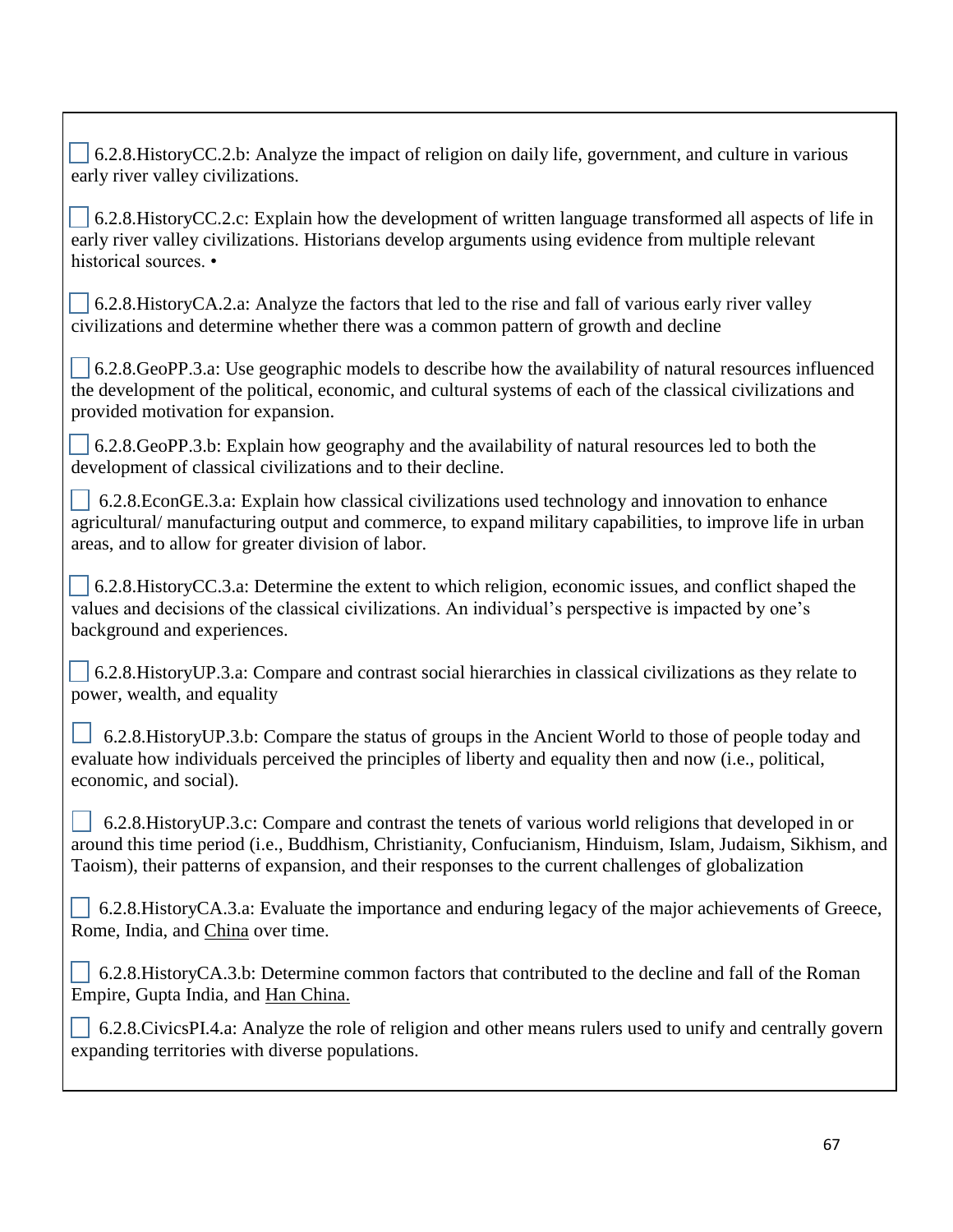6.2.8.HistoryCC.2.b: Analyze the impact of religion on daily life, government, and culture in various early river valley civilizations. 6.2.8.HistoryCC.2.c: Explain how the development of written language transformed all aspects of life in early river valley civilizations. Historians develop arguments using evidence from multiple relevant historical sources. •  $\Box$  6.2.8.HistoryCA.2.a: Analyze the factors that led to the rise and fall of various early river valley civilizations and determine whether there was a common pattern of growth and decline  $\big|$  6.2.8.GeoPP.3.a: Use geographic models to describe how the availability of natural resources influenced the development of the political, economic, and cultural systems of each of the classical civilizations and provided motivation for expansion. 6.2.8.GeoPP.3.b: Explain how geography and the availability of natural resources led to both the development of classical civilizations and to their decline. 6.2.8.EconGE.3.a: Explain how classical civilizations used technology and innovation to enhance agricultural/ manufacturing output and commerce, to expand military capabilities, to improve life in urban areas, and to allow for greater division of labor. 6.2.8.HistoryCC.3.a: Determine the extent to which religion, economic issues, and conflict shaped the values and decisions of the classical civilizations. An individual's perspective is impacted by one's background and experiences. 6.2.8.HistoryUP.3.a: Compare and contrast social hierarchies in classical civilizations as they relate to power, wealth, and equality 6.2.8.HistoryUP.3.b: Compare the status of groups in the Ancient World to those of people today and evaluate how individuals perceived the principles of liberty and equality then and now (i.e., political, economic, and social). 6.2.8.HistoryUP.3.c: Compare and contrast the tenets of various world religions that developed in or around this time period (i.e., Buddhism, Christianity, Confucianism, Hinduism, Islam, Judaism, Sikhism, and Taoism), their patterns of expansion, and their responses to the current challenges of globalization  $\vert \cdot \vert$  6.2.8.HistoryCA.3.a: Evaluate the importance and enduring legacy of the major achievements of Greece, Rome, India, and China over time. [1] 6.2.8. History CA.3.b: Determine common factors that contributed to the decline and fall of the Roman Empire, Gupta India, and Han China. 6.2.8.CivicsPI.4.a: Analyze the role of religion and other means rulers used to unify and centrally govern expanding territories with diverse populations.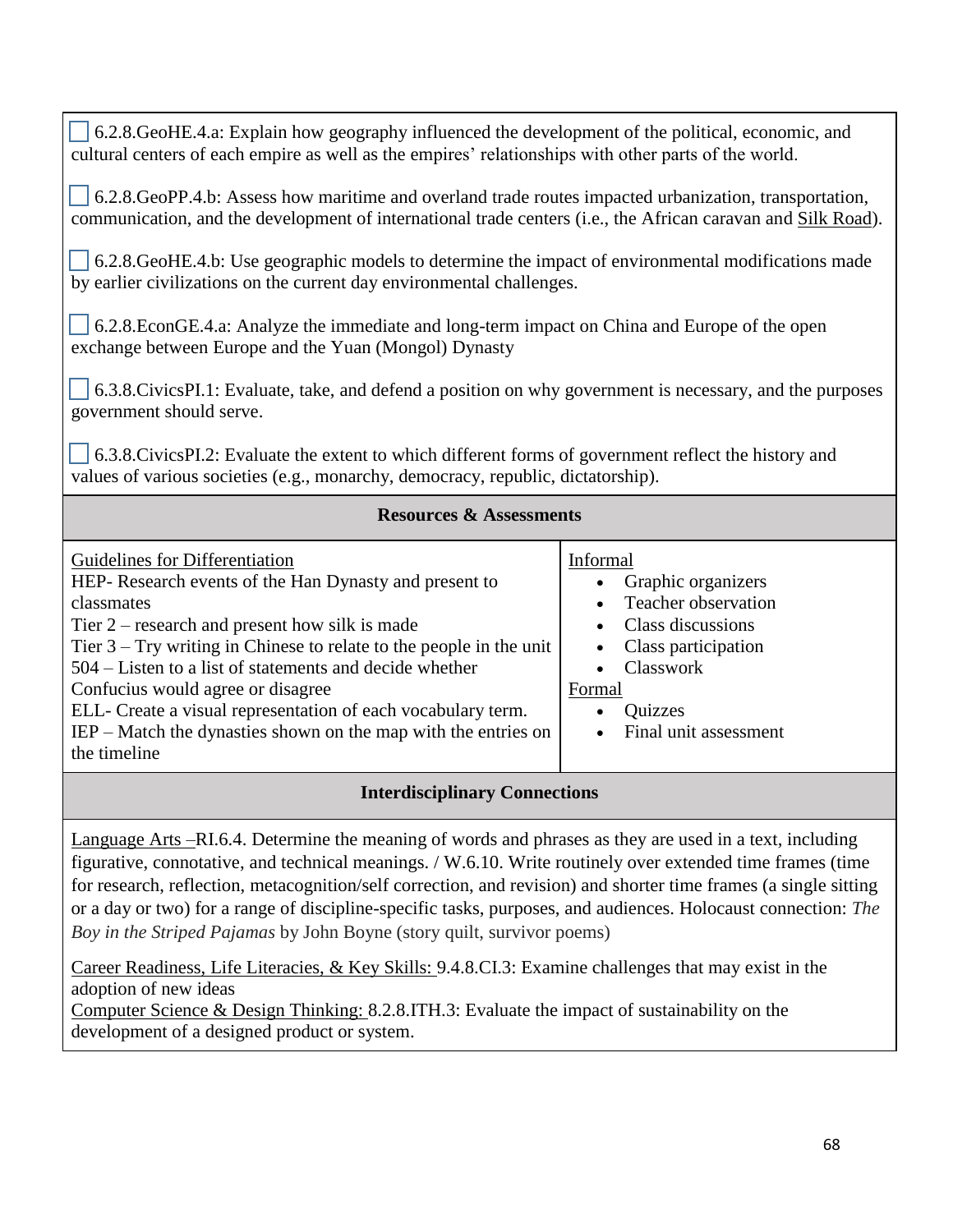6.2.8.GeoHE.4.a: Explain how geography influenced the development of the political, economic, and cultural centers of each empire as well as the empires' relationships with other parts of the world.

 6.2.8.GeoPP.4.b: Assess how maritime and overland trade routes impacted urbanization, transportation, communication, and the development of international trade centers (i.e., the African caravan and Silk Road).

 6.2.8.GeoHE.4.b: Use geographic models to determine the impact of environmental modifications made by earlier civilizations on the current day environmental challenges.

 6.2.8.EconGE.4.a: Analyze the immediate and long-term impact on China and Europe of the open exchange between Europe and the Yuan (Mongol) Dynasty

 6.3.8.CivicsPI.1: Evaluate, take, and defend a position on why government is necessary, and the purposes government should serve.

 6.3.8.CivicsPI.2: Evaluate the extent to which different forms of government reflect the history and values of various societies (e.g., monarchy, democracy, republic, dictatorship).

#### **Resources & Assessments**

| Guidelines for Differentiation                                        | Informal              |  |
|-----------------------------------------------------------------------|-----------------------|--|
| HEP-Research events of the Han Dynasty and present to                 | Graphic organizers    |  |
| classmates                                                            | Teacher observation   |  |
| Tier $2$ – research and present how silk is made                      | Class discussions     |  |
| Tier $3 - Try$ writing in Chinese to relate to the people in the unit | Class participation   |  |
| 504 – Listen to a list of statements and decide whether               | Classwork             |  |
| Confucius would agree or disagree                                     | Formal                |  |
| ELL- Create a visual representation of each vocabulary term.          | Quizzes               |  |
| $IEP$ – Match the dynasties shown on the map with the entries on      | Final unit assessment |  |
| the timeline                                                          |                       |  |
|                                                                       |                       |  |
| <b>Interdisciplinary Connections</b>                                  |                       |  |

Language Arts –RI.6.4. Determine the meaning of words and phrases as they are used in a text, including figurative, connotative, and technical meanings. / W.6.10. Write routinely over extended time frames (time for research, reflection, metacognition/self correction, and revision) and shorter time frames (a single sitting or a day or two) for a range of discipline-specific tasks, purposes, and audiences. Holocaust connection: *The Boy in the Striped Pajamas* by John Boyne (story quilt, survivor poems)

Career Readiness, Life Literacies, & Key Skills: 9.4.8.CI.3: Examine challenges that may exist in the adoption of new ideas Computer Science & Design Thinking: 8.2.8.ITH.3: Evaluate the impact of sustainability on the

development of a designed product or system.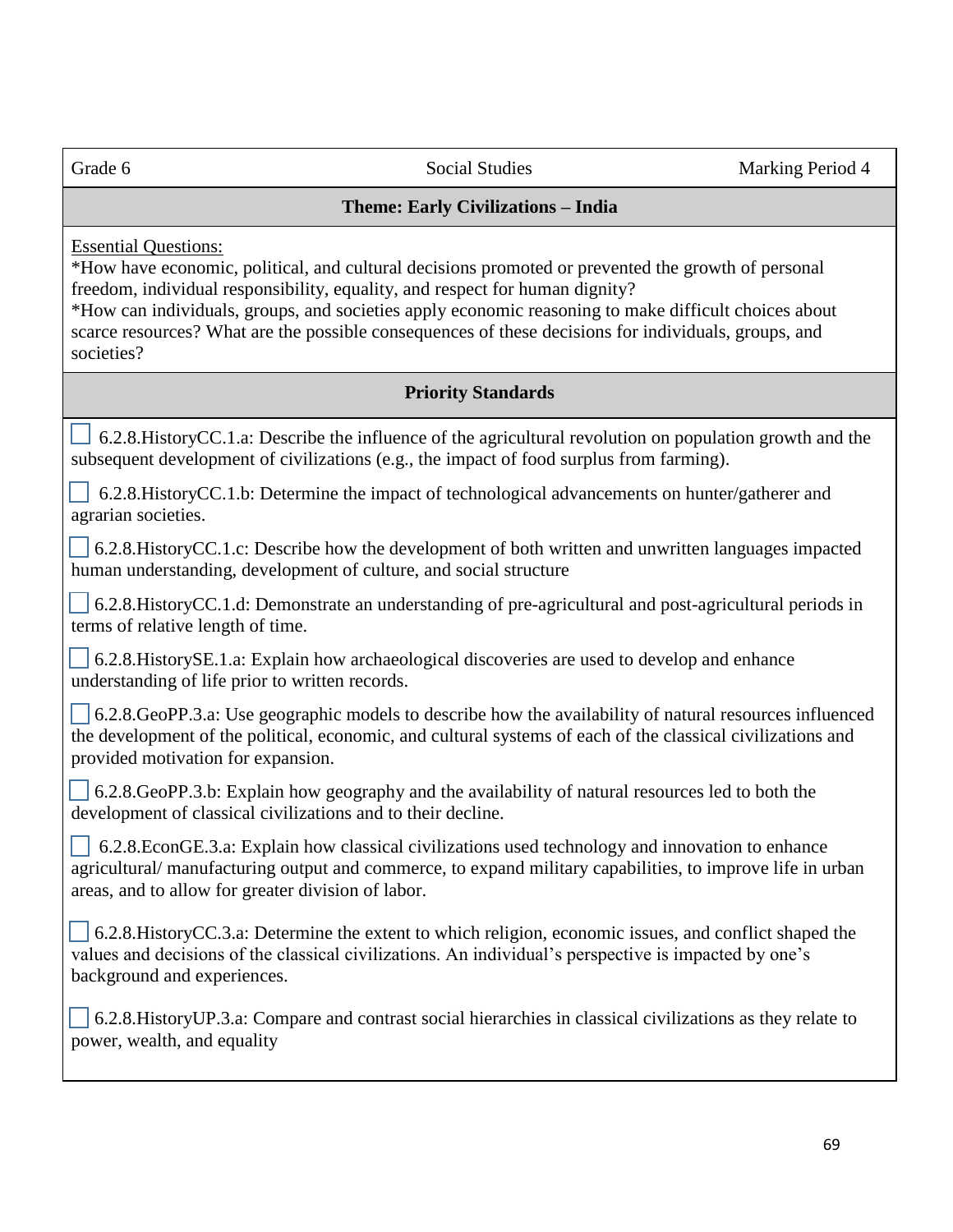## **Theme: Early Civilizations – India**

Essential Questions:

\*How have economic, political, and cultural decisions promoted or prevented the growth of personal freedom, individual responsibility, equality, and respect for human dignity?

\*How can individuals, groups, and societies apply economic reasoning to make difficult choices about scarce resources? What are the possible consequences of these decisions for individuals, groups, and societies?

# **Priority Standards**

 $\Box$  6.2.8. History CC.1.a: Describe the influence of the agricultural revolution on population growth and the subsequent development of civilizations (e.g., the impact of food surplus from farming).

 6.2.8.HistoryCC.1.b: Determine the impact of technological advancements on hunter/gatherer and agrarian societies.

 6.2.8.HistoryCC.1.c: Describe how the development of both written and unwritten languages impacted human understanding, development of culture, and social structure

 6.2.8.HistoryCC.1.d: Demonstrate an understanding of pre-agricultural and post-agricultural periods in terms of relative length of time.

 6.2.8.HistorySE.1.a: Explain how archaeological discoveries are used to develop and enhance understanding of life prior to written records.

 $\sim$  6.2.8.GeoPP.3.a: Use geographic models to describe how the availability of natural resources influenced the development of the political, economic, and cultural systems of each of the classical civilizations and provided motivation for expansion.

 6.2.8.GeoPP.3.b: Explain how geography and the availability of natural resources led to both the development of classical civilizations and to their decline.

 6.2.8.EconGE.3.a: Explain how classical civilizations used technology and innovation to enhance agricultural/ manufacturing output and commerce, to expand military capabilities, to improve life in urban areas, and to allow for greater division of labor.

 6.2.8.HistoryCC.3.a: Determine the extent to which religion, economic issues, and conflict shaped the values and decisions of the classical civilizations. An individual's perspective is impacted by one's background and experiences.

 6.2.8.HistoryUP.3.a: Compare and contrast social hierarchies in classical civilizations as they relate to power, wealth, and equality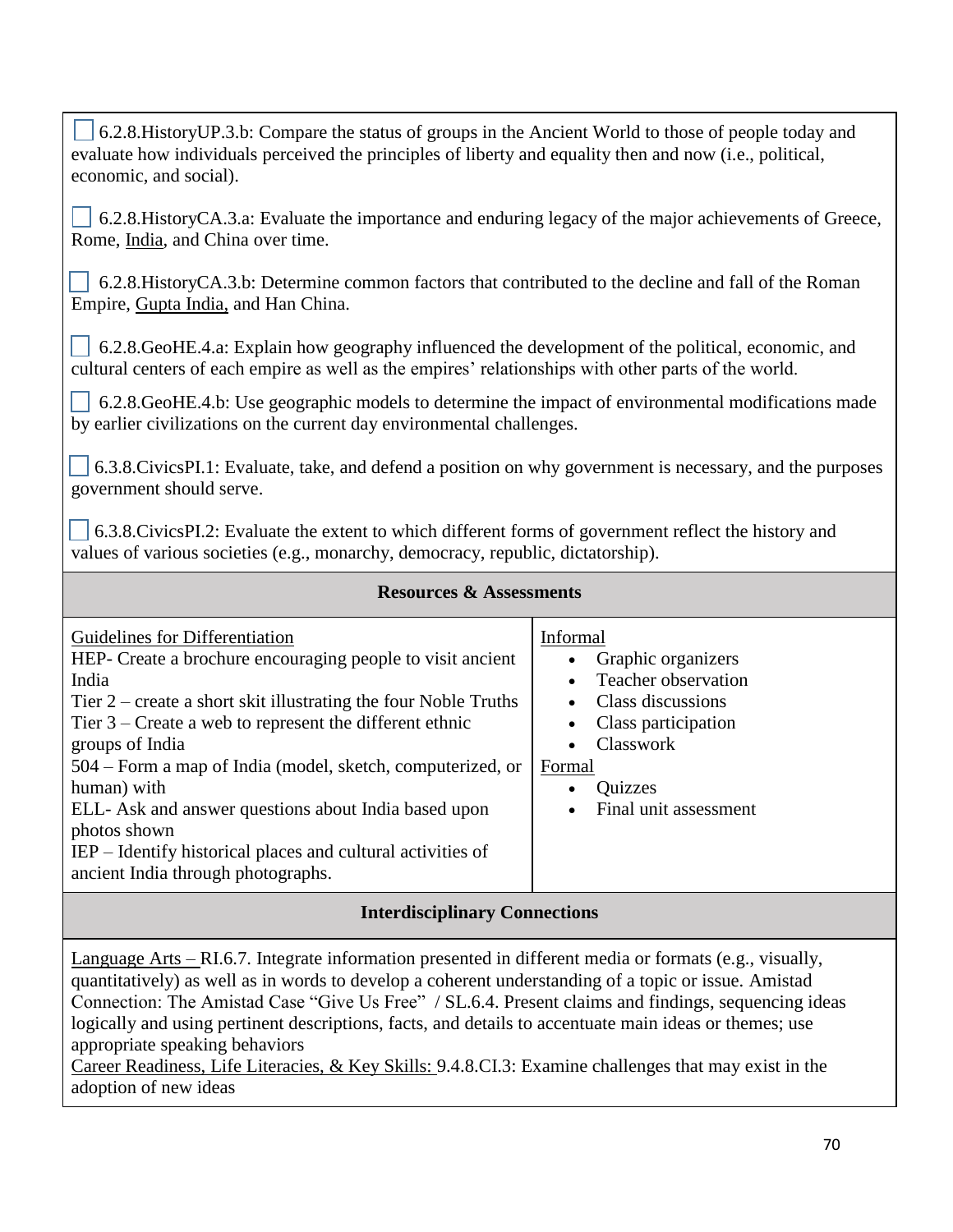| 6.2.8. History UP.3.b: Compare the status of groups in the Ancient World to those of people today and<br>evaluate how individuals perceived the principles of liberty and equality then and now (i.e., political,<br>economic, and social).                                                                                                                                                                                                                                                                                 |                                                                                                                                                                                                                               |  |
|-----------------------------------------------------------------------------------------------------------------------------------------------------------------------------------------------------------------------------------------------------------------------------------------------------------------------------------------------------------------------------------------------------------------------------------------------------------------------------------------------------------------------------|-------------------------------------------------------------------------------------------------------------------------------------------------------------------------------------------------------------------------------|--|
| 6.2.8. History CA.3.a: Evaluate the importance and enduring legacy of the major achievements of Greece,<br>Rome, India, and China over time.                                                                                                                                                                                                                                                                                                                                                                                |                                                                                                                                                                                                                               |  |
| 6.2.8. History CA.3.b: Determine common factors that contributed to the decline and fall of the Roman<br>Empire, Gupta India, and Han China.                                                                                                                                                                                                                                                                                                                                                                                |                                                                                                                                                                                                                               |  |
| 6.2.8. GeoHE.4.a: Explain how geography influenced the development of the political, economic, and<br>cultural centers of each empire as well as the empires' relationships with other parts of the world.                                                                                                                                                                                                                                                                                                                  |                                                                                                                                                                                                                               |  |
| 6.2.8. GeoHE.4.b: Use geographic models to determine the impact of environmental modifications made<br>by earlier civilizations on the current day environmental challenges.                                                                                                                                                                                                                                                                                                                                                |                                                                                                                                                                                                                               |  |
| 6.3.8. Civics PI.1: Evaluate, take, and defend a position on why government is necessary, and the purposes<br>government should serve.                                                                                                                                                                                                                                                                                                                                                                                      |                                                                                                                                                                                                                               |  |
| 6.3.8. Civics PI.2: Evaluate the extent to which different forms of government reflect the history and<br>values of various societies (e.g., monarchy, democracy, republic, dictatorship).                                                                                                                                                                                                                                                                                                                                  |                                                                                                                                                                                                                               |  |
| <b>Resources &amp; Assessments</b>                                                                                                                                                                                                                                                                                                                                                                                                                                                                                          |                                                                                                                                                                                                                               |  |
| <b>Guidelines for Differentiation</b><br>HEP- Create a brochure encouraging people to visit ancient<br>India<br>Tier $2$ – create a short skit illustrating the four Noble Truths<br>Tier $3$ – Create a web to represent the different ethnic<br>groups of India<br>504 – Form a map of India (model, sketch, computerized, or<br>human) with<br>ELL- Ask and answer questions about India based upon<br>photos shown<br>IEP – Identify historical places and cultural activities of<br>ancient India through photographs. | Informal<br>Graphic organizers<br>$\bullet$<br>Teacher observation<br>$\bullet$<br>Class discussions<br>$\bullet$<br>Class participation<br>$\bullet$<br>Classwork<br>$\bullet$<br>Formal<br>Quizzes<br>Final unit assessment |  |
| Intendicainlinew Connections                                                                                                                                                                                                                                                                                                                                                                                                                                                                                                |                                                                                                                                                                                                                               |  |

# **Interdisciplinary Connections**

Language Arts – RI.6.7. Integrate information presented in different media or formats (e.g., visually, quantitatively) as well as in words to develop a coherent understanding of a topic or issue. Amistad Connection: The Amistad Case "Give Us Free" / SL.6.4. Present claims and findings, sequencing ideas logically and using pertinent descriptions, facts, and details to accentuate main ideas or themes; use appropriate speaking behaviors

Career Readiness, Life Literacies, & Key Skills: 9.4.8.CI.3: Examine challenges that may exist in the adoption of new ideas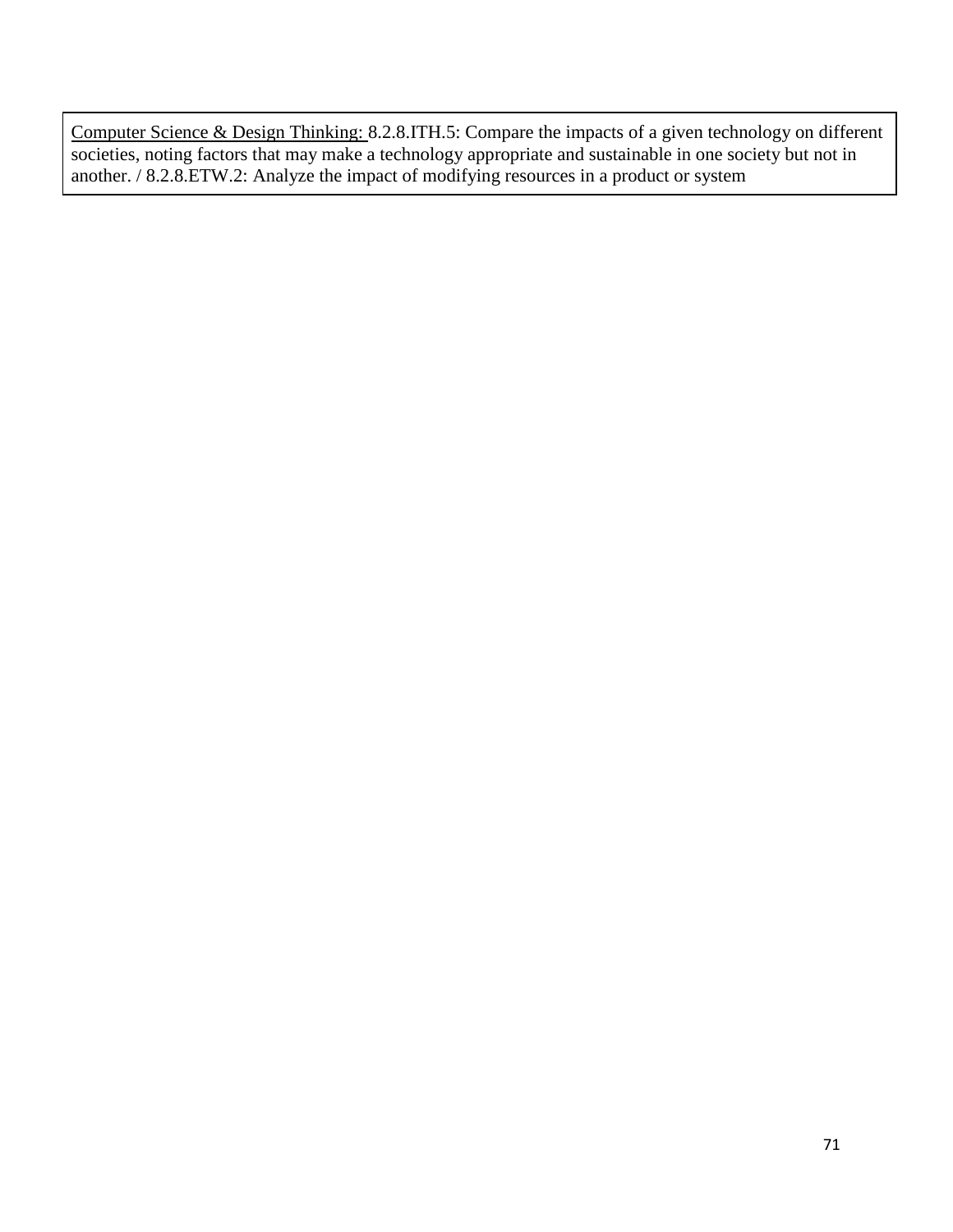Computer Science & Design Thinking: 8.2.8.ITH.5: Compare the impacts of a given technology on different societies, noting factors that may make a technology appropriate and sustainable in one society but not in another. / 8.2.8.ETW.2: Analyze the impact of modifying resources in a product or system